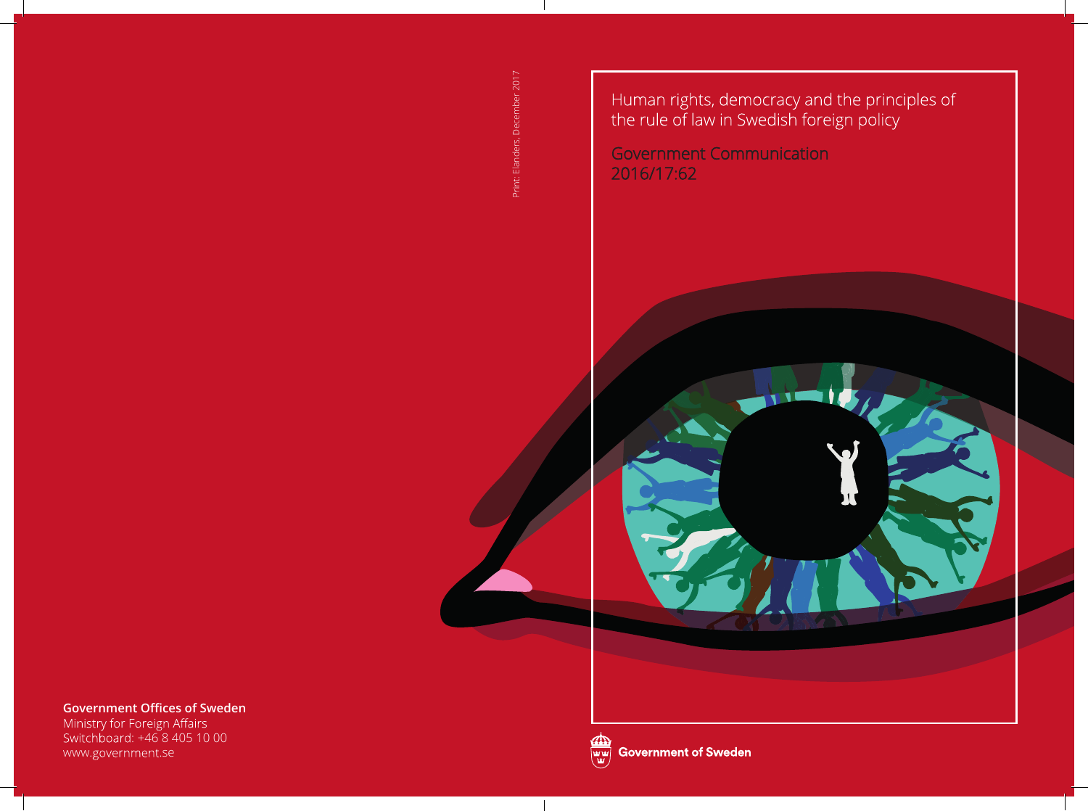: Elanders, December 2017 Print: Elanders, December 2017

Human rights, democracy and the principles of<br>the rule of law in Swedish foreign policy

**Government Communication** 2016/17:62

**Government Offices of Sweden**

Ministry for Foreign Affairs<br>Switchboard: +46 8 405 10 00 www.government.se



 $\overline{\phantom{a}}$ 

**Government of Sweden**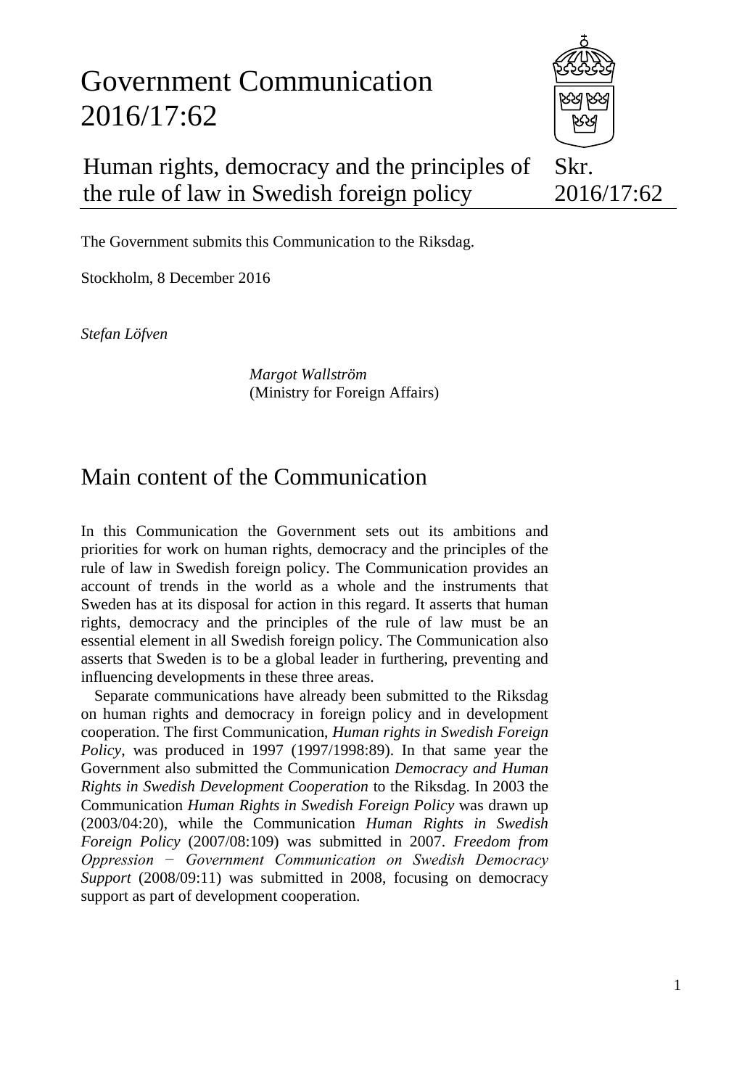# Government Communication 2016/17:62



#### Human rights, democracy and the principles of the rule of law in Swedish foreign policy Skr. 2016/17:62

The Government submits this Communication to the Riksdag.

Stockholm, 8 December 2016

*Stefan Löfven*

*Margot Wallström* (Ministry for Foreign Affairs)

## Main content of the Communication

In this Communication the Government sets out its ambitions and priorities for work on human rights, democracy and the principles of the rule of law in Swedish foreign policy. The Communication provides an account of trends in the world as a whole and the instruments that Sweden has at its disposal for action in this regard. It asserts that human rights, democracy and the principles of the rule of law must be an essential element in all Swedish foreign policy. The Communication also asserts that Sweden is to be a global leader in furthering, preventing and influencing developments in these three areas.

Separate communications have already been submitted to the Riksdag on human rights and democracy in foreign policy and in development cooperation. The first Communication, *Human rights in Swedish Foreign Policy*, was produced in 1997 (1997/1998:89). In that same year the Government also submitted the Communication *Democracy and Human Rights in Swedish Development Cooperation* to the Riksdag. In 2003 the Communication *Human Rights in Swedish Foreign Policy* was drawn up (2003/04:20), while the Communication *Human Rights in Swedish Foreign Policy* (2007/08:109) was submitted in 2007. *Freedom from Oppression − Government Communication on Swedish Democracy Support* (2008/09:11) was submitted in 2008, focusing on democracy support as part of development cooperation.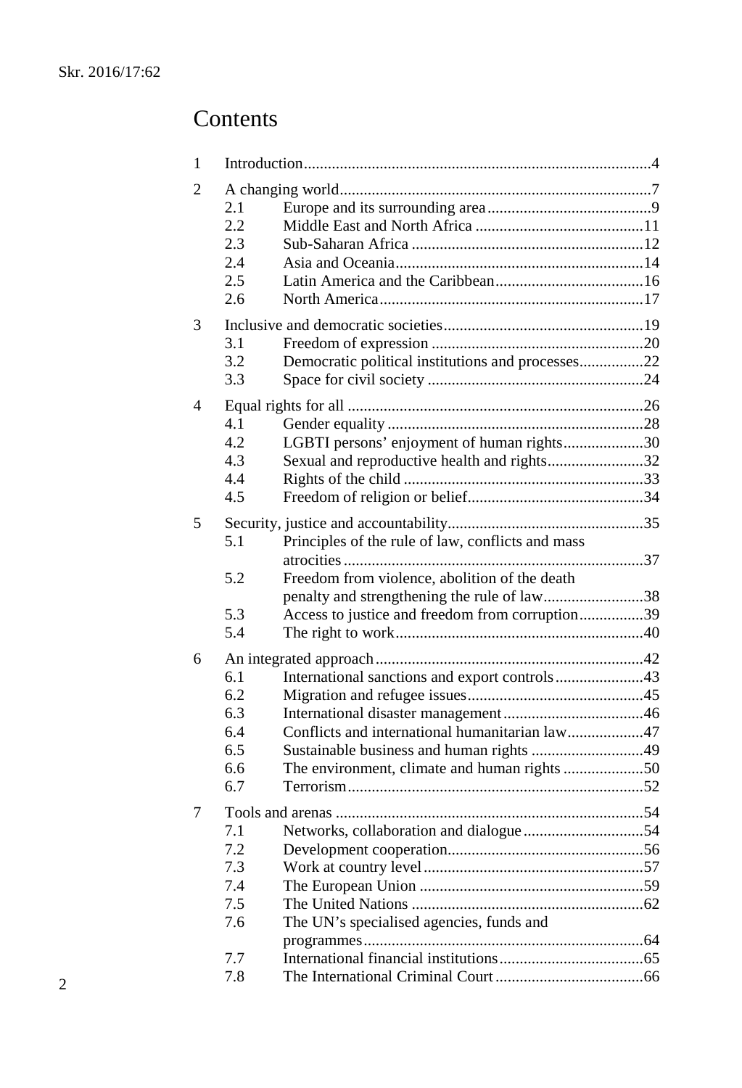## Contents

| 1 |     |                                                   |  |  |  |
|---|-----|---------------------------------------------------|--|--|--|
| 2 | 2.1 |                                                   |  |  |  |
|   | 2.2 |                                                   |  |  |  |
|   | 2.3 |                                                   |  |  |  |
|   | 2.4 |                                                   |  |  |  |
|   | 2.5 |                                                   |  |  |  |
|   | 2.6 |                                                   |  |  |  |
| 3 |     |                                                   |  |  |  |
|   | 3.1 |                                                   |  |  |  |
|   | 3.2 | Democratic political institutions and processes22 |  |  |  |
|   | 3.3 |                                                   |  |  |  |
| 4 |     |                                                   |  |  |  |
|   | 4.1 |                                                   |  |  |  |
|   | 4.2 | LGBTI persons' enjoyment of human rights30        |  |  |  |
|   | 4.3 | Sexual and reproductive health and rights32       |  |  |  |
|   | 4.4 |                                                   |  |  |  |
|   | 4.5 |                                                   |  |  |  |
| 5 |     |                                                   |  |  |  |
|   | 5.1 | Principles of the rule of law, conflicts and mass |  |  |  |
|   |     |                                                   |  |  |  |
|   | 5.2 | Freedom from violence, abolition of the death     |  |  |  |
|   |     | penalty and strengthening the rule of law38       |  |  |  |
|   | 5.3 | Access to justice and freedom from corruption39   |  |  |  |
|   | 5.4 |                                                   |  |  |  |
| 6 |     |                                                   |  |  |  |
|   | 6.1 | International sanctions and export controls43     |  |  |  |
|   | 6.2 |                                                   |  |  |  |
|   | 6.3 |                                                   |  |  |  |
|   | 6.4 | Conflicts and international humanitarian law47    |  |  |  |
|   | 6.5 |                                                   |  |  |  |
|   | 6.6 | The environment, climate and human rights 50      |  |  |  |
|   | 6.7 |                                                   |  |  |  |
| 7 |     |                                                   |  |  |  |
|   | 7.1 |                                                   |  |  |  |
|   | 7.2 |                                                   |  |  |  |
|   | 7.3 |                                                   |  |  |  |
|   | 7.4 |                                                   |  |  |  |
|   | 7.5 |                                                   |  |  |  |
|   | 7.6 | The UN's specialised agencies, funds and          |  |  |  |
|   |     |                                                   |  |  |  |
|   | 7.7 |                                                   |  |  |  |
|   | 7.8 |                                                   |  |  |  |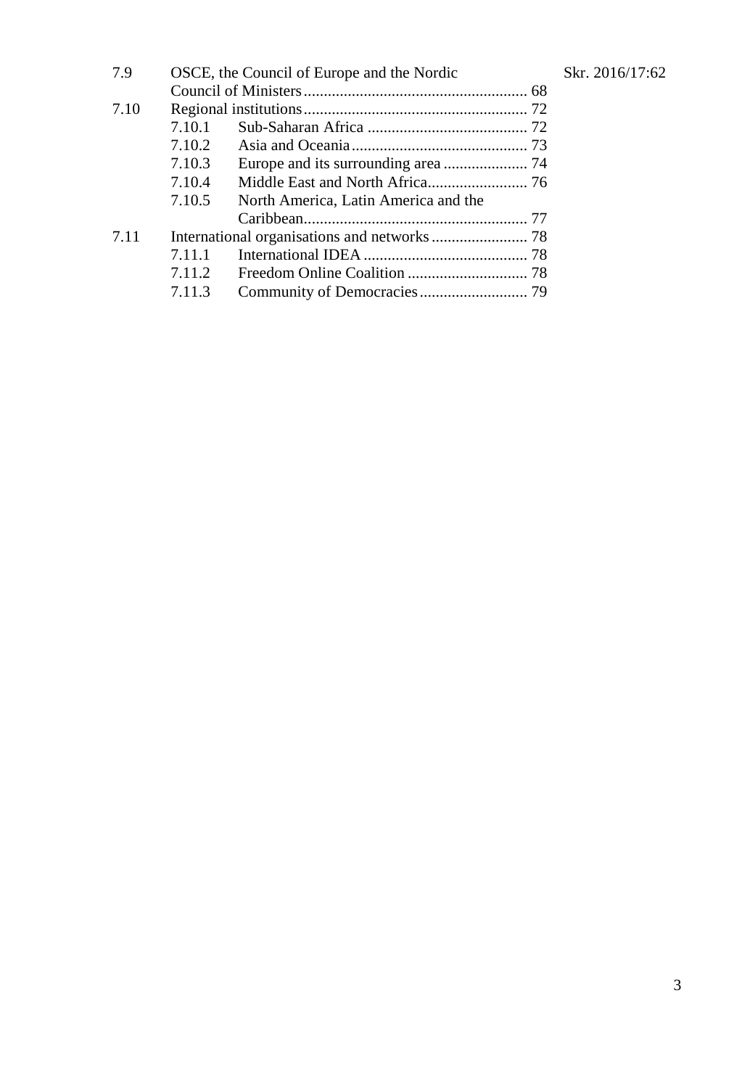| 7.9  | OSCE, the Council of Europe and the Nordic |                                      |  |  |
|------|--------------------------------------------|--------------------------------------|--|--|
|      |                                            |                                      |  |  |
| 7.10 |                                            |                                      |  |  |
|      | 7.10.1                                     |                                      |  |  |
|      | 7.10.2                                     |                                      |  |  |
|      | 7.10.3                                     |                                      |  |  |
|      | 7.10.4                                     |                                      |  |  |
|      | 7.10.5                                     | North America, Latin America and the |  |  |
|      |                                            |                                      |  |  |
| 7.11 |                                            |                                      |  |  |
|      | 7.11.1                                     |                                      |  |  |
|      | 7.11.2                                     |                                      |  |  |
|      | 7.11.3                                     |                                      |  |  |
|      |                                            |                                      |  |  |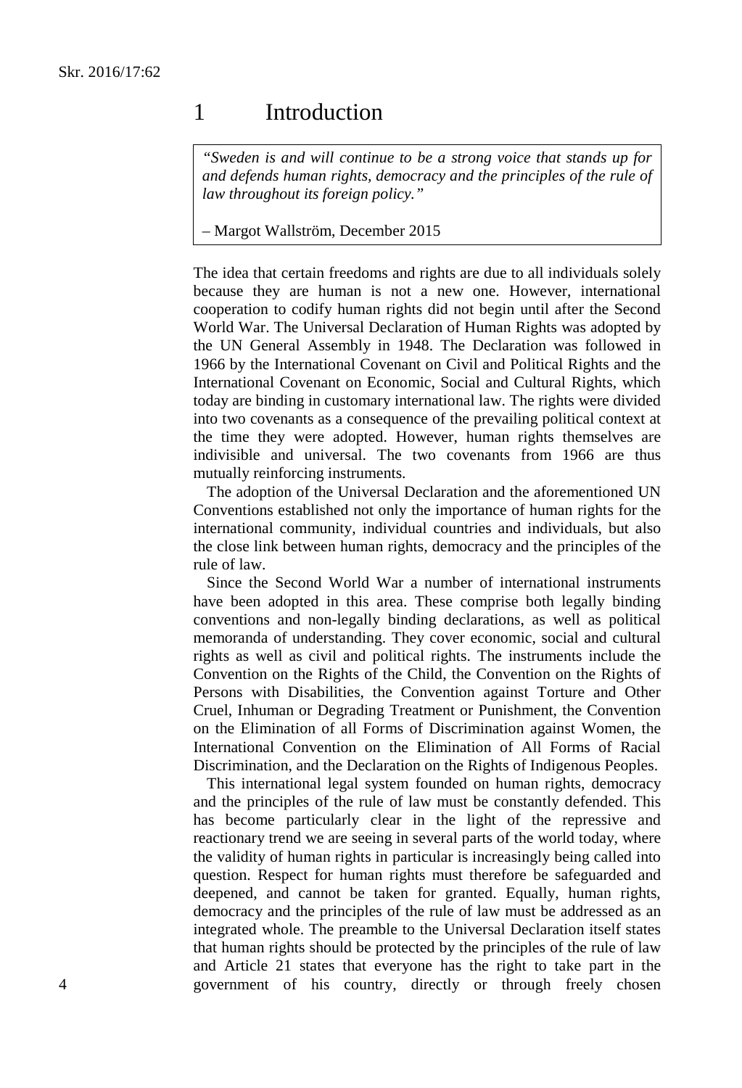## 1 Introduction

*"Sweden is and will continue to be a strong voice that stands up for and defends human rights, democracy and the principles of the rule of law throughout its foreign policy."*

#### – Margot Wallström, December 2015

The idea that certain freedoms and rights are due to all individuals solely because they are human is not a new one. However, international cooperation to codify human rights did not begin until after the Second World War. The Universal Declaration of Human Rights was adopted by the UN General Assembly in 1948. The Declaration was followed in 1966 by the International Covenant on Civil and Political Rights and the International Covenant on Economic, Social and Cultural Rights, which today are binding in customary international law. The rights were divided into two covenants as a consequence of the prevailing political context at the time they were adopted. However, human rights themselves are indivisible and universal. The two covenants from 1966 are thus mutually reinforcing instruments.

The adoption of the Universal Declaration and the aforementioned UN Conventions established not only the importance of human rights for the international community, individual countries and individuals, but also the close link between human rights, democracy and the principles of the rule of law.

Since the Second World War a number of international instruments have been adopted in this area. These comprise both legally binding conventions and non-legally binding declarations, as well as political memoranda of understanding. They cover economic, social and cultural rights as well as civil and political rights. The instruments include the Convention on the Rights of the Child, the Convention on the Rights of Persons with Disabilities, the Convention against Torture and Other Cruel, Inhuman or Degrading Treatment or Punishment, the Convention on the Elimination of all Forms of Discrimination against Women, the International Convention on the Elimination of All Forms of Racial Discrimination, and the Declaration on the Rights of Indigenous Peoples.

This international legal system founded on human rights, democracy and the principles of the rule of law must be constantly defended. This has become particularly clear in the light of the repressive and reactionary trend we are seeing in several parts of the world today, where the validity of human rights in particular is increasingly being called into question. Respect for human rights must therefore be safeguarded and deepened, and cannot be taken for granted. Equally, human rights, democracy and the principles of the rule of law must be addressed as an integrated whole. The preamble to the Universal Declaration itself states that human rights should be protected by the principles of the rule of law and Article 21 states that everyone has the right to take part in the government of his country, directly or through freely chosen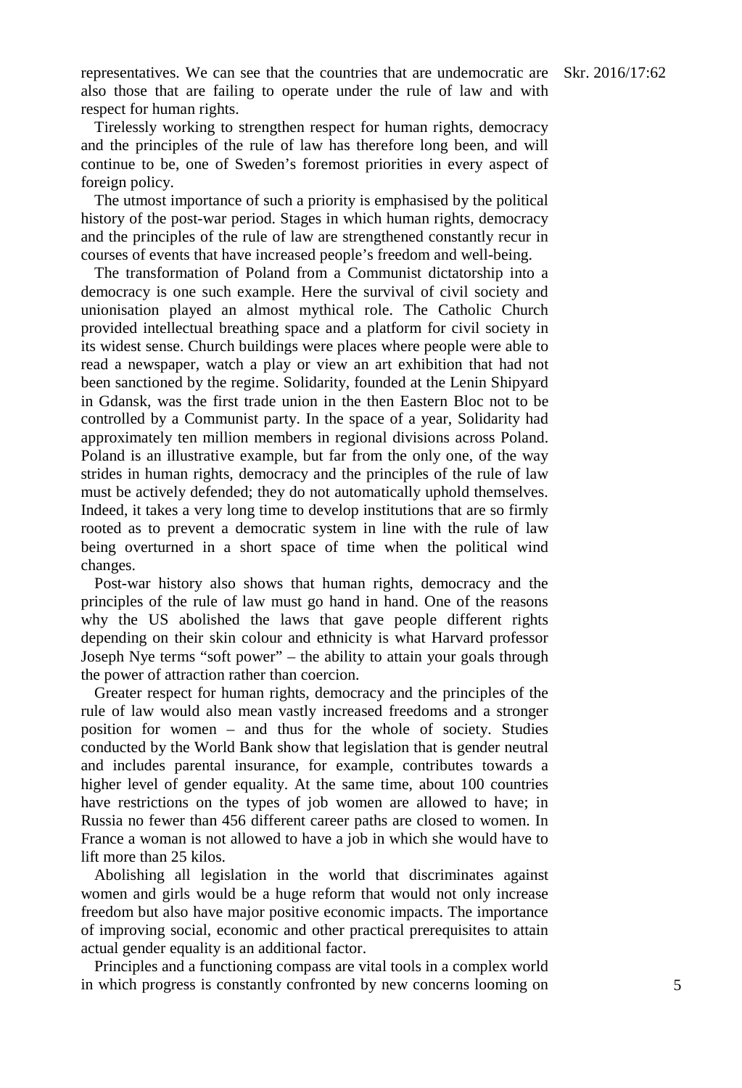representatives. We can see that the countries that are undemocratic are Skr. 2016/17:62 also those that are failing to operate under the rule of law and with respect for human rights.

Tirelessly working to strengthen respect for human rights, democracy and the principles of the rule of law has therefore long been, and will continue to be, one of Sweden's foremost priorities in every aspect of foreign policy.

The utmost importance of such a priority is emphasised by the political history of the post-war period. Stages in which human rights, democracy and the principles of the rule of law are strengthened constantly recur in courses of events that have increased people's freedom and well-being.

The transformation of Poland from a Communist dictatorship into a democracy is one such example. Here the survival of civil society and unionisation played an almost mythical role. The Catholic Church provided intellectual breathing space and a platform for civil society in its widest sense. Church buildings were places where people were able to read a newspaper, watch a play or view an art exhibition that had not been sanctioned by the regime. Solidarity, founded at the Lenin Shipyard in Gdansk, was the first trade union in the then Eastern Bloc not to be controlled by a Communist party. In the space of a year, Solidarity had approximately ten million members in regional divisions across Poland. Poland is an illustrative example, but far from the only one, of the way strides in human rights, democracy and the principles of the rule of law must be actively defended; they do not automatically uphold themselves. Indeed, it takes a very long time to develop institutions that are so firmly rooted as to prevent a democratic system in line with the rule of law being overturned in a short space of time when the political wind changes.

Post-war history also shows that human rights, democracy and the principles of the rule of law must go hand in hand. One of the reasons why the US abolished the laws that gave people different rights depending on their skin colour and ethnicity is what Harvard professor Joseph Nye terms "soft power" – the ability to attain your goals through the power of attraction rather than coercion.

Greater respect for human rights, democracy and the principles of the rule of law would also mean vastly increased freedoms and a stronger position for women – and thus for the whole of society. Studies conducted by the World Bank show that legislation that is gender neutral and includes parental insurance, for example, contributes towards a higher level of gender equality. At the same time, about 100 countries have restrictions on the types of job women are allowed to have; in Russia no fewer than 456 different career paths are closed to women. In France a woman is not allowed to have a job in which she would have to lift more than 25 kilos.

Abolishing all legislation in the world that discriminates against women and girls would be a huge reform that would not only increase freedom but also have major positive economic impacts. The importance of improving social, economic and other practical prerequisites to attain actual gender equality is an additional factor.

Principles and a functioning compass are vital tools in a complex world in which progress is constantly confronted by new concerns looming on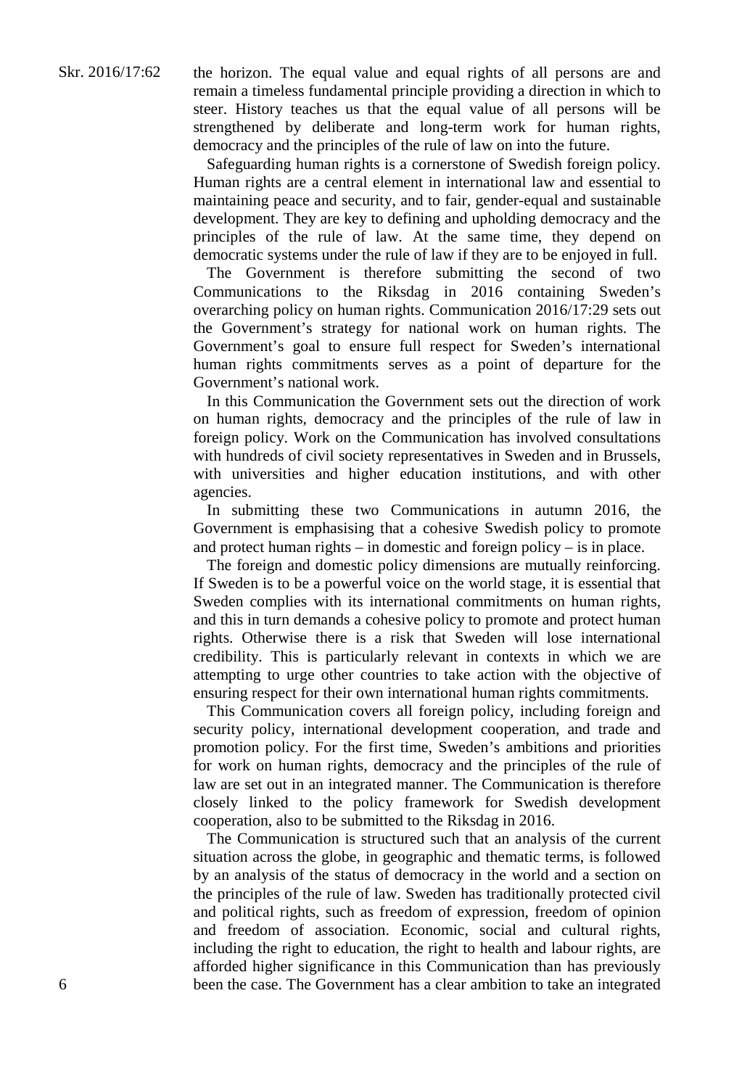the horizon. The equal value and equal rights of all persons are and remain a timeless fundamental principle providing a direction in which to steer. History teaches us that the equal value of all persons will be strengthened by deliberate and long-term work for human rights, democracy and the principles of the rule of law on into the future.

Safeguarding human rights is a cornerstone of Swedish foreign policy. Human rights are a central element in international law and essential to maintaining peace and security, and to fair, gender-equal and sustainable development. They are key to defining and upholding democracy and the principles of the rule of law. At the same time, they depend on democratic systems under the rule of law if they are to be enjoyed in full.

The Government is therefore submitting the second of two Communications to the Riksdag in 2016 containing Sweden's overarching policy on human rights. Communication 2016/17:29 sets out the Government's strategy for national work on human rights. The Government's goal to ensure full respect for Sweden's international human rights commitments serves as a point of departure for the Government's national work.

In this Communication the Government sets out the direction of work on human rights, democracy and the principles of the rule of law in foreign policy. Work on the Communication has involved consultations with hundreds of civil society representatives in Sweden and in Brussels, with universities and higher education institutions, and with other agencies.

In submitting these two Communications in autumn 2016, the Government is emphasising that a cohesive Swedish policy to promote and protect human rights – in domestic and foreign policy – is in place.

The foreign and domestic policy dimensions are mutually reinforcing. If Sweden is to be a powerful voice on the world stage, it is essential that Sweden complies with its international commitments on human rights, and this in turn demands a cohesive policy to promote and protect human rights. Otherwise there is a risk that Sweden will lose international credibility. This is particularly relevant in contexts in which we are attempting to urge other countries to take action with the objective of ensuring respect for their own international human rights commitments.

This Communication covers all foreign policy, including foreign and security policy, international development cooperation, and trade and promotion policy. For the first time, Sweden's ambitions and priorities for work on human rights, democracy and the principles of the rule of law are set out in an integrated manner. The Communication is therefore closely linked to the policy framework for Swedish development cooperation, also to be submitted to the Riksdag in 2016.

The Communication is structured such that an analysis of the current situation across the globe, in geographic and thematic terms, is followed by an analysis of the status of democracy in the world and a section on the principles of the rule of law. Sweden has traditionally protected civil and political rights, such as freedom of expression, freedom of opinion and freedom of association. Economic, social and cultural rights, including the right to education, the right to health and labour rights, are afforded higher significance in this Communication than has previously been the case. The Government has a clear ambition to take an integrated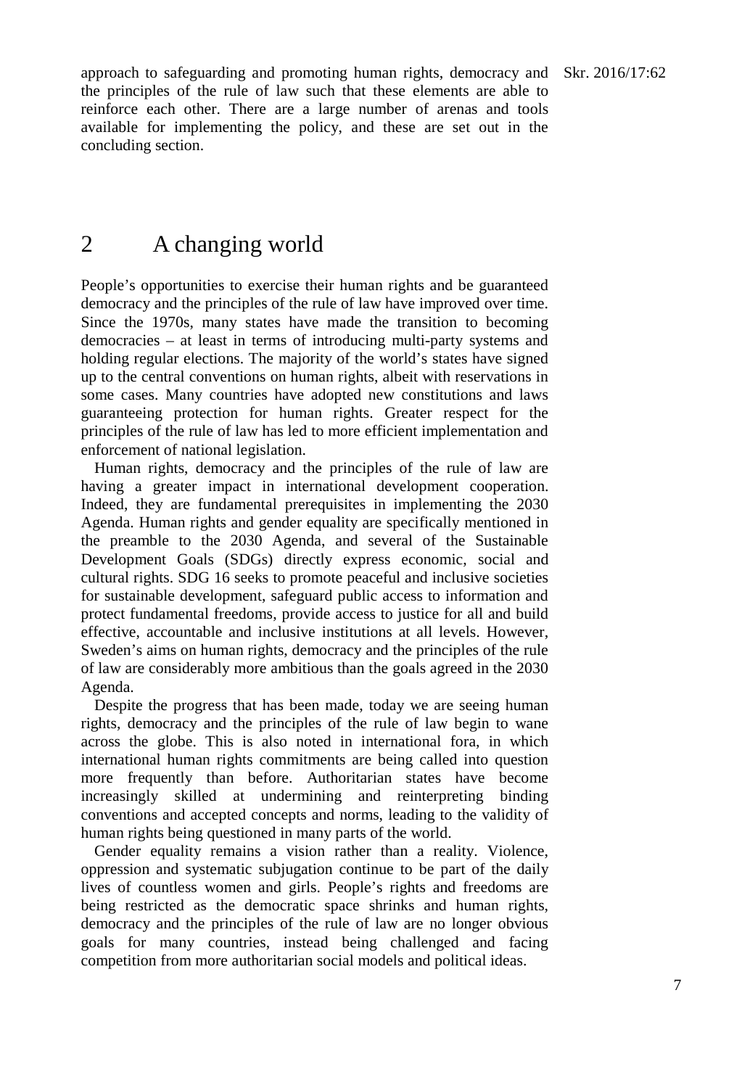approach to safeguarding and promoting human rights, democracy and Skr. 2016/17:62 the principles of the rule of law such that these elements are able to reinforce each other. There are a large number of arenas and tools available for implementing the policy, and these are set out in the concluding section.

## 2 A changing world

People's opportunities to exercise their human rights and be guaranteed democracy and the principles of the rule of law have improved over time. Since the 1970s, many states have made the transition to becoming democracies – at least in terms of introducing multi-party systems and holding regular elections. The majority of the world's states have signed up to the central conventions on human rights, albeit with reservations in some cases. Many countries have adopted new constitutions and laws guaranteeing protection for human rights. Greater respect for the principles of the rule of law has led to more efficient implementation and enforcement of national legislation.

Human rights, democracy and the principles of the rule of law are having a greater impact in international development cooperation. Indeed, they are fundamental prerequisites in implementing the 2030 Agenda. Human rights and gender equality are specifically mentioned in the preamble to the 2030 Agenda, and several of the Sustainable Development Goals (SDGs) directly express economic, social and cultural rights. SDG 16 seeks to promote peaceful and inclusive societies for sustainable development, safeguard public access to information and protect fundamental freedoms, provide access to justice for all and build effective, accountable and inclusive institutions at all levels. However, Sweden's aims on human rights, democracy and the principles of the rule of law are considerably more ambitious than the goals agreed in the 2030 Agenda.

Despite the progress that has been made, today we are seeing human rights, democracy and the principles of the rule of law begin to wane across the globe. This is also noted in international fora, in which international human rights commitments are being called into question more frequently than before. Authoritarian states have become increasingly skilled at undermining and reinterpreting binding conventions and accepted concepts and norms, leading to the validity of human rights being questioned in many parts of the world.

Gender equality remains a vision rather than a reality. Violence, oppression and systematic subjugation continue to be part of the daily lives of countless women and girls. People's rights and freedoms are being restricted as the democratic space shrinks and human rights, democracy and the principles of the rule of law are no longer obvious goals for many countries, instead being challenged and facing competition from more authoritarian social models and political ideas.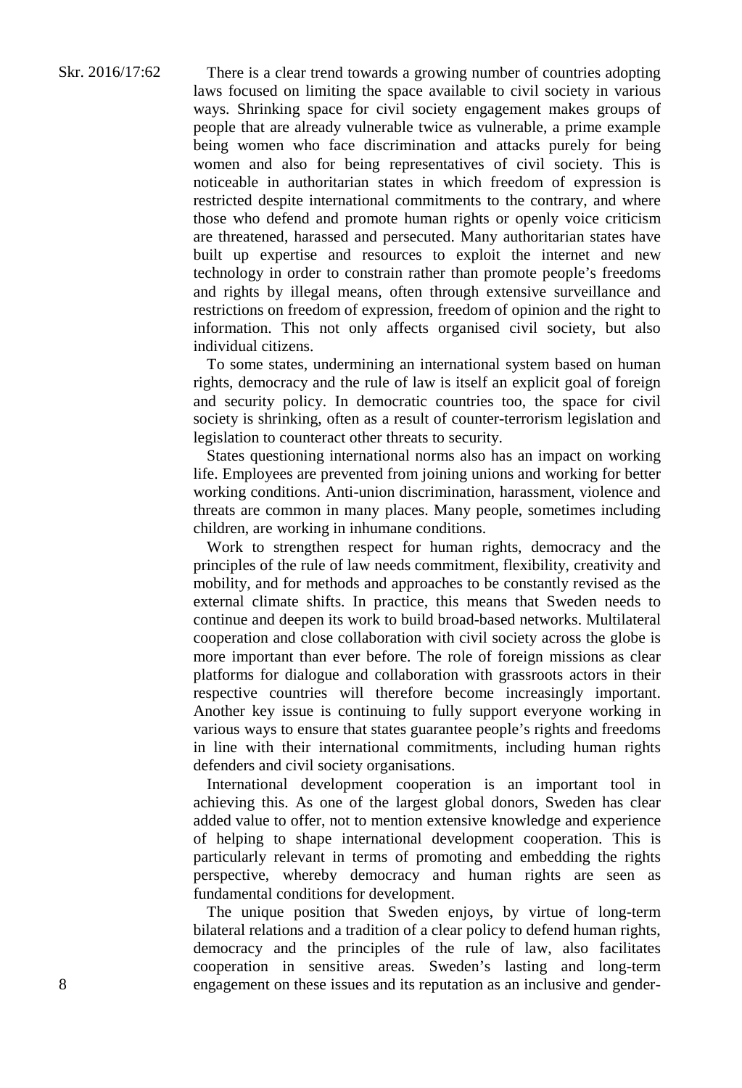There is a clear trend towards a growing number of countries adopting laws focused on limiting the space available to civil society in various ways. Shrinking space for civil society engagement makes groups of people that are already vulnerable twice as vulnerable, a prime example being women who face discrimination and attacks purely for being women and also for being representatives of civil society. This is noticeable in authoritarian states in which freedom of expression is restricted despite international commitments to the contrary, and where those who defend and promote human rights or openly voice criticism are threatened, harassed and persecuted. Many authoritarian states have built up expertise and resources to exploit the internet and new technology in order to constrain rather than promote people's freedoms and rights by illegal means, often through extensive surveillance and restrictions on freedom of expression, freedom of opinion and the right to information. This not only affects organised civil society, but also individual citizens.

To some states, undermining an international system based on human rights, democracy and the rule of law is itself an explicit goal of foreign and security policy. In democratic countries too, the space for civil society is shrinking, often as a result of counter-terrorism legislation and legislation to counteract other threats to security.

States questioning international norms also has an impact on working life. Employees are prevented from joining unions and working for better working conditions. Anti-union discrimination, harassment, violence and threats are common in many places. Many people, sometimes including children, are working in inhumane conditions.

Work to strengthen respect for human rights, democracy and the principles of the rule of law needs commitment, flexibility, creativity and mobility, and for methods and approaches to be constantly revised as the external climate shifts. In practice, this means that Sweden needs to continue and deepen its work to build broad-based networks. Multilateral cooperation and close collaboration with civil society across the globe is more important than ever before. The role of foreign missions as clear platforms for dialogue and collaboration with grassroots actors in their respective countries will therefore become increasingly important. Another key issue is continuing to fully support everyone working in various ways to ensure that states guarantee people's rights and freedoms in line with their international commitments, including human rights defenders and civil society organisations.

International development cooperation is an important tool in achieving this. As one of the largest global donors, Sweden has clear added value to offer, not to mention extensive knowledge and experience of helping to shape international development cooperation. This is particularly relevant in terms of promoting and embedding the rights perspective, whereby democracy and human rights are seen as fundamental conditions for development.

The unique position that Sweden enjoys, by virtue of long-term bilateral relations and a tradition of a clear policy to defend human rights, democracy and the principles of the rule of law, also facilitates cooperation in sensitive areas. Sweden's lasting and long-term engagement on these issues and its reputation as an inclusive and gender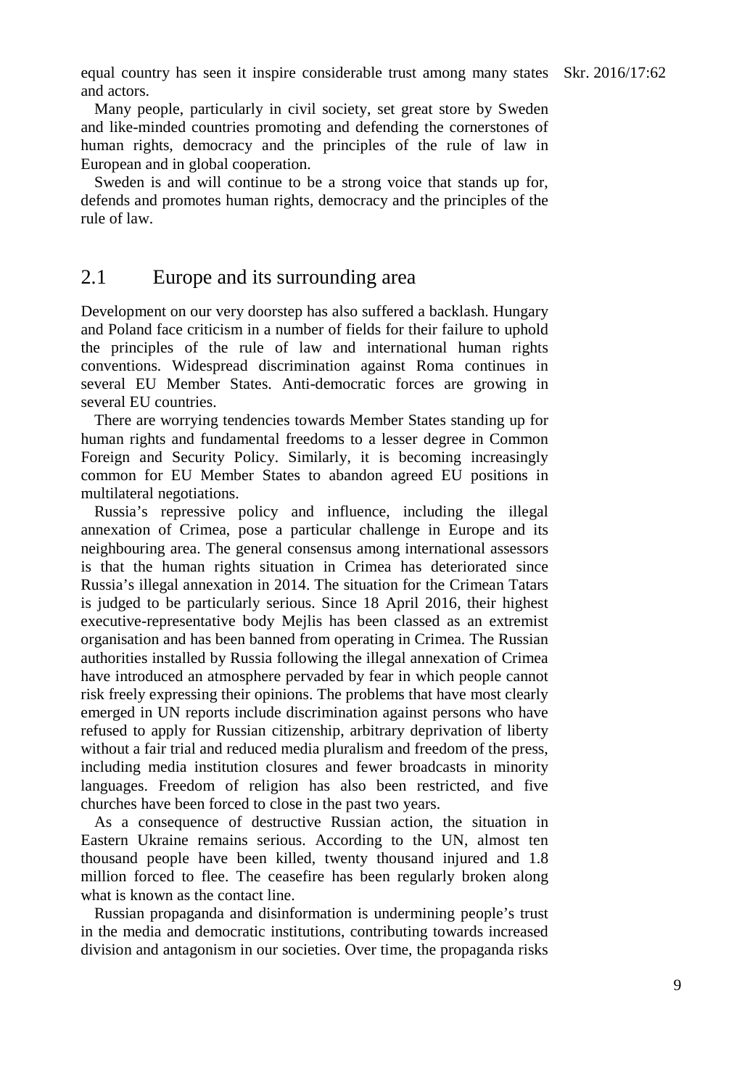equal country has seen it inspire considerable trust among many states Skr. 2016/17:62 and actors.

Many people, particularly in civil society, set great store by Sweden and like-minded countries promoting and defending the cornerstones of human rights, democracy and the principles of the rule of law in European and in global cooperation.

Sweden is and will continue to be a strong voice that stands up for, defends and promotes human rights, democracy and the principles of the rule of law.

#### 2.1 Europe and its surrounding area

Development on our very doorstep has also suffered a backlash. Hungary and Poland face criticism in a number of fields for their failure to uphold the principles of the rule of law and international human rights conventions. Widespread discrimination against Roma continues in several EU Member States. Anti-democratic forces are growing in several EU countries.

There are worrying tendencies towards Member States standing up for human rights and fundamental freedoms to a lesser degree in Common Foreign and Security Policy. Similarly, it is becoming increasingly common for EU Member States to abandon agreed EU positions in multilateral negotiations.

Russia's repressive policy and influence, including the illegal annexation of Crimea, pose a particular challenge in Europe and its neighbouring area. The general consensus among international assessors is that the human rights situation in Crimea has deteriorated since Russia's illegal annexation in 2014. The situation for the Crimean Tatars is judged to be particularly serious. Since 18 April 2016, their highest executive-representative body Mejlis has been classed as an extremist organisation and has been banned from operating in Crimea. The Russian authorities installed by Russia following the illegal annexation of Crimea have introduced an atmosphere pervaded by fear in which people cannot risk freely expressing their opinions. The problems that have most clearly emerged in UN reports include discrimination against persons who have refused to apply for Russian citizenship, arbitrary deprivation of liberty without a fair trial and reduced media pluralism and freedom of the press, including media institution closures and fewer broadcasts in minority languages. Freedom of religion has also been restricted, and five churches have been forced to close in the past two years.

As a consequence of destructive Russian action, the situation in Eastern Ukraine remains serious. According to the UN, almost ten thousand people have been killed, twenty thousand injured and 1.8 million forced to flee. The ceasefire has been regularly broken along what is known as the contact line.

Russian propaganda and disinformation is undermining people's trust in the media and democratic institutions, contributing towards increased division and antagonism in our societies. Over time, the propaganda risks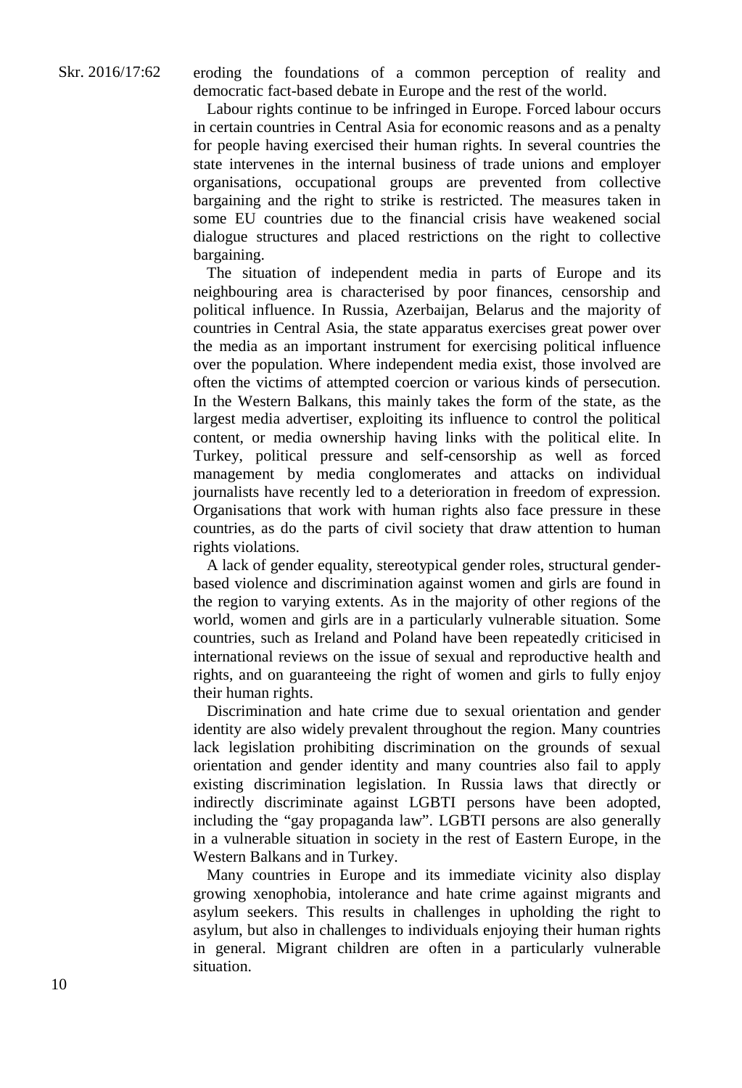eroding the foundations of a common perception of reality and democratic fact-based debate in Europe and the rest of the world.

Labour rights continue to be infringed in Europe. Forced labour occurs in certain countries in Central Asia for economic reasons and as a penalty for people having exercised their human rights. In several countries the state intervenes in the internal business of trade unions and employer organisations, occupational groups are prevented from collective bargaining and the right to strike is restricted. The measures taken in some EU countries due to the financial crisis have weakened social dialogue structures and placed restrictions on the right to collective bargaining.

The situation of independent media in parts of Europe and its neighbouring area is characterised by poor finances, censorship and political influence. In Russia, Azerbaijan, Belarus and the majority of countries in Central Asia, the state apparatus exercises great power over the media as an important instrument for exercising political influence over the population. Where independent media exist, those involved are often the victims of attempted coercion or various kinds of persecution. In the Western Balkans, this mainly takes the form of the state, as the largest media advertiser, exploiting its influence to control the political content, or media ownership having links with the political elite. In Turkey, political pressure and self-censorship as well as forced management by media conglomerates and attacks on individual journalists have recently led to a deterioration in freedom of expression. Organisations that work with human rights also face pressure in these countries, as do the parts of civil society that draw attention to human rights violations.

A lack of gender equality, stereotypical gender roles, structural genderbased violence and discrimination against women and girls are found in the region to varying extents. As in the majority of other regions of the world, women and girls are in a particularly vulnerable situation. Some countries, such as Ireland and Poland have been repeatedly criticised in international reviews on the issue of sexual and reproductive health and rights, and on guaranteeing the right of women and girls to fully enjoy their human rights.

Discrimination and hate crime due to sexual orientation and gender identity are also widely prevalent throughout the region. Many countries lack legislation prohibiting discrimination on the grounds of sexual orientation and gender identity and many countries also fail to apply existing discrimination legislation. In Russia laws that directly or indirectly discriminate against LGBTI persons have been adopted, including the "gay propaganda law". LGBTI persons are also generally in a vulnerable situation in society in the rest of Eastern Europe, in the Western Balkans and in Turkey.

Many countries in Europe and its immediate vicinity also display growing xenophobia, intolerance and hate crime against migrants and asylum seekers. This results in challenges in upholding the right to asylum, but also in challenges to individuals enjoying their human rights in general. Migrant children are often in a particularly vulnerable situation.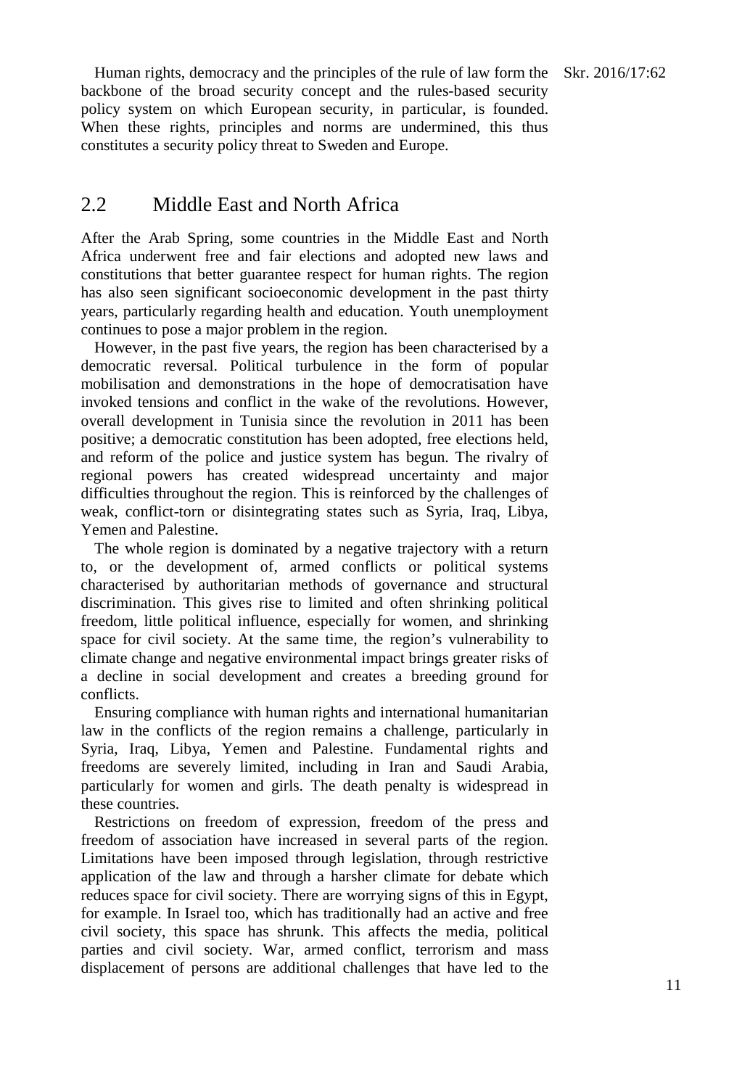Human rights, democracy and the principles of the rule of law form the Skr. 2016/17:62 backbone of the broad security concept and the rules-based security policy system on which European security, in particular, is founded. When these rights, principles and norms are undermined, this thus constitutes a security policy threat to Sweden and Europe.

#### 2.2 Middle East and North Africa

After the Arab Spring, some countries in the Middle East and North Africa underwent free and fair elections and adopted new laws and constitutions that better guarantee respect for human rights. The region has also seen significant socioeconomic development in the past thirty years, particularly regarding health and education. Youth unemployment continues to pose a major problem in the region.

However, in the past five years, the region has been characterised by a democratic reversal. Political turbulence in the form of popular mobilisation and demonstrations in the hope of democratisation have invoked tensions and conflict in the wake of the revolutions. However, overall development in Tunisia since the revolution in 2011 has been positive; a democratic constitution has been adopted, free elections held, and reform of the police and justice system has begun. The rivalry of regional powers has created widespread uncertainty and major difficulties throughout the region. This is reinforced by the challenges of weak, conflict-torn or disintegrating states such as Syria, Iraq, Libya, Yemen and Palestine.

The whole region is dominated by a negative trajectory with a return to, or the development of, armed conflicts or political systems characterised by authoritarian methods of governance and structural discrimination. This gives rise to limited and often shrinking political freedom, little political influence, especially for women, and shrinking space for civil society. At the same time, the region's vulnerability to climate change and negative environmental impact brings greater risks of a decline in social development and creates a breeding ground for conflicts.

Ensuring compliance with human rights and international humanitarian law in the conflicts of the region remains a challenge, particularly in Syria, Iraq, Libya, Yemen and Palestine. Fundamental rights and freedoms are severely limited, including in Iran and Saudi Arabia, particularly for women and girls. The death penalty is widespread in these countries.

Restrictions on freedom of expression, freedom of the press and freedom of association have increased in several parts of the region. Limitations have been imposed through legislation, through restrictive application of the law and through a harsher climate for debate which reduces space for civil society. There are worrying signs of this in Egypt, for example. In Israel too, which has traditionally had an active and free civil society, this space has shrunk. This affects the media, political parties and civil society. War, armed conflict, terrorism and mass displacement of persons are additional challenges that have led to the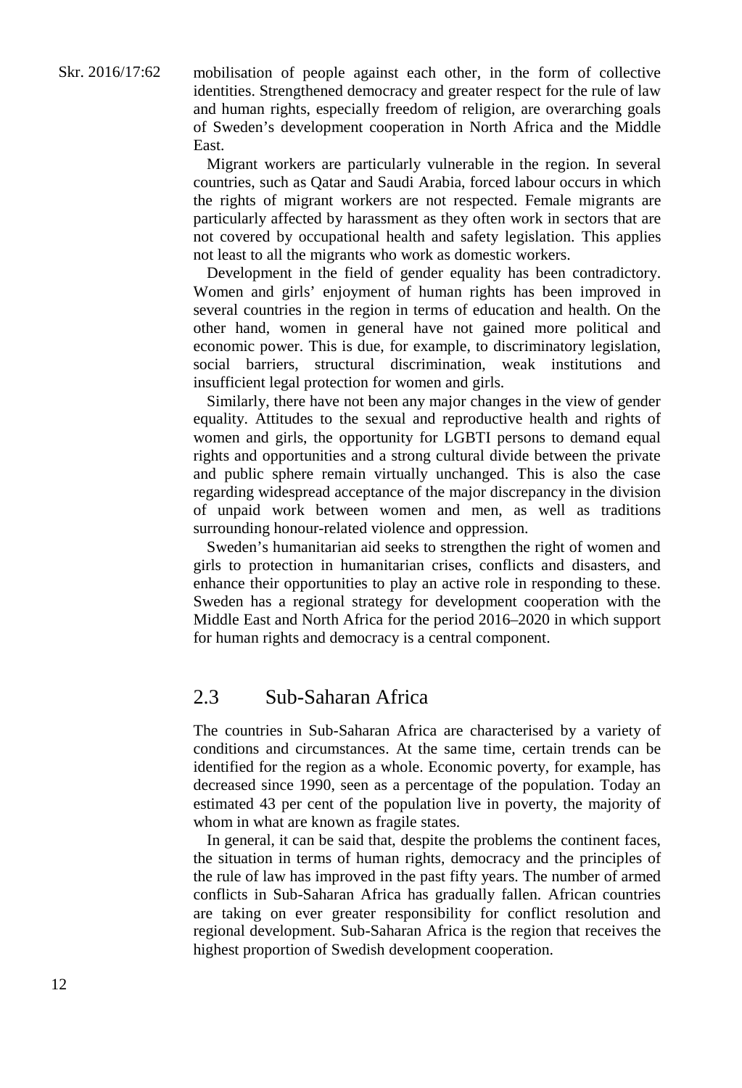mobilisation of people against each other, in the form of collective identities. Strengthened democracy and greater respect for the rule of law and human rights, especially freedom of religion, are overarching goals of Sweden's development cooperation in North Africa and the Middle East.

Migrant workers are particularly vulnerable in the region. In several countries, such as Qatar and Saudi Arabia, forced labour occurs in which the rights of migrant workers are not respected. Female migrants are particularly affected by harassment as they often work in sectors that are not covered by occupational health and safety legislation. This applies not least to all the migrants who work as domestic workers.

Development in the field of gender equality has been contradictory. Women and girls' enjoyment of human rights has been improved in several countries in the region in terms of education and health. On the other hand, women in general have not gained more political and economic power. This is due, for example, to discriminatory legislation, social barriers, structural discrimination, weak institutions and insufficient legal protection for women and girls.

Similarly, there have not been any major changes in the view of gender equality. Attitudes to the sexual and reproductive health and rights of women and girls, the opportunity for LGBTI persons to demand equal rights and opportunities and a strong cultural divide between the private and public sphere remain virtually unchanged. This is also the case regarding widespread acceptance of the major discrepancy in the division of unpaid work between women and men, as well as traditions surrounding honour-related violence and oppression.

Sweden's humanitarian aid seeks to strengthen the right of women and girls to protection in humanitarian crises, conflicts and disasters, and enhance their opportunities to play an active role in responding to these. Sweden has a regional strategy for development cooperation with the Middle East and North Africa for the period 2016–2020 in which support for human rights and democracy is a central component.

#### 2.3 Sub-Saharan Africa

The countries in Sub-Saharan Africa are characterised by a variety of conditions and circumstances. At the same time, certain trends can be identified for the region as a whole. Economic poverty, for example, has decreased since 1990, seen as a percentage of the population. Today an estimated 43 per cent of the population live in poverty, the majority of whom in what are known as fragile states.

In general, it can be said that, despite the problems the continent faces, the situation in terms of human rights, democracy and the principles of the rule of law has improved in the past fifty years. The number of armed conflicts in Sub-Saharan Africa has gradually fallen. African countries are taking on ever greater responsibility for conflict resolution and regional development. Sub-Saharan Africa is the region that receives the highest proportion of Swedish development cooperation.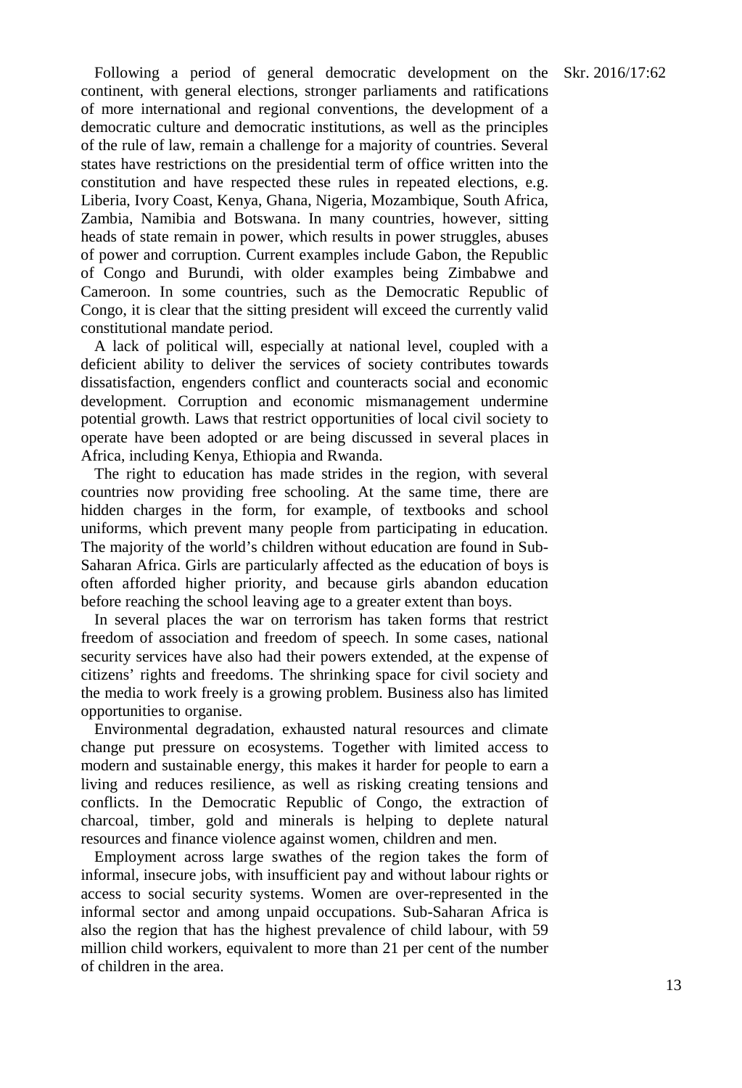Following a period of general democratic development on the Skr. 2016/17:62 continent, with general elections, stronger parliaments and ratifications of more international and regional conventions, the development of a democratic culture and democratic institutions, as well as the principles of the rule of law, remain a challenge for a majority of countries. Several states have restrictions on the presidential term of office written into the constitution and have respected these rules in repeated elections, e.g. Liberia, Ivory Coast, Kenya, Ghana, Nigeria, Mozambique, South Africa, Zambia, Namibia and Botswana. In many countries, however, sitting heads of state remain in power, which results in power struggles, abuses of power and corruption. Current examples include Gabon, the Republic of Congo and Burundi, with older examples being Zimbabwe and Cameroon. In some countries, such as the Democratic Republic of Congo, it is clear that the sitting president will exceed the currently valid constitutional mandate period.

A lack of political will, especially at national level, coupled with a deficient ability to deliver the services of society contributes towards dissatisfaction, engenders conflict and counteracts social and economic development. Corruption and economic mismanagement undermine potential growth. Laws that restrict opportunities of local civil society to operate have been adopted or are being discussed in several places in Africa, including Kenya, Ethiopia and Rwanda.

The right to education has made strides in the region, with several countries now providing free schooling. At the same time, there are hidden charges in the form, for example, of textbooks and school uniforms, which prevent many people from participating in education. The majority of the world's children without education are found in Sub-Saharan Africa. Girls are particularly affected as the education of boys is often afforded higher priority, and because girls abandon education before reaching the school leaving age to a greater extent than boys.

In several places the war on terrorism has taken forms that restrict freedom of association and freedom of speech. In some cases, national security services have also had their powers extended, at the expense of citizens' rights and freedoms. The shrinking space for civil society and the media to work freely is a growing problem. Business also has limited opportunities to organise.

Environmental degradation, exhausted natural resources and climate change put pressure on ecosystems. Together with limited access to modern and sustainable energy, this makes it harder for people to earn a living and reduces resilience, as well as risking creating tensions and conflicts. In the Democratic Republic of Congo, the extraction of charcoal, timber, gold and minerals is helping to deplete natural resources and finance violence against women, children and men.

Employment across large swathes of the region takes the form of informal, insecure jobs, with insufficient pay and without labour rights or access to social security systems. Women are over-represented in the informal sector and among unpaid occupations. Sub-Saharan Africa is also the region that has the highest prevalence of child labour, with 59 million child workers, equivalent to more than 21 per cent of the number of children in the area.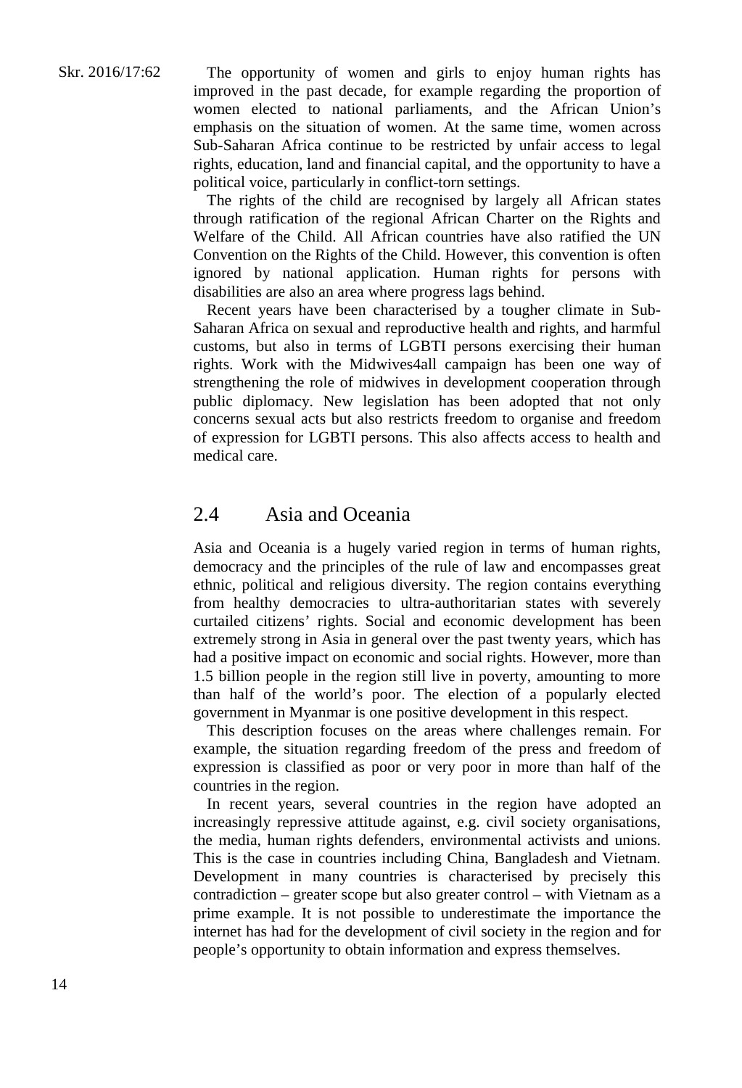The opportunity of women and girls to enjoy human rights has improved in the past decade, for example regarding the proportion of women elected to national parliaments, and the African Union's emphasis on the situation of women. At the same time, women across Sub-Saharan Africa continue to be restricted by unfair access to legal rights, education, land and financial capital, and the opportunity to have a political voice, particularly in conflict-torn settings.

The rights of the child are recognised by largely all African states through ratification of the regional African Charter on the Rights and Welfare of the Child. All African countries have also ratified the UN Convention on the Rights of the Child. However, this convention is often ignored by national application. Human rights for persons with disabilities are also an area where progress lags behind.

Recent years have been characterised by a tougher climate in Sub-Saharan Africa on sexual and reproductive health and rights, and harmful customs, but also in terms of LGBTI persons exercising their human rights. Work with the Midwives4all campaign has been one way of strengthening the role of midwives in development cooperation through public diplomacy. New legislation has been adopted that not only concerns sexual acts but also restricts freedom to organise and freedom of expression for LGBTI persons. This also affects access to health and medical care.

#### 2.4 Asia and Oceania

Asia and Oceania is a hugely varied region in terms of human rights, democracy and the principles of the rule of law and encompasses great ethnic, political and religious diversity. The region contains everything from healthy democracies to ultra-authoritarian states with severely curtailed citizens' rights. Social and economic development has been extremely strong in Asia in general over the past twenty years, which has had a positive impact on economic and social rights. However, more than 1.5 billion people in the region still live in poverty, amounting to more than half of the world's poor. The election of a popularly elected government in Myanmar is one positive development in this respect.

This description focuses on the areas where challenges remain. For example, the situation regarding freedom of the press and freedom of expression is classified as poor or very poor in more than half of the countries in the region.

In recent years, several countries in the region have adopted an increasingly repressive attitude against, e.g. civil society organisations, the media, human rights defenders, environmental activists and unions. This is the case in countries including China, Bangladesh and Vietnam. Development in many countries is characterised by precisely this contradiction – greater scope but also greater control – with Vietnam as a prime example. It is not possible to underestimate the importance the internet has had for the development of civil society in the region and for people's opportunity to obtain information and express themselves.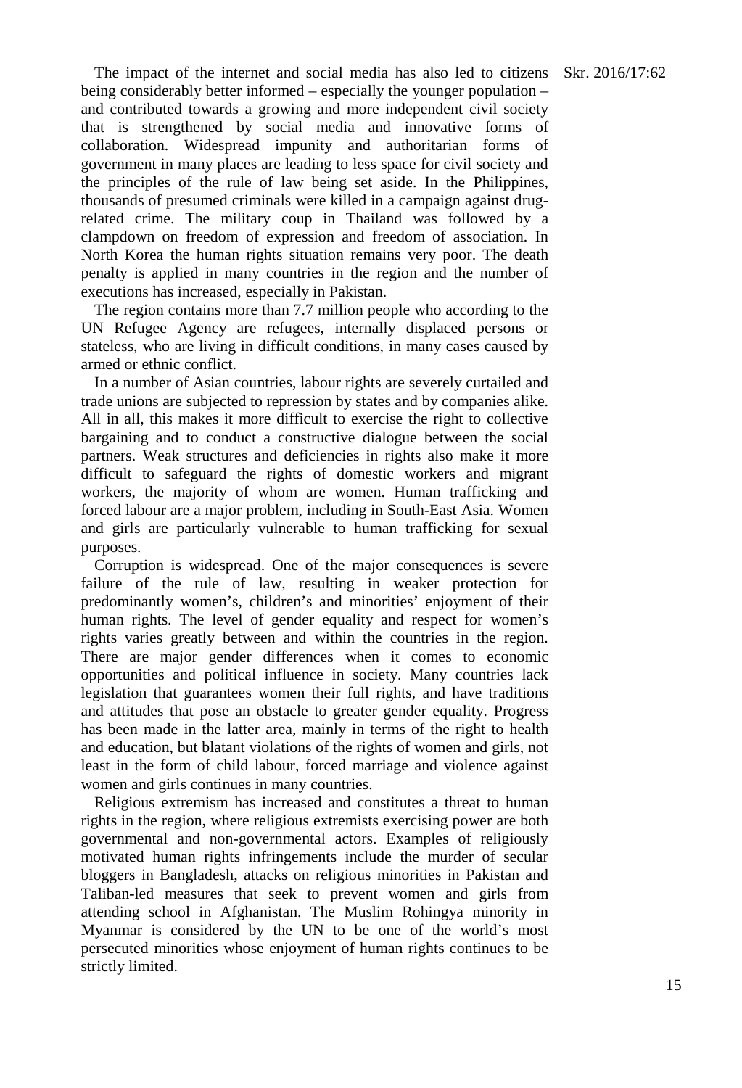The impact of the internet and social media has also led to citizens Skr. 2016/17:62 being considerably better informed – especially the younger population – and contributed towards a growing and more independent civil society that is strengthened by social media and innovative forms of collaboration. Widespread impunity and authoritarian forms of government in many places are leading to less space for civil society and the principles of the rule of law being set aside. In the Philippines, thousands of presumed criminals were killed in a campaign against drugrelated crime. The military coup in Thailand was followed by a clampdown on freedom of expression and freedom of association. In North Korea the human rights situation remains very poor. The death penalty is applied in many countries in the region and the number of executions has increased, especially in Pakistan.

The region contains more than 7.7 million people who according to the UN Refugee Agency are refugees, internally displaced persons or stateless, who are living in difficult conditions, in many cases caused by armed or ethnic conflict.

In a number of Asian countries, labour rights are severely curtailed and trade unions are subjected to repression by states and by companies alike. All in all, this makes it more difficult to exercise the right to collective bargaining and to conduct a constructive dialogue between the social partners. Weak structures and deficiencies in rights also make it more difficult to safeguard the rights of domestic workers and migrant workers, the majority of whom are women. Human trafficking and forced labour are a major problem, including in South-East Asia. Women and girls are particularly vulnerable to human trafficking for sexual purposes.

Corruption is widespread. One of the major consequences is severe failure of the rule of law, resulting in weaker protection for predominantly women's, children's and minorities' enjoyment of their human rights. The level of gender equality and respect for women's rights varies greatly between and within the countries in the region. There are major gender differences when it comes to economic opportunities and political influence in society. Many countries lack legislation that guarantees women their full rights, and have traditions and attitudes that pose an obstacle to greater gender equality. Progress has been made in the latter area, mainly in terms of the right to health and education, but blatant violations of the rights of women and girls, not least in the form of child labour, forced marriage and violence against women and girls continues in many countries.

Religious extremism has increased and constitutes a threat to human rights in the region, where religious extremists exercising power are both governmental and non-governmental actors. Examples of religiously motivated human rights infringements include the murder of secular bloggers in Bangladesh, attacks on religious minorities in Pakistan and Taliban-led measures that seek to prevent women and girls from attending school in Afghanistan. The Muslim Rohingya minority in Myanmar is considered by the UN to be one of the world's most persecuted minorities whose enjoyment of human rights continues to be strictly limited.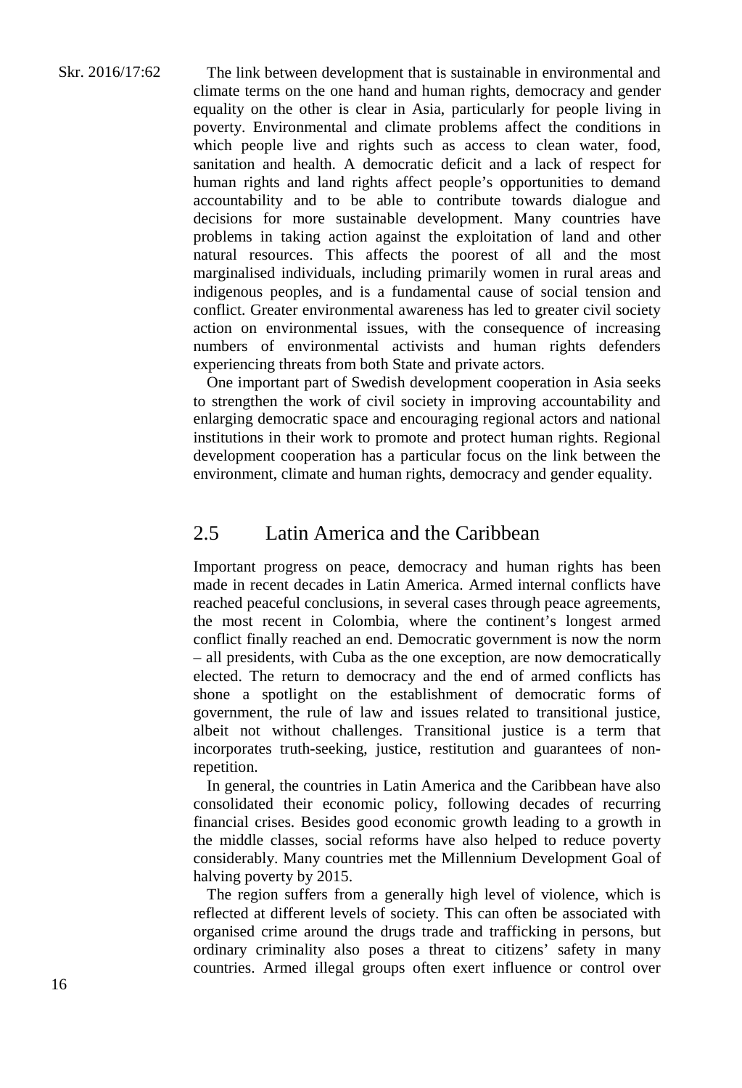#### Skr. 2016/17:62

The link between development that is sustainable in environmental and climate terms on the one hand and human rights, democracy and gender equality on the other is clear in Asia, particularly for people living in poverty. Environmental and climate problems affect the conditions in which people live and rights such as access to clean water, food, sanitation and health. A democratic deficit and a lack of respect for human rights and land rights affect people's opportunities to demand accountability and to be able to contribute towards dialogue and decisions for more sustainable development. Many countries have problems in taking action against the exploitation of land and other natural resources. This affects the poorest of all and the most marginalised individuals, including primarily women in rural areas and indigenous peoples, and is a fundamental cause of social tension and conflict. Greater environmental awareness has led to greater civil society action on environmental issues, with the consequence of increasing numbers of environmental activists and human rights defenders experiencing threats from both State and private actors.

One important part of Swedish development cooperation in Asia seeks to strengthen the work of civil society in improving accountability and enlarging democratic space and encouraging regional actors and national institutions in their work to promote and protect human rights. Regional development cooperation has a particular focus on the link between the environment, climate and human rights, democracy and gender equality.

#### 2.5 Latin America and the Caribbean

Important progress on peace, democracy and human rights has been made in recent decades in Latin America. Armed internal conflicts have reached peaceful conclusions, in several cases through peace agreements, the most recent in Colombia, where the continent's longest armed conflict finally reached an end. Democratic government is now the norm – all presidents, with Cuba as the one exception, are now democratically elected. The return to democracy and the end of armed conflicts has shone a spotlight on the establishment of democratic forms of government, the rule of law and issues related to transitional justice, albeit not without challenges. Transitional justice is a term that incorporates truth-seeking, justice, restitution and guarantees of nonrepetition.

In general, the countries in Latin America and the Caribbean have also consolidated their economic policy, following decades of recurring financial crises. Besides good economic growth leading to a growth in the middle classes, social reforms have also helped to reduce poverty considerably. Many countries met the Millennium Development Goal of halving poverty by 2015.

The region suffers from a generally high level of violence, which is reflected at different levels of society. This can often be associated with organised crime around the drugs trade and trafficking in persons, but ordinary criminality also poses a threat to citizens' safety in many countries. Armed illegal groups often exert influence or control over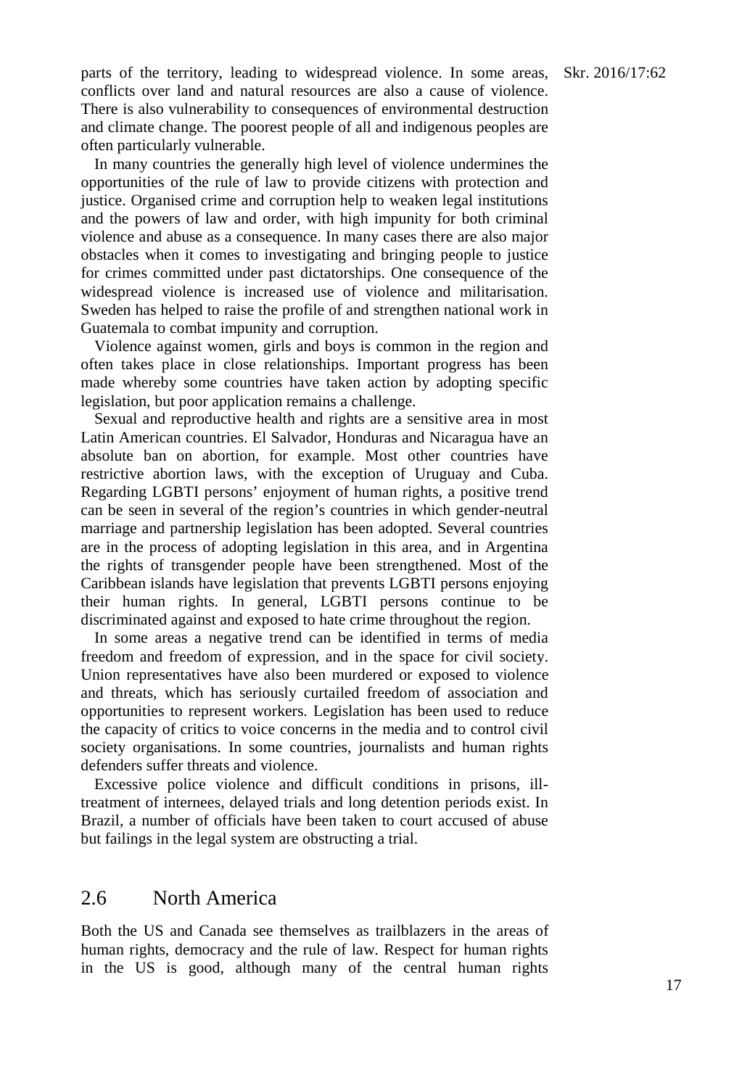parts of the territory, leading to widespread violence. In some areas, Skr. 2016/17:62 conflicts over land and natural resources are also a cause of violence. There is also vulnerability to consequences of environmental destruction and climate change. The poorest people of all and indigenous peoples are often particularly vulnerable.

In many countries the generally high level of violence undermines the opportunities of the rule of law to provide citizens with protection and justice. Organised crime and corruption help to weaken legal institutions and the powers of law and order, with high impunity for both criminal violence and abuse as a consequence. In many cases there are also major obstacles when it comes to investigating and bringing people to justice for crimes committed under past dictatorships. One consequence of the widespread violence is increased use of violence and militarisation. Sweden has helped to raise the profile of and strengthen national work in Guatemala to combat impunity and corruption.

Violence against women, girls and boys is common in the region and often takes place in close relationships. Important progress has been made whereby some countries have taken action by adopting specific legislation, but poor application remains a challenge.

Sexual and reproductive health and rights are a sensitive area in most Latin American countries. El Salvador, Honduras and Nicaragua have an absolute ban on abortion, for example. Most other countries have restrictive abortion laws, with the exception of Uruguay and Cuba. Regarding LGBTI persons' enjoyment of human rights, a positive trend can be seen in several of the region's countries in which gender-neutral marriage and partnership legislation has been adopted. Several countries are in the process of adopting legislation in this area, and in Argentina the rights of transgender people have been strengthened. Most of the Caribbean islands have legislation that prevents LGBTI persons enjoying their human rights. In general, LGBTI persons continue to be discriminated against and exposed to hate crime throughout the region.

In some areas a negative trend can be identified in terms of media freedom and freedom of expression, and in the space for civil society. Union representatives have also been murdered or exposed to violence and threats, which has seriously curtailed freedom of association and opportunities to represent workers. Legislation has been used to reduce the capacity of critics to voice concerns in the media and to control civil society organisations. In some countries, journalists and human rights defenders suffer threats and violence.

Excessive police violence and difficult conditions in prisons, illtreatment of internees, delayed trials and long detention periods exist. In Brazil, a number of officials have been taken to court accused of abuse but failings in the legal system are obstructing a trial.

#### 2.6 North America

Both the US and Canada see themselves as trailblazers in the areas of human rights, democracy and the rule of law. Respect for human rights in the US is good, although many of the central human rights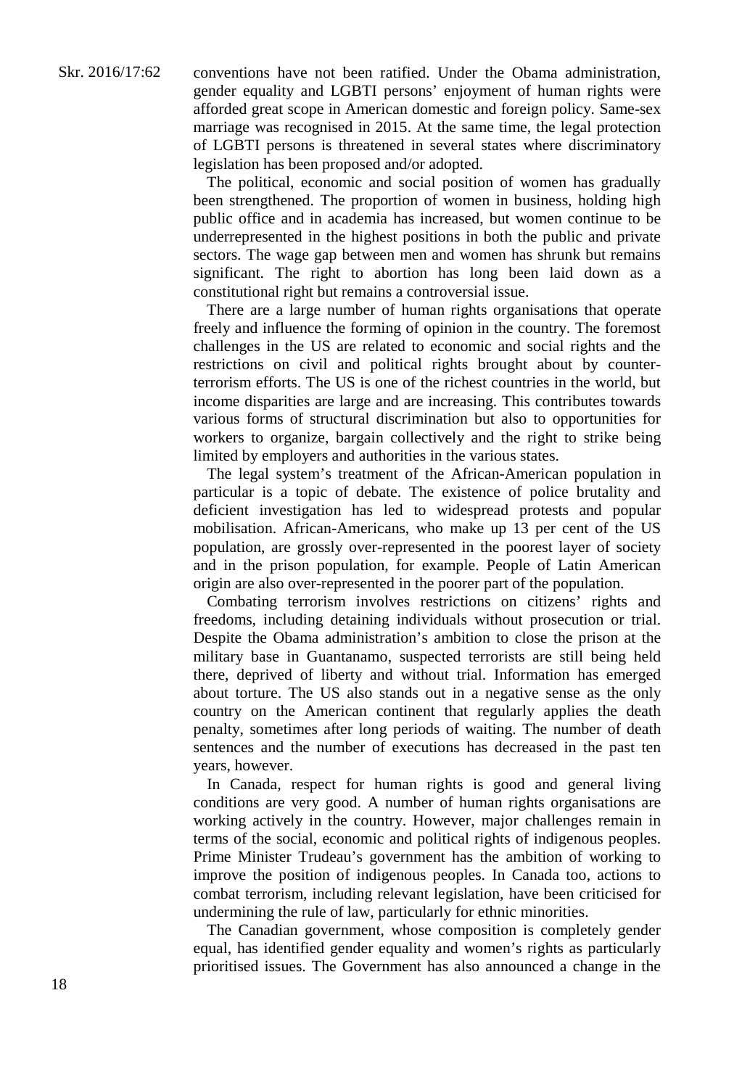conventions have not been ratified. Under the Obama administration, gender equality and LGBTI persons' enjoyment of human rights were afforded great scope in American domestic and foreign policy. Same-sex marriage was recognised in 2015. At the same time, the legal protection of LGBTI persons is threatened in several states where discriminatory legislation has been proposed and/or adopted.

The political, economic and social position of women has gradually been strengthened. The proportion of women in business, holding high public office and in academia has increased, but women continue to be underrepresented in the highest positions in both the public and private sectors. The wage gap between men and women has shrunk but remains significant. The right to abortion has long been laid down as a constitutional right but remains a controversial issue.

There are a large number of human rights organisations that operate freely and influence the forming of opinion in the country. The foremost challenges in the US are related to economic and social rights and the restrictions on civil and political rights brought about by counterterrorism efforts. The US is one of the richest countries in the world, but income disparities are large and are increasing. This contributes towards various forms of structural discrimination but also to opportunities for workers to organize, bargain collectively and the right to strike being limited by employers and authorities in the various states.

The legal system's treatment of the African-American population in particular is a topic of debate. The existence of police brutality and deficient investigation has led to widespread protests and popular mobilisation. African-Americans, who make up 13 per cent of the US population, are grossly over-represented in the poorest layer of society and in the prison population, for example. People of Latin American origin are also over-represented in the poorer part of the population.

Combating terrorism involves restrictions on citizens' rights and freedoms, including detaining individuals without prosecution or trial. Despite the Obama administration's ambition to close the prison at the military base in Guantanamo, suspected terrorists are still being held there, deprived of liberty and without trial. Information has emerged about torture. The US also stands out in a negative sense as the only country on the American continent that regularly applies the death penalty, sometimes after long periods of waiting. The number of death sentences and the number of executions has decreased in the past ten years, however.

In Canada, respect for human rights is good and general living conditions are very good. A number of human rights organisations are working actively in the country. However, major challenges remain in terms of the social, economic and political rights of indigenous peoples. Prime Minister Trudeau's government has the ambition of working to improve the position of indigenous peoples. In Canada too, actions to combat terrorism, including relevant legislation, have been criticised for undermining the rule of law, particularly for ethnic minorities.

The Canadian government, whose composition is completely gender equal, has identified gender equality and women's rights as particularly prioritised issues. The Government has also announced a change in the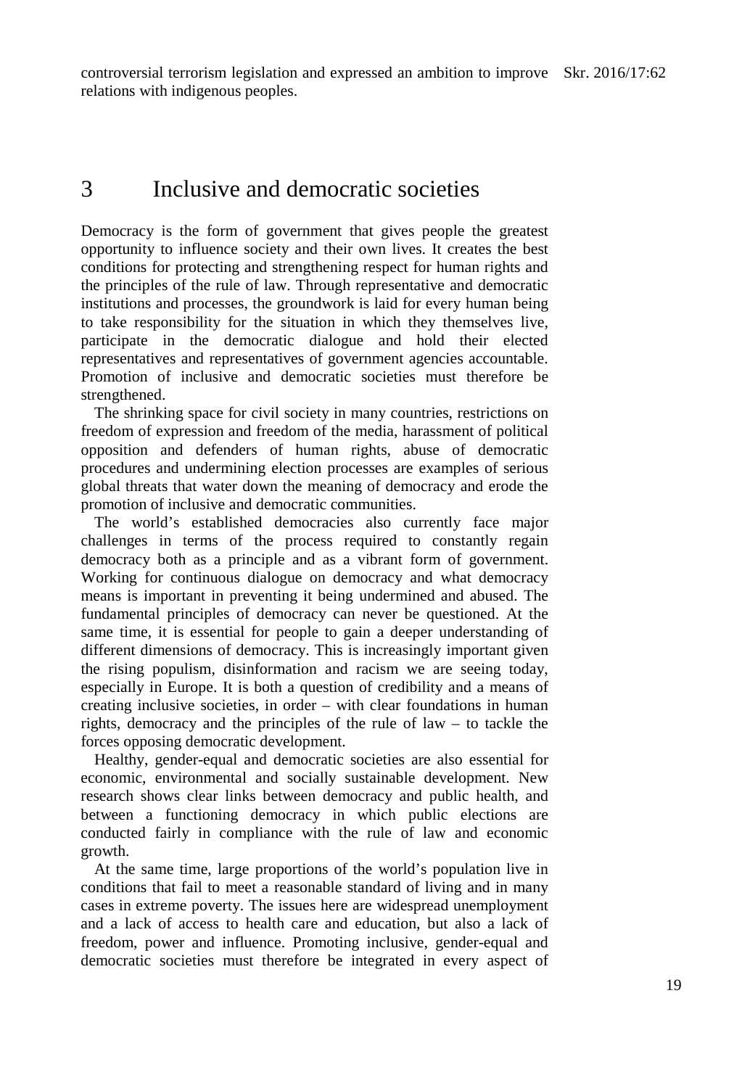## 3 Inclusive and democratic societies

Democracy is the form of government that gives people the greatest opportunity to influence society and their own lives. It creates the best conditions for protecting and strengthening respect for human rights and the principles of the rule of law. Through representative and democratic institutions and processes, the groundwork is laid for every human being to take responsibility for the situation in which they themselves live, participate in the democratic dialogue and hold their elected representatives and representatives of government agencies accountable. Promotion of inclusive and democratic societies must therefore be strengthened.

The shrinking space for civil society in many countries, restrictions on freedom of expression and freedom of the media, harassment of political opposition and defenders of human rights, abuse of democratic procedures and undermining election processes are examples of serious global threats that water down the meaning of democracy and erode the promotion of inclusive and democratic communities.

The world's established democracies also currently face major challenges in terms of the process required to constantly regain democracy both as a principle and as a vibrant form of government. Working for continuous dialogue on democracy and what democracy means is important in preventing it being undermined and abused. The fundamental principles of democracy can never be questioned. At the same time, it is essential for people to gain a deeper understanding of different dimensions of democracy. This is increasingly important given the rising populism, disinformation and racism we are seeing today, especially in Europe. It is both a question of credibility and a means of creating inclusive societies, in order – with clear foundations in human rights, democracy and the principles of the rule of law – to tackle the forces opposing democratic development.

Healthy, gender-equal and democratic societies are also essential for economic, environmental and socially sustainable development. New research shows clear links between democracy and public health, and between a functioning democracy in which public elections are conducted fairly in compliance with the rule of law and economic growth.

At the same time, large proportions of the world's population live in conditions that fail to meet a reasonable standard of living and in many cases in extreme poverty. The issues here are widespread unemployment and a lack of access to health care and education, but also a lack of freedom, power and influence. Promoting inclusive, gender-equal and democratic societies must therefore be integrated in every aspect of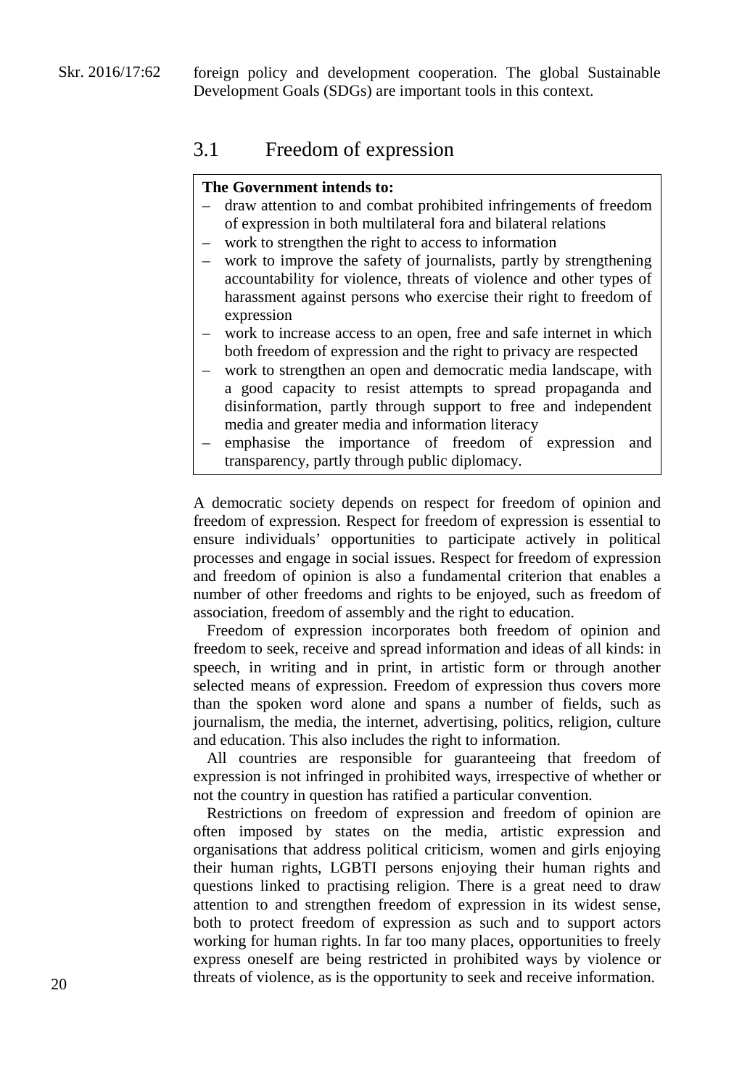## 3.1 Freedom of expression

#### **The Government intends to:**

- draw attention to and combat prohibited infringements of freedom of expression in both multilateral fora and bilateral relations
- work to strengthen the right to access to information
- work to improve the safety of journalists, partly by strengthening accountability for violence, threats of violence and other types of harassment against persons who exercise their right to freedom of expression
- work to increase access to an open, free and safe internet in which both freedom of expression and the right to privacy are respected
- work to strengthen an open and democratic media landscape, with a good capacity to resist attempts to spread propaganda and disinformation, partly through support to free and independent media and greater media and information literacy
- emphasise the importance of freedom of expression and transparency, partly through public diplomacy.

A democratic society depends on respect for freedom of opinion and freedom of expression. Respect for freedom of expression is essential to ensure individuals' opportunities to participate actively in political processes and engage in social issues. Respect for freedom of expression and freedom of opinion is also a fundamental criterion that enables a number of other freedoms and rights to be enjoyed, such as freedom of association, freedom of assembly and the right to education.

Freedom of expression incorporates both freedom of opinion and freedom to seek, receive and spread information and ideas of all kinds: in speech, in writing and in print, in artistic form or through another selected means of expression. Freedom of expression thus covers more than the spoken word alone and spans a number of fields, such as journalism, the media, the internet, advertising, politics, religion, culture and education. This also includes the right to information.

All countries are responsible for guaranteeing that freedom of expression is not infringed in prohibited ways, irrespective of whether or not the country in question has ratified a particular convention.

Restrictions on freedom of expression and freedom of opinion are often imposed by states on the media, artistic expression and organisations that address political criticism, women and girls enjoying their human rights, LGBTI persons enjoying their human rights and questions linked to practising religion. There is a great need to draw attention to and strengthen freedom of expression in its widest sense, both to protect freedom of expression as such and to support actors working for human rights. In far too many places, opportunities to freely express oneself are being restricted in prohibited ways by violence or threats of violence, as is the opportunity to seek and receive information.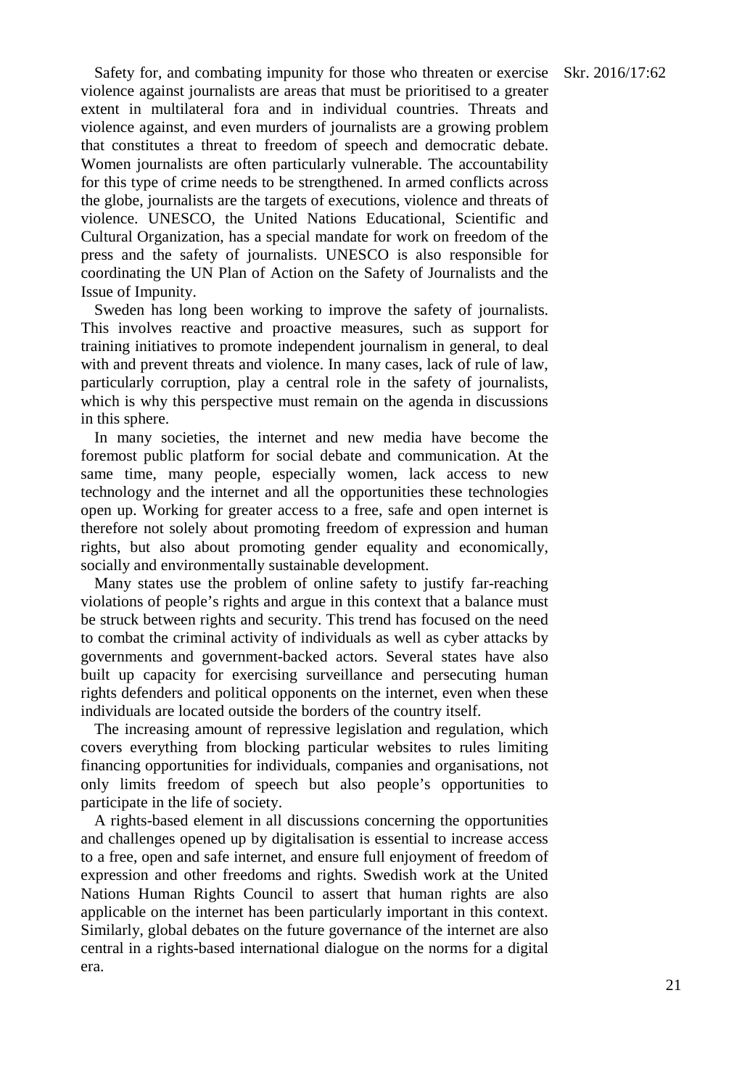Safety for, and combating impunity for those who threaten or exercise Skr. 2016/17:62 violence against journalists are areas that must be prioritised to a greater extent in multilateral fora and in individual countries. Threats and violence against, and even murders of journalists are a growing problem that constitutes a threat to freedom of speech and democratic debate. Women journalists are often particularly vulnerable. The accountability for this type of crime needs to be strengthened. In armed conflicts across the globe, journalists are the targets of executions, violence and threats of violence. UNESCO, the United Nations Educational, Scientific and Cultural Organization, has a special mandate for work on freedom of the press and the safety of journalists. UNESCO is also responsible for coordinating the UN Plan of Action on the Safety of Journalists and the Issue of Impunity.

Sweden has long been working to improve the safety of journalists. This involves reactive and proactive measures, such as support for training initiatives to promote independent journalism in general, to deal with and prevent threats and violence. In many cases, lack of rule of law, particularly corruption, play a central role in the safety of journalists, which is why this perspective must remain on the agenda in discussions in this sphere.

In many societies, the internet and new media have become the foremost public platform for social debate and communication. At the same time, many people, especially women, lack access to new technology and the internet and all the opportunities these technologies open up. Working for greater access to a free, safe and open internet is therefore not solely about promoting freedom of expression and human rights, but also about promoting gender equality and economically, socially and environmentally sustainable development.

Many states use the problem of online safety to justify far-reaching violations of people's rights and argue in this context that a balance must be struck between rights and security. This trend has focused on the need to combat the criminal activity of individuals as well as cyber attacks by governments and government-backed actors. Several states have also built up capacity for exercising surveillance and persecuting human rights defenders and political opponents on the internet, even when these individuals are located outside the borders of the country itself.

The increasing amount of repressive legislation and regulation, which covers everything from blocking particular websites to rules limiting financing opportunities for individuals, companies and organisations, not only limits freedom of speech but also people's opportunities to participate in the life of society.

A rights-based element in all discussions concerning the opportunities and challenges opened up by digitalisation is essential to increase access to a free, open and safe internet, and ensure full enjoyment of freedom of expression and other freedoms and rights. Swedish work at the United Nations Human Rights Council to assert that human rights are also applicable on the internet has been particularly important in this context. Similarly, global debates on the future governance of the internet are also central in a rights-based international dialogue on the norms for a digital era.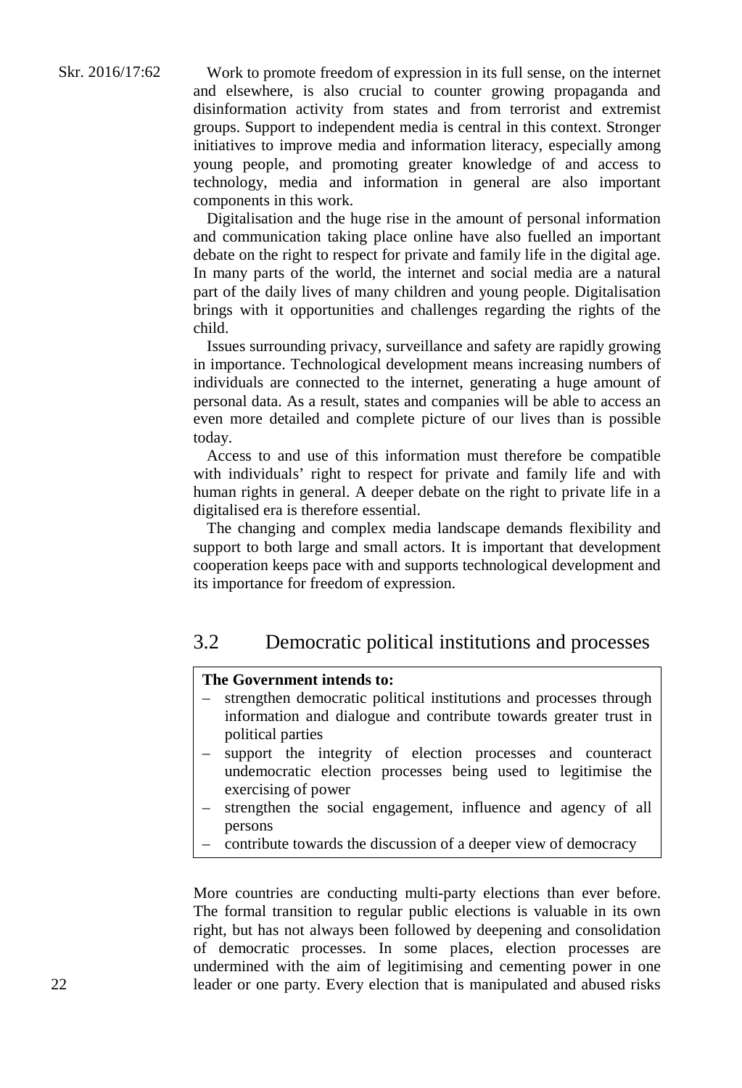Work to promote freedom of expression in its full sense, on the internet and elsewhere, is also crucial to counter growing propaganda and disinformation activity from states and from terrorist and extremist groups. Support to independent media is central in this context. Stronger initiatives to improve media and information literacy, especially among young people, and promoting greater knowledge of and access to technology, media and information in general are also important components in this work.

Digitalisation and the huge rise in the amount of personal information and communication taking place online have also fuelled an important debate on the right to respect for private and family life in the digital age. In many parts of the world, the internet and social media are a natural part of the daily lives of many children and young people. Digitalisation brings with it opportunities and challenges regarding the rights of the child.

Issues surrounding privacy, surveillance and safety are rapidly growing in importance. Technological development means increasing numbers of individuals are connected to the internet, generating a huge amount of personal data. As a result, states and companies will be able to access an even more detailed and complete picture of our lives than is possible today.

Access to and use of this information must therefore be compatible with individuals' right to respect for private and family life and with human rights in general. A deeper debate on the right to private life in a digitalised era is therefore essential.

The changing and complex media landscape demands flexibility and support to both large and small actors. It is important that development cooperation keeps pace with and supports technological development and its importance for freedom of expression.

## 3.2 Democratic political institutions and processes

#### **The Government intends to:**

- strengthen democratic political institutions and processes through information and dialogue and contribute towards greater trust in political parties
- support the integrity of election processes and counteract undemocratic election processes being used to legitimise the exercising of power
- strengthen the social engagement, influence and agency of all persons
- contribute towards the discussion of a deeper view of democracy

More countries are conducting multi-party elections than ever before. The formal transition to regular public elections is valuable in its own right, but has not always been followed by deepening and consolidation of democratic processes. In some places, election processes are undermined with the aim of legitimising and cementing power in one leader or one party. Every election that is manipulated and abused risks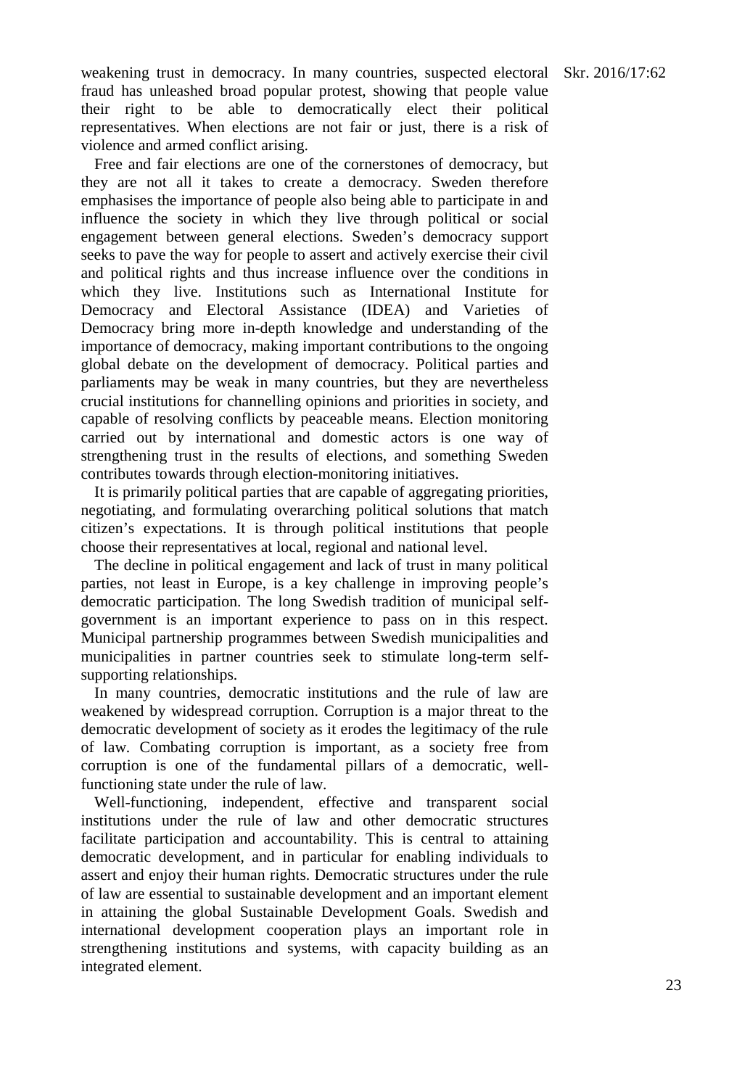weakening trust in democracy. In many countries, suspected electoral Skr. 2016/17:62 fraud has unleashed broad popular protest, showing that people value their right to be able to democratically elect their political representatives. When elections are not fair or just, there is a risk of violence and armed conflict arising.

Free and fair elections are one of the cornerstones of democracy, but they are not all it takes to create a democracy. Sweden therefore emphasises the importance of people also being able to participate in and influence the society in which they live through political or social engagement between general elections. Sweden's democracy support seeks to pave the way for people to assert and actively exercise their civil and political rights and thus increase influence over the conditions in which they live. Institutions such as International Institute for Democracy and Electoral Assistance (IDEA) and Varieties of Democracy bring more in-depth knowledge and understanding of the importance of democracy, making important contributions to the ongoing global debate on the development of democracy. Political parties and parliaments may be weak in many countries, but they are nevertheless crucial institutions for channelling opinions and priorities in society, and capable of resolving conflicts by peaceable means. Election monitoring carried out by international and domestic actors is one way of strengthening trust in the results of elections, and something Sweden contributes towards through election-monitoring initiatives.

It is primarily political parties that are capable of aggregating priorities, negotiating, and formulating overarching political solutions that match citizen's expectations. It is through political institutions that people choose their representatives at local, regional and national level.

The decline in political engagement and lack of trust in many political parties, not least in Europe, is a key challenge in improving people's democratic participation. The long Swedish tradition of municipal selfgovernment is an important experience to pass on in this respect. Municipal partnership programmes between Swedish municipalities and municipalities in partner countries seek to stimulate long-term selfsupporting relationships.

In many countries, democratic institutions and the rule of law are weakened by widespread corruption. Corruption is a major threat to the democratic development of society as it erodes the legitimacy of the rule of law. Combating corruption is important, as a society free from corruption is one of the fundamental pillars of a democratic, wellfunctioning state under the rule of law.

Well-functioning, independent, effective and transparent social institutions under the rule of law and other democratic structures facilitate participation and accountability. This is central to attaining democratic development, and in particular for enabling individuals to assert and enjoy their human rights. Democratic structures under the rule of law are essential to sustainable development and an important element in attaining the global Sustainable Development Goals. Swedish and international development cooperation plays an important role in strengthening institutions and systems, with capacity building as an integrated element.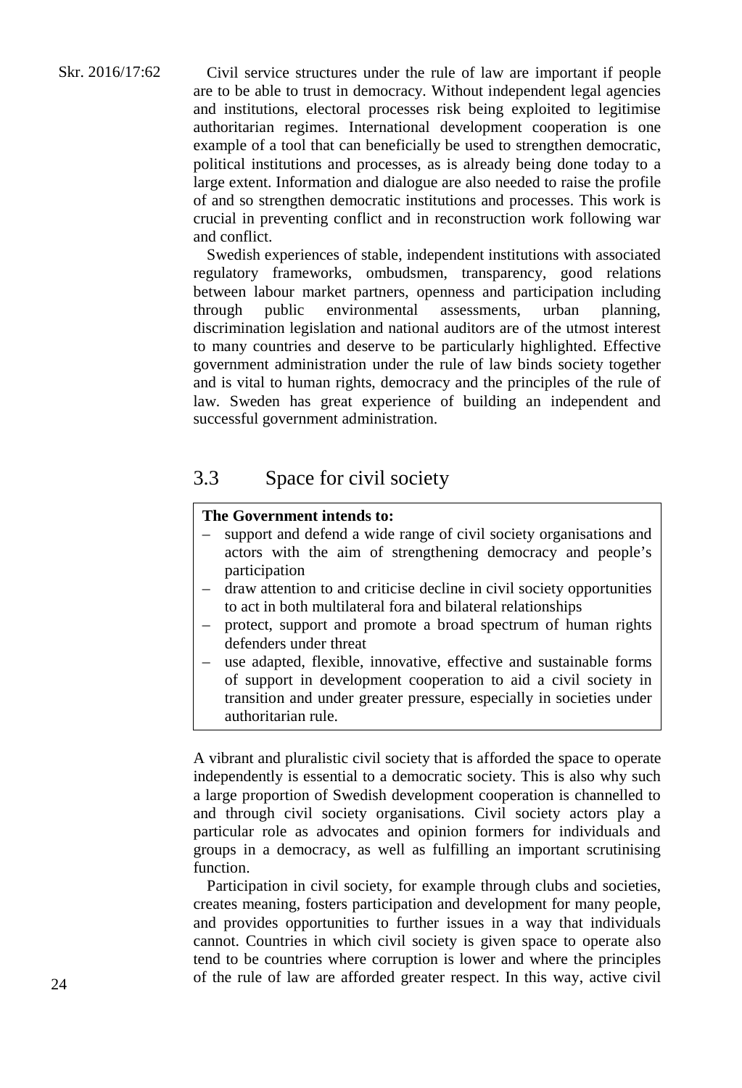Civil service structures under the rule of law are important if people are to be able to trust in democracy. Without independent legal agencies and institutions, electoral processes risk being exploited to legitimise authoritarian regimes. International development cooperation is one example of a tool that can beneficially be used to strengthen democratic, political institutions and processes, as is already being done today to a large extent. Information and dialogue are also needed to raise the profile of and so strengthen democratic institutions and processes. This work is crucial in preventing conflict and in reconstruction work following war and conflict.

Swedish experiences of stable, independent institutions with associated regulatory frameworks, ombudsmen, transparency, good relations between labour market partners, openness and participation including through public environmental assessments, urban planning, discrimination legislation and national auditors are of the utmost interest to many countries and deserve to be particularly highlighted. Effective government administration under the rule of law binds society together and is vital to human rights, democracy and the principles of the rule of law. Sweden has great experience of building an independent and successful government administration.

## 3.3 Space for civil society

#### **The Government intends to:**

- support and defend a wide range of civil society organisations and actors with the aim of strengthening democracy and people's participation
- draw attention to and criticise decline in civil society opportunities to act in both multilateral fora and bilateral relationships
- protect, support and promote a broad spectrum of human rights defenders under threat
- use adapted, flexible, innovative, effective and sustainable forms of support in development cooperation to aid a civil society in transition and under greater pressure, especially in societies under authoritarian rule.

A vibrant and pluralistic civil society that is afforded the space to operate independently is essential to a democratic society. This is also why such a large proportion of Swedish development cooperation is channelled to and through civil society organisations. Civil society actors play a particular role as advocates and opinion formers for individuals and groups in a democracy, as well as fulfilling an important scrutinising function.

Participation in civil society, for example through clubs and societies, creates meaning, fosters participation and development for many people, and provides opportunities to further issues in a way that individuals cannot. Countries in which civil society is given space to operate also tend to be countries where corruption is lower and where the principles of the rule of law are afforded greater respect. In this way, active civil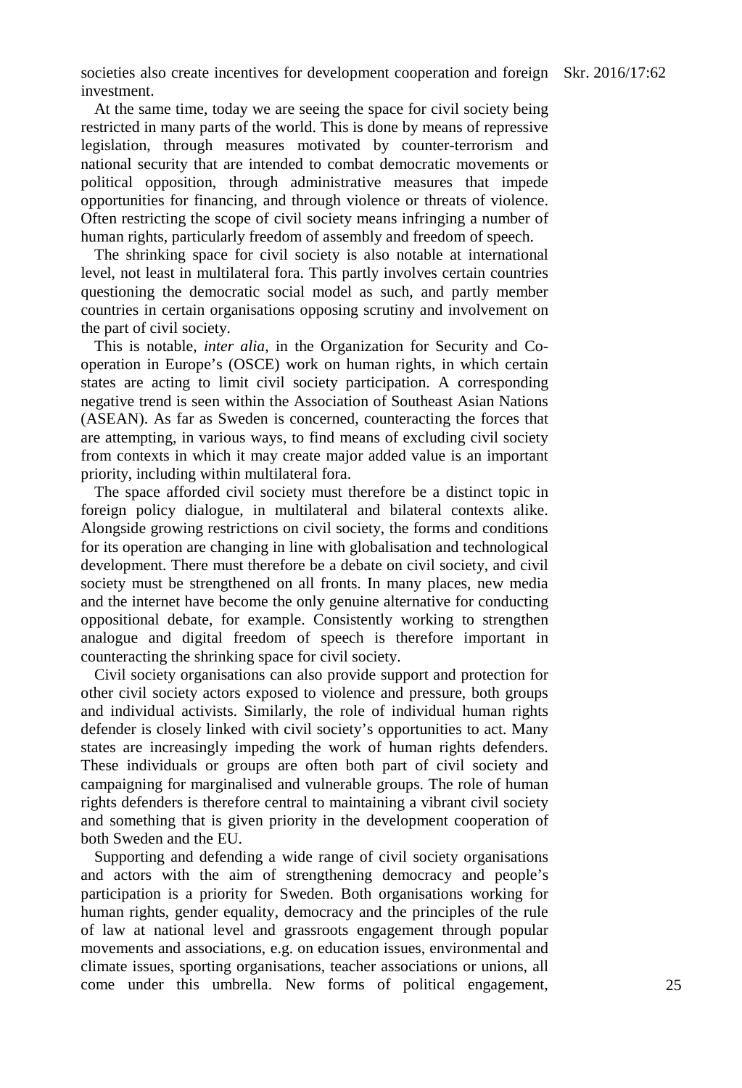societies also create incentives for development cooperation and foreign Skr. 2016/17:62 investment.

At the same time, today we are seeing the space for civil society being restricted in many parts of the world. This is done by means of repressive legislation, through measures motivated by counter-terrorism and national security that are intended to combat democratic movements or political opposition, through administrative measures that impede opportunities for financing, and through violence or threats of violence. Often restricting the scope of civil society means infringing a number of human rights, particularly freedom of assembly and freedom of speech.

The shrinking space for civil society is also notable at international level, not least in multilateral fora. This partly involves certain countries questioning the democratic social model as such, and partly member countries in certain organisations opposing scrutiny and involvement on the part of civil society.

This is notable, *inter alia*, in the Organization for Security and Cooperation in Europe's (OSCE) work on human rights, in which certain states are acting to limit civil society participation. A corresponding negative trend is seen within the Association of Southeast Asian Nations (ASEAN). As far as Sweden is concerned, counteracting the forces that are attempting, in various ways, to find means of excluding civil society from contexts in which it may create major added value is an important priority, including within multilateral fora.

The space afforded civil society must therefore be a distinct topic in foreign policy dialogue, in multilateral and bilateral contexts alike. Alongside growing restrictions on civil society, the forms and conditions for its operation are changing in line with globalisation and technological development. There must therefore be a debate on civil society, and civil society must be strengthened on all fronts. In many places, new media and the internet have become the only genuine alternative for conducting oppositional debate, for example. Consistently working to strengthen analogue and digital freedom of speech is therefore important in counteracting the shrinking space for civil society.

Civil society organisations can also provide support and protection for other civil society actors exposed to violence and pressure, both groups and individual activists. Similarly, the role of individual human rights defender is closely linked with civil society's opportunities to act. Many states are increasingly impeding the work of human rights defenders. These individuals or groups are often both part of civil society and campaigning for marginalised and vulnerable groups. The role of human rights defenders is therefore central to maintaining a vibrant civil society and something that is given priority in the development cooperation of both Sweden and the EU.

Supporting and defending a wide range of civil society organisations and actors with the aim of strengthening democracy and people's participation is a priority for Sweden. Both organisations working for human rights, gender equality, democracy and the principles of the rule of law at national level and grassroots engagement through popular movements and associations, e.g. on education issues, environmental and climate issues, sporting organisations, teacher associations or unions, all come under this umbrella. New forms of political engagement,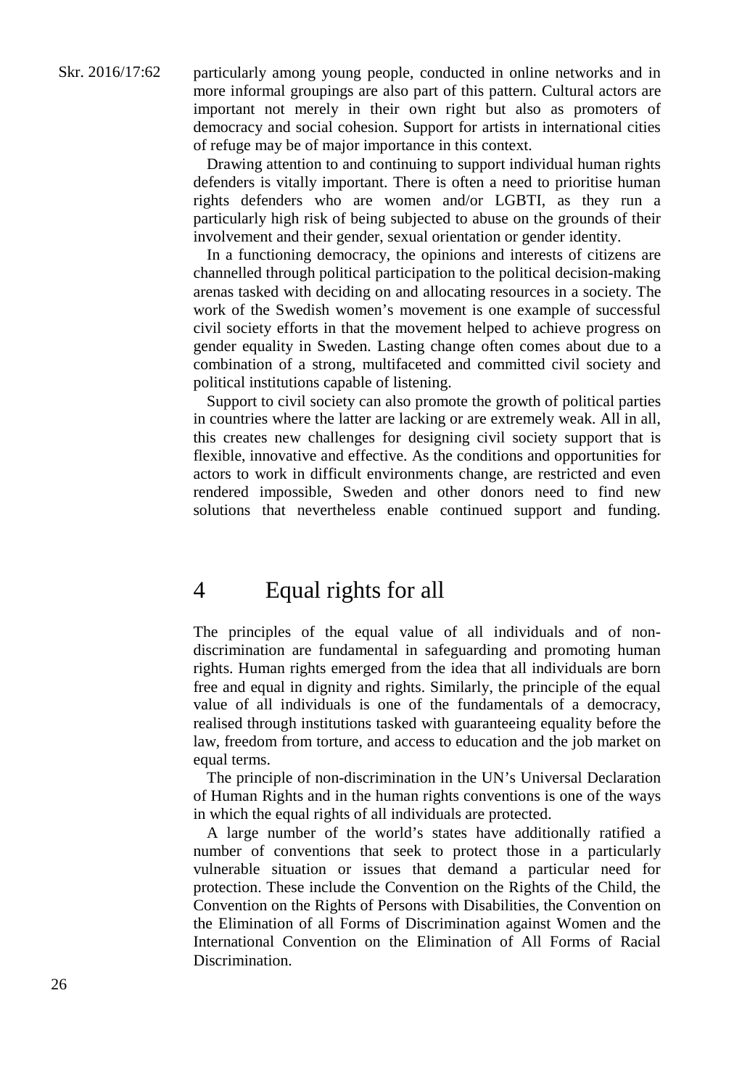particularly among young people, conducted in online networks and in more informal groupings are also part of this pattern. Cultural actors are important not merely in their own right but also as promoters of democracy and social cohesion. Support for artists in international cities of refuge may be of major importance in this context.

Drawing attention to and continuing to support individual human rights defenders is vitally important. There is often a need to prioritise human rights defenders who are women and/or LGBTI, as they run a particularly high risk of being subjected to abuse on the grounds of their involvement and their gender, sexual orientation or gender identity.

In a functioning democracy, the opinions and interests of citizens are channelled through political participation to the political decision-making arenas tasked with deciding on and allocating resources in a society. The work of the Swedish women's movement is one example of successful civil society efforts in that the movement helped to achieve progress on gender equality in Sweden. Lasting change often comes about due to a combination of a strong, multifaceted and committed civil society and political institutions capable of listening.

Support to civil society can also promote the growth of political parties in countries where the latter are lacking or are extremely weak. All in all, this creates new challenges for designing civil society support that is flexible, innovative and effective. As the conditions and opportunities for actors to work in difficult environments change, are restricted and even rendered impossible, Sweden and other donors need to find new solutions that nevertheless enable continued support and funding.

## 4 Equal rights for all

The principles of the equal value of all individuals and of nondiscrimination are fundamental in safeguarding and promoting human rights. Human rights emerged from the idea that all individuals are born free and equal in dignity and rights. Similarly, the principle of the equal value of all individuals is one of the fundamentals of a democracy, realised through institutions tasked with guaranteeing equality before the law, freedom from torture, and access to education and the job market on equal terms.

The principle of non-discrimination in the UN's Universal Declaration of Human Rights and in the human rights conventions is one of the ways in which the equal rights of all individuals are protected.

A large number of the world's states have additionally ratified a number of conventions that seek to protect those in a particularly vulnerable situation or issues that demand a particular need for protection. These include the Convention on the Rights of the Child, the Convention on the Rights of Persons with Disabilities, the Convention on the Elimination of all Forms of Discrimination against Women and the International Convention on the Elimination of All Forms of Racial Discrimination.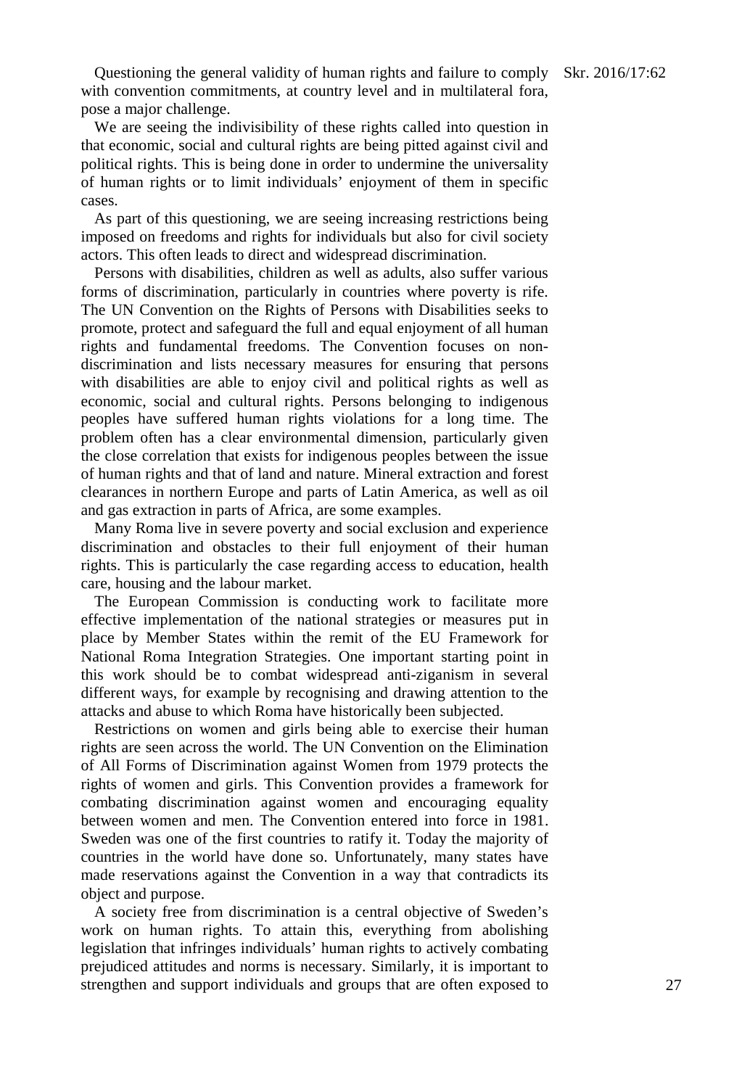Questioning the general validity of human rights and failure to comply Skr. 2016/17:62 with convention commitments, at country level and in multilateral fora, pose a major challenge.

We are seeing the indivisibility of these rights called into question in that economic, social and cultural rights are being pitted against civil and political rights. This is being done in order to undermine the universality of human rights or to limit individuals' enjoyment of them in specific cases.

As part of this questioning, we are seeing increasing restrictions being imposed on freedoms and rights for individuals but also for civil society actors. This often leads to direct and widespread discrimination.

Persons with disabilities, children as well as adults, also suffer various forms of discrimination, particularly in countries where poverty is rife. The UN Convention on the Rights of Persons with Disabilities seeks to promote, protect and safeguard the full and equal enjoyment of all human rights and fundamental freedoms. The Convention focuses on nondiscrimination and lists necessary measures for ensuring that persons with disabilities are able to enjoy civil and political rights as well as economic, social and cultural rights. Persons belonging to indigenous peoples have suffered human rights violations for a long time. The problem often has a clear environmental dimension, particularly given the close correlation that exists for indigenous peoples between the issue of human rights and that of land and nature. Mineral extraction and forest clearances in northern Europe and parts of Latin America, as well as oil and gas extraction in parts of Africa, are some examples.

Many Roma live in severe poverty and social exclusion and experience discrimination and obstacles to their full enjoyment of their human rights. This is particularly the case regarding access to education, health care, housing and the labour market.

The European Commission is conducting work to facilitate more effective implementation of the national strategies or measures put in place by Member States within the remit of the EU Framework for National Roma Integration Strategies. One important starting point in this work should be to combat widespread anti-ziganism in several different ways, for example by recognising and drawing attention to the attacks and abuse to which Roma have historically been subjected.

Restrictions on women and girls being able to exercise their human rights are seen across the world. The UN Convention on the Elimination of All Forms of Discrimination against Women from 1979 protects the rights of women and girls. This Convention provides a framework for combating discrimination against women and encouraging equality between women and men. The Convention entered into force in 1981. Sweden was one of the first countries to ratify it. Today the majority of countries in the world have done so. Unfortunately, many states have made reservations against the Convention in a way that contradicts its object and purpose.

A society free from discrimination is a central objective of Sweden's work on human rights. To attain this, everything from abolishing legislation that infringes individuals' human rights to actively combating prejudiced attitudes and norms is necessary. Similarly, it is important to strengthen and support individuals and groups that are often exposed to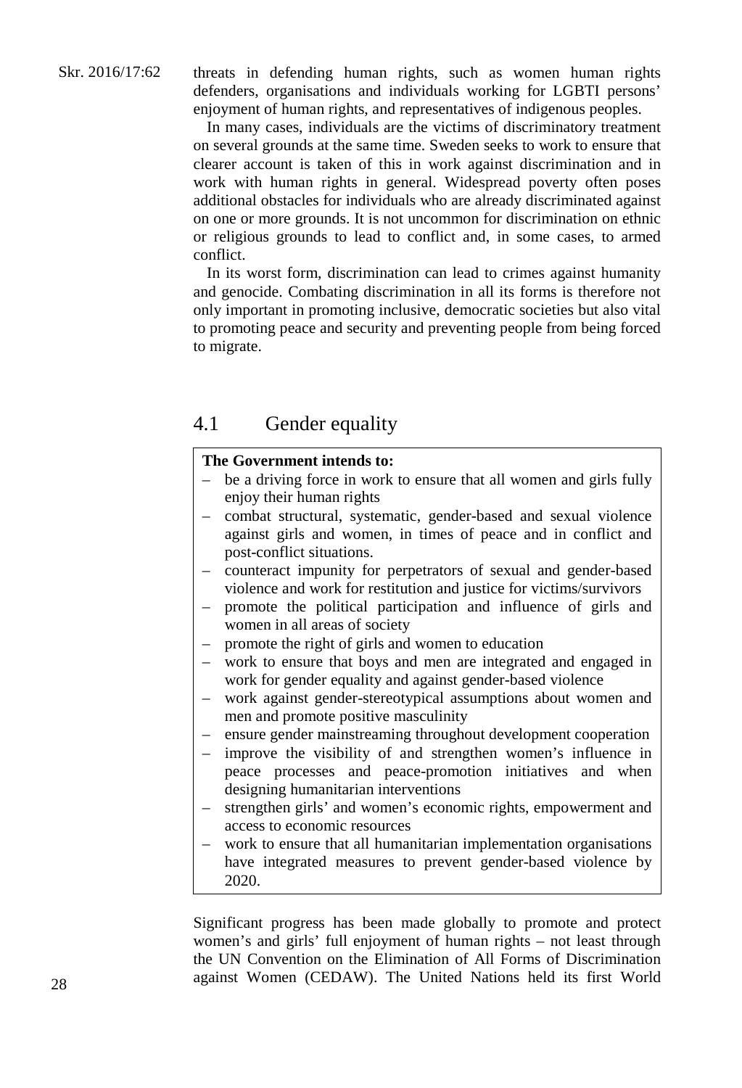threats in defending human rights, such as women human rights defenders, organisations and individuals working for LGBTI persons' enjoyment of human rights, and representatives of indigenous peoples.

In many cases, individuals are the victims of discriminatory treatment on several grounds at the same time. Sweden seeks to work to ensure that clearer account is taken of this in work against discrimination and in work with human rights in general. Widespread poverty often poses additional obstacles for individuals who are already discriminated against on one or more grounds. It is not uncommon for discrimination on ethnic or religious grounds to lead to conflict and, in some cases, to armed conflict.

In its worst form, discrimination can lead to crimes against humanity and genocide. Combating discrimination in all its forms is therefore not only important in promoting inclusive, democratic societies but also vital to promoting peace and security and preventing people from being forced to migrate.

## 4.1 Gender equality

#### **The Government intends to:**

- be a driving force in work to ensure that all women and girls fully enjoy their human rights
- combat structural, systematic, gender-based and sexual violence against girls and women, in times of peace and in conflict and post-conflict situations.
- counteract impunity for perpetrators of sexual and gender-based violence and work for restitution and justice for victims/survivors
- promote the political participation and influence of girls and women in all areas of society
- promote the right of girls and women to education
- work to ensure that boys and men are integrated and engaged in work for gender equality and against gender-based violence
- work against gender-stereotypical assumptions about women and men and promote positive masculinity
- ensure gender mainstreaming throughout development cooperation
- improve the visibility of and strengthen women's influence in peace processes and peace-promotion initiatives and when designing humanitarian interventions
- strengthen girls' and women's economic rights, empowerment and access to economic resources
- work to ensure that all humanitarian implementation organisations have integrated measures to prevent gender-based violence by 2020.

Significant progress has been made globally to promote and protect women's and girls' full enjoyment of human rights – not least through the UN Convention on the Elimination of All Forms of Discrimination against Women (CEDAW). The United Nations held its first World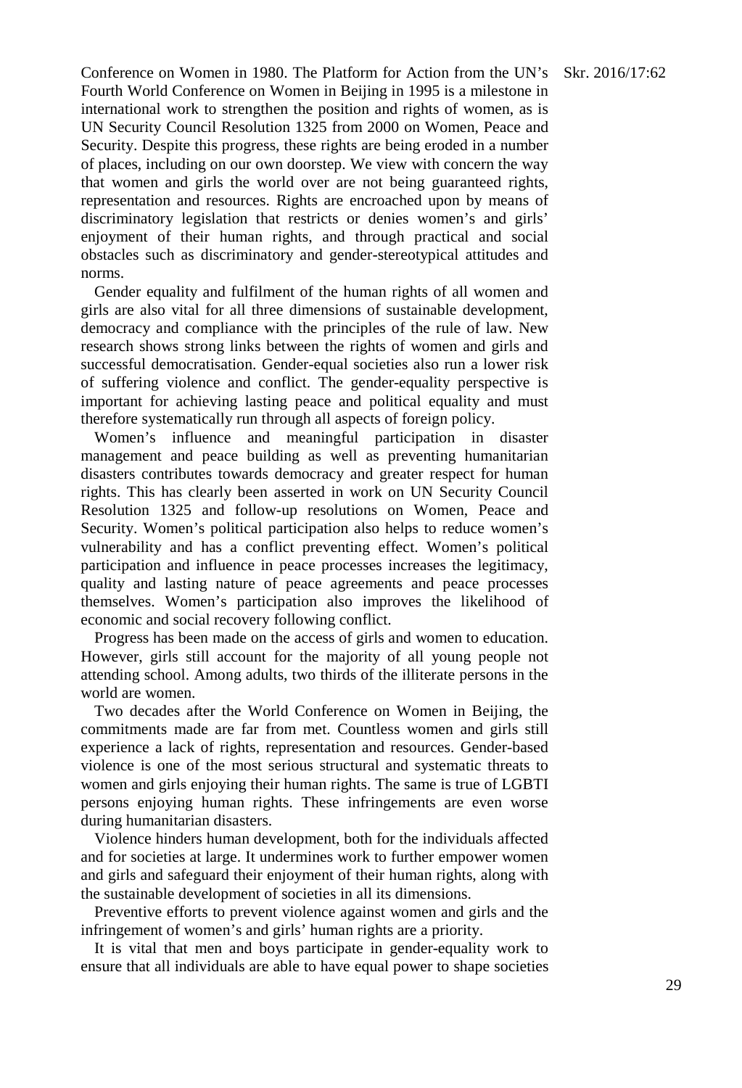Conference on Women in 1980. The Platform for Action from the UN's Skr. 2016/17:62 Fourth World Conference on Women in Beijing in 1995 is a milestone in international work to strengthen the position and rights of women, as is UN Security Council Resolution 1325 from 2000 on Women, Peace and Security. Despite this progress, these rights are being eroded in a number of places, including on our own doorstep. We view with concern the way that women and girls the world over are not being guaranteed rights, representation and resources. Rights are encroached upon by means of discriminatory legislation that restricts or denies women's and girls' enjoyment of their human rights, and through practical and social obstacles such as discriminatory and gender-stereotypical attitudes and norms.

Gender equality and fulfilment of the human rights of all women and girls are also vital for all three dimensions of sustainable development, democracy and compliance with the principles of the rule of law. New research shows strong links between the rights of women and girls and successful democratisation. Gender-equal societies also run a lower risk of suffering violence and conflict. The gender-equality perspective is important for achieving lasting peace and political equality and must therefore systematically run through all aspects of foreign policy.

Women's influence and meaningful participation in disaster management and peace building as well as preventing humanitarian disasters contributes towards democracy and greater respect for human rights. This has clearly been asserted in work on UN Security Council Resolution 1325 and follow-up resolutions on Women, Peace and Security. Women's political participation also helps to reduce women's vulnerability and has a conflict preventing effect. Women's political participation and influence in peace processes increases the legitimacy, quality and lasting nature of peace agreements and peace processes themselves. Women's participation also improves the likelihood of economic and social recovery following conflict.

Progress has been made on the access of girls and women to education. However, girls still account for the majority of all young people not attending school. Among adults, two thirds of the illiterate persons in the world are women.

Two decades after the World Conference on Women in Beijing, the commitments made are far from met. Countless women and girls still experience a lack of rights, representation and resources. Gender-based violence is one of the most serious structural and systematic threats to women and girls enjoying their human rights. The same is true of LGBTI persons enjoying human rights. These infringements are even worse during humanitarian disasters.

Violence hinders human development, both for the individuals affected and for societies at large. It undermines work to further empower women and girls and safeguard their enjoyment of their human rights, along with the sustainable development of societies in all its dimensions.

Preventive efforts to prevent violence against women and girls and the infringement of women's and girls' human rights are a priority.

It is vital that men and boys participate in gender-equality work to ensure that all individuals are able to have equal power to shape societies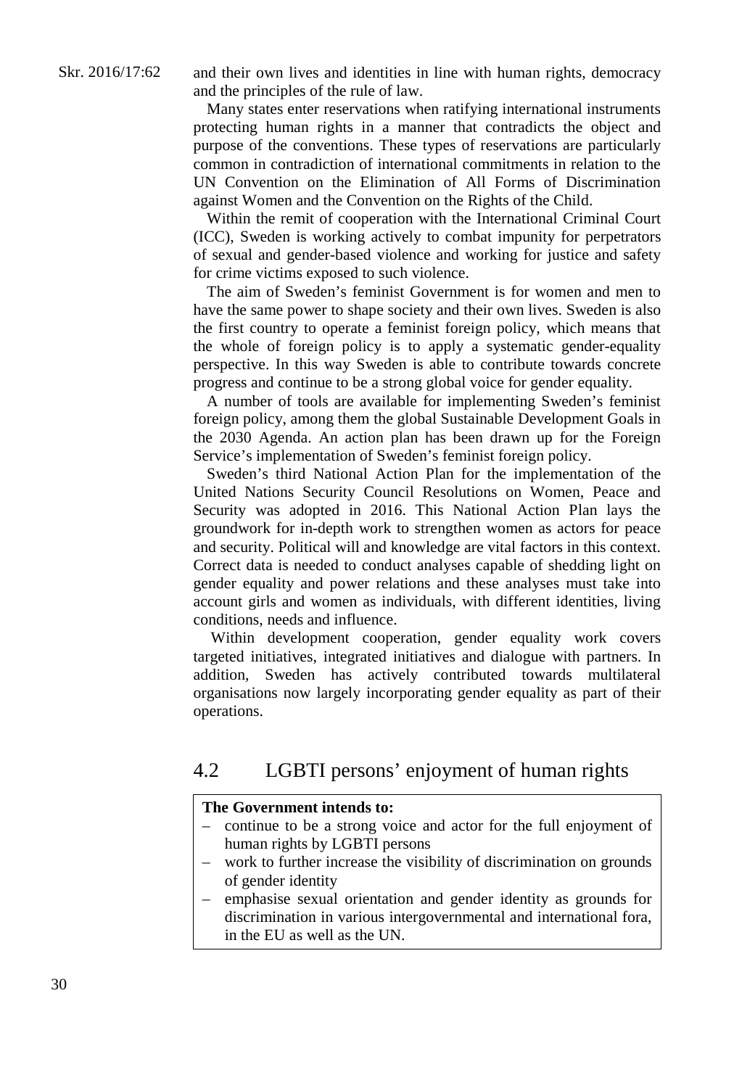and their own lives and identities in line with human rights, democracy and the principles of the rule of law.

Many states enter reservations when ratifying international instruments protecting human rights in a manner that contradicts the object and purpose of the conventions. These types of reservations are particularly common in contradiction of international commitments in relation to the UN Convention on the Elimination of All Forms of Discrimination against Women and the Convention on the Rights of the Child.

Within the remit of cooperation with the International Criminal Court (ICC), Sweden is working actively to combat impunity for perpetrators of sexual and gender-based violence and working for justice and safety for crime victims exposed to such violence.

The aim of Sweden's feminist Government is for women and men to have the same power to shape society and their own lives. Sweden is also the first country to operate a feminist foreign policy, which means that the whole of foreign policy is to apply a systematic gender-equality perspective. In this way Sweden is able to contribute towards concrete progress and continue to be a strong global voice for gender equality.

A number of tools are available for implementing Sweden's feminist foreign policy, among them the global Sustainable Development Goals in the 2030 Agenda. An action plan has been drawn up for the Foreign Service's implementation of Sweden's feminist foreign policy.

Sweden's third National Action Plan for the implementation of the United Nations Security Council Resolutions on Women, Peace and Security was adopted in 2016. This National Action Plan lays the groundwork for in-depth work to strengthen women as actors for peace and security. Political will and knowledge are vital factors in this context. Correct data is needed to conduct analyses capable of shedding light on gender equality and power relations and these analyses must take into account girls and women as individuals, with different identities, living conditions, needs and influence.

Within development cooperation, gender equality work covers targeted initiatives, integrated initiatives and dialogue with partners. In addition, Sweden has actively contributed towards multilateral organisations now largely incorporating gender equality as part of their operations.

## 4.2 LGBTI persons' enjoyment of human rights

#### **The Government intends to:**

- continue to be a strong voice and actor for the full enjoyment of human rights by LGBTI persons
- work to further increase the visibility of discrimination on grounds of gender identity
- emphasise sexual orientation and gender identity as grounds for discrimination in various intergovernmental and international fora, in the EU as well as the UN.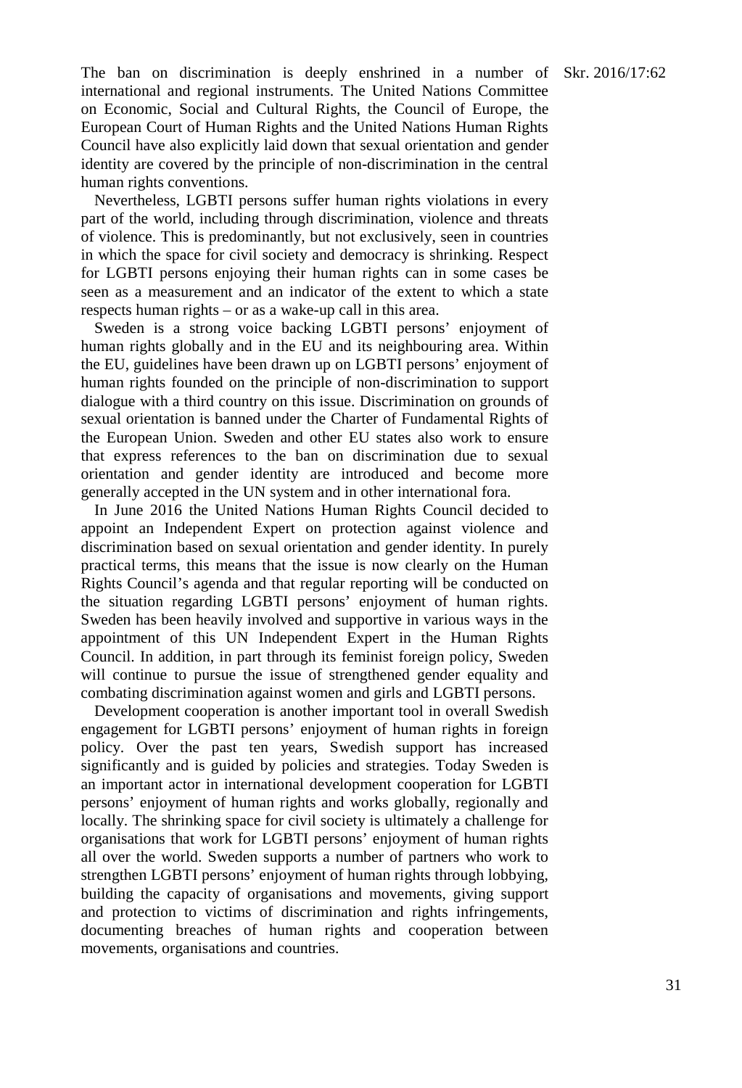The ban on discrimination is deeply enshrined in a number of Skr. 2016/17:62 international and regional instruments. The United Nations Committee on Economic, Social and Cultural Rights, the Council of Europe, the European Court of Human Rights and the United Nations Human Rights Council have also explicitly laid down that sexual orientation and gender identity are covered by the principle of non-discrimination in the central human rights conventions.

Nevertheless, LGBTI persons suffer human rights violations in every part of the world, including through discrimination, violence and threats of violence. This is predominantly, but not exclusively, seen in countries in which the space for civil society and democracy is shrinking. Respect for LGBTI persons enjoying their human rights can in some cases be seen as a measurement and an indicator of the extent to which a state respects human rights – or as a wake-up call in this area.

Sweden is a strong voice backing LGBTI persons' enjoyment of human rights globally and in the EU and its neighbouring area. Within the EU, guidelines have been drawn up on LGBTI persons' enjoyment of human rights founded on the principle of non-discrimination to support dialogue with a third country on this issue. Discrimination on grounds of sexual orientation is banned under the Charter of Fundamental Rights of the European Union. Sweden and other EU states also work to ensure that express references to the ban on discrimination due to sexual orientation and gender identity are introduced and become more generally accepted in the UN system and in other international fora.

In June 2016 the United Nations Human Rights Council decided to appoint an Independent Expert on protection against violence and discrimination based on sexual orientation and gender identity. In purely practical terms, this means that the issue is now clearly on the Human Rights Council's agenda and that regular reporting will be conducted on the situation regarding LGBTI persons' enjoyment of human rights. Sweden has been heavily involved and supportive in various ways in the appointment of this UN Independent Expert in the Human Rights Council. In addition, in part through its feminist foreign policy, Sweden will continue to pursue the issue of strengthened gender equality and combating discrimination against women and girls and LGBTI persons.

Development cooperation is another important tool in overall Swedish engagement for LGBTI persons' enjoyment of human rights in foreign policy. Over the past ten years, Swedish support has increased significantly and is guided by policies and strategies. Today Sweden is an important actor in international development cooperation for LGBTI persons' enjoyment of human rights and works globally, regionally and locally. The shrinking space for civil society is ultimately a challenge for organisations that work for LGBTI persons' enjoyment of human rights all over the world. Sweden supports a number of partners who work to strengthen LGBTI persons' enjoyment of human rights through lobbying, building the capacity of organisations and movements, giving support and protection to victims of discrimination and rights infringements, documenting breaches of human rights and cooperation between movements, organisations and countries.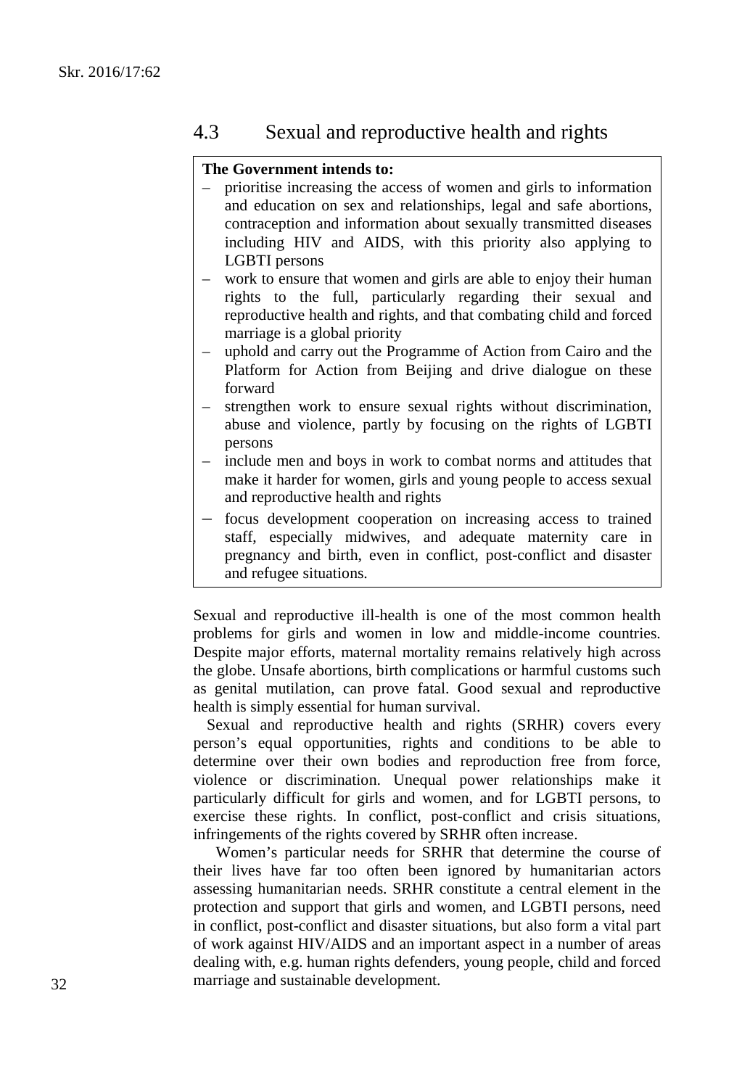#### 4.3 Sexual and reproductive health and rights

#### **The Government intends to:**

- prioritise increasing the access of women and girls to information and education on sex and relationships, legal and safe abortions, contraception and information about sexually transmitted diseases including HIV and AIDS, with this priority also applying to LGBTI persons
- work to ensure that women and girls are able to enjoy their human rights to the full, particularly regarding their sexual and reproductive health and rights, and that combating child and forced marriage is a global priority
- uphold and carry out the Programme of Action from Cairo and the Platform for Action from Beijing and drive dialogue on these forward
- strengthen work to ensure sexual rights without discrimination, abuse and violence, partly by focusing on the rights of LGBTI persons
- include men and boys in work to combat norms and attitudes that make it harder for women, girls and young people to access sexual and reproductive health and rights
- focus development cooperation on increasing access to trained staff, especially midwives, and adequate maternity care in pregnancy and birth, even in conflict, post-conflict and disaster and refugee situations.

Sexual and reproductive ill-health is one of the most common health problems for girls and women in low and middle-income countries. Despite major efforts, maternal mortality remains relatively high across the globe. Unsafe abortions, birth complications or harmful customs such as genital mutilation, can prove fatal. Good sexual and reproductive health is simply essential for human survival.

Sexual and reproductive health and rights (SRHR) covers every person's equal opportunities, rights and conditions to be able to determine over their own bodies and reproduction free from force, violence or discrimination. Unequal power relationships make it particularly difficult for girls and women, and for LGBTI persons, to exercise these rights. In conflict, post-conflict and crisis situations, infringements of the rights covered by SRHR often increase.

Women's particular needs for SRHR that determine the course of their lives have far too often been ignored by humanitarian actors assessing humanitarian needs. SRHR constitute a central element in the protection and support that girls and women, and LGBTI persons, need in conflict, post-conflict and disaster situations, but also form a vital part of work against HIV/AIDS and an important aspect in a number of areas dealing with, e.g. human rights defenders, young people, child and forced marriage and sustainable development.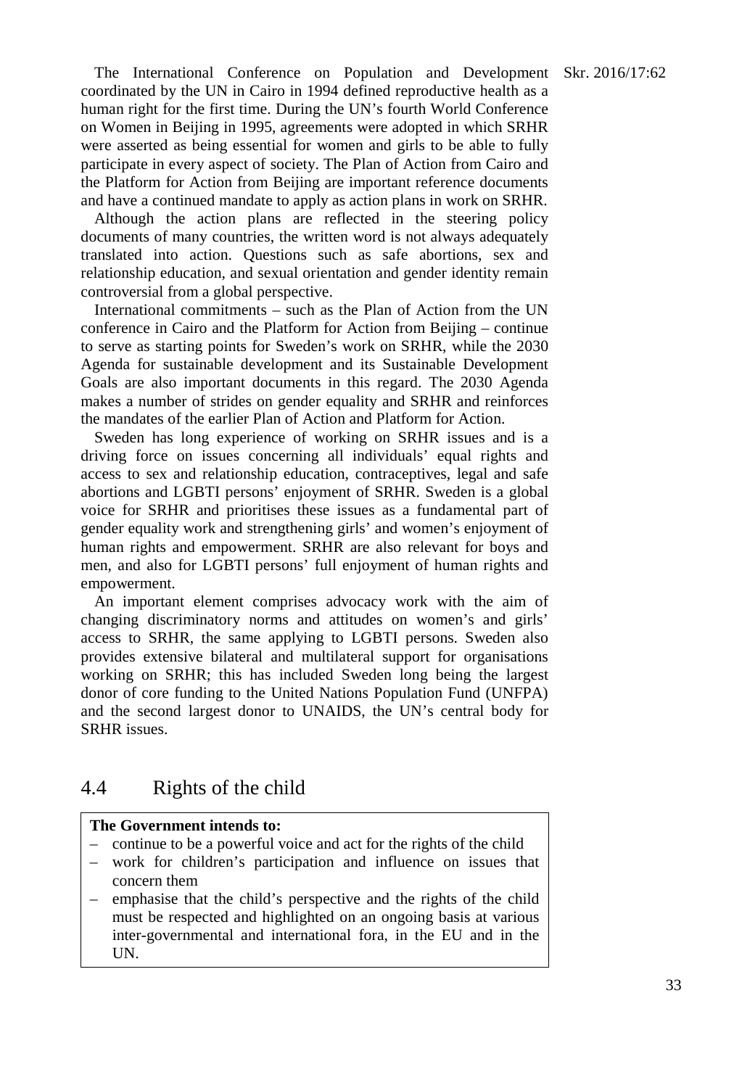The International Conference on Population and Development Skr. 2016/17:62 coordinated by the UN in Cairo in 1994 defined reproductive health as a human right for the first time. During the UN's fourth World Conference on Women in Beijing in 1995, agreements were adopted in which SRHR were asserted as being essential for women and girls to be able to fully participate in every aspect of society. The Plan of Action from Cairo and the Platform for Action from Beijing are important reference documents and have a continued mandate to apply as action plans in work on SRHR.

Although the action plans are reflected in the steering policy documents of many countries, the written word is not always adequately translated into action. Questions such as safe abortions, sex and relationship education, and sexual orientation and gender identity remain controversial from a global perspective.

International commitments – such as the Plan of Action from the UN conference in Cairo and the Platform for Action from Beijing – continue to serve as starting points for Sweden's work on SRHR, while the 2030 Agenda for sustainable development and its Sustainable Development Goals are also important documents in this regard. The 2030 Agenda makes a number of strides on gender equality and SRHR and reinforces the mandates of the earlier Plan of Action and Platform for Action.

Sweden has long experience of working on SRHR issues and is a driving force on issues concerning all individuals' equal rights and access to sex and relationship education, contraceptives, legal and safe abortions and LGBTI persons' enjoyment of SRHR. Sweden is a global voice for SRHR and prioritises these issues as a fundamental part of gender equality work and strengthening girls' and women's enjoyment of human rights and empowerment. SRHR are also relevant for boys and men, and also for LGBTI persons' full enjoyment of human rights and empowerment.

An important element comprises advocacy work with the aim of changing discriminatory norms and attitudes on women's and girls' access to SRHR, the same applying to LGBTI persons. Sweden also provides extensive bilateral and multilateral support for organisations working on SRHR; this has included Sweden long being the largest donor of core funding to the United Nations Population Fund (UNFPA) and the second largest donor to UNAIDS, the UN's central body for SRHR issues.

#### 4.4 Rights of the child

#### **The Government intends to:**

- continue to be a powerful voice and act for the rights of the child
- work for children's participation and influence on issues that concern them
- emphasise that the child's perspective and the rights of the child must be respected and highlighted on an ongoing basis at various inter-governmental and international fora, in the EU and in the UN.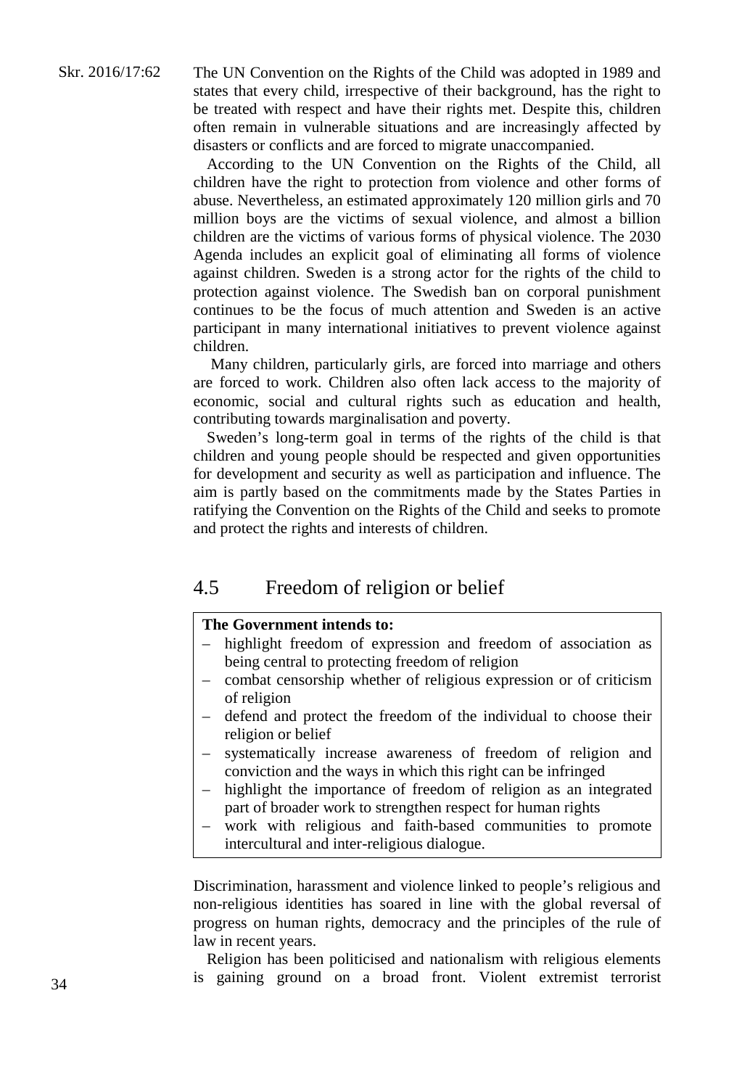The UN Convention on the Rights of the Child was adopted in 1989 and states that every child, irrespective of their background, has the right to be treated with respect and have their rights met. Despite this, children often remain in vulnerable situations and are increasingly affected by disasters or conflicts and are forced to migrate unaccompanied.

According to the UN Convention on the Rights of the Child, all children have the right to protection from violence and other forms of abuse. Nevertheless, an estimated approximately 120 million girls and 70 million boys are the victims of sexual violence, and almost a billion children are the victims of various forms of physical violence. The 2030 Agenda includes an explicit goal of eliminating all forms of violence against children. Sweden is a strong actor for the rights of the child to protection against violence. The Swedish ban on corporal punishment continues to be the focus of much attention and Sweden is an active participant in many international initiatives to prevent violence against children.

Many children, particularly girls, are forced into marriage and others are forced to work. Children also often lack access to the majority of economic, social and cultural rights such as education and health, contributing towards marginalisation and poverty.

Sweden's long-term goal in terms of the rights of the child is that children and young people should be respected and given opportunities for development and security as well as participation and influence. The aim is partly based on the commitments made by the States Parties in ratifying the Convention on the Rights of the Child and seeks to promote and protect the rights and interests of children.

#### 4.5 Freedom of religion or belief

#### **The Government intends to:**

- highlight freedom of expression and freedom of association as being central to protecting freedom of religion
- combat censorship whether of religious expression or of criticism of religion
- defend and protect the freedom of the individual to choose their religion or belief
- systematically increase awareness of freedom of religion and conviction and the ways in which this right can be infringed
- highlight the importance of freedom of religion as an integrated part of broader work to strengthen respect for human rights
- work with religious and faith-based communities to promote intercultural and inter-religious dialogue.

Discrimination, harassment and violence linked to people's religious and non-religious identities has soared in line with the global reversal of progress on human rights, democracy and the principles of the rule of law in recent years.

Religion has been politicised and nationalism with religious elements is gaining ground on a broad front. Violent extremist terrorist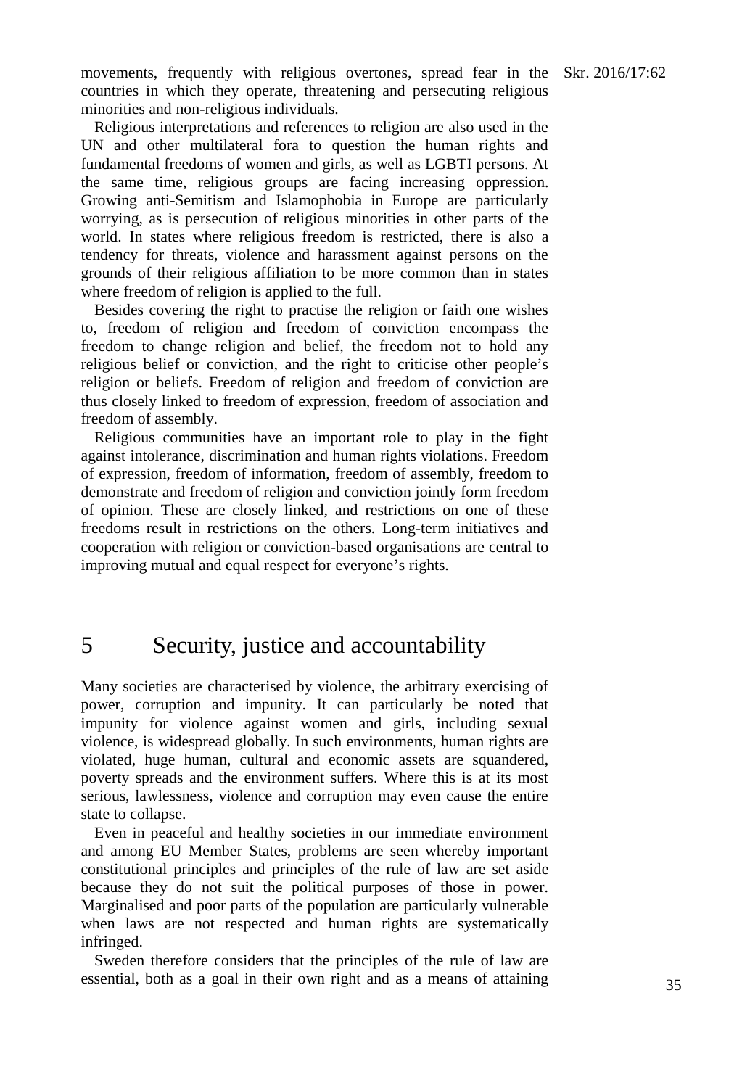movements, frequently with religious overtones, spread fear in the Skr. 2016/17:62 countries in which they operate, threatening and persecuting religious minorities and non-religious individuals.

Religious interpretations and references to religion are also used in the UN and other multilateral fora to question the human rights and fundamental freedoms of women and girls, as well as LGBTI persons. At the same time, religious groups are facing increasing oppression. Growing anti-Semitism and Islamophobia in Europe are particularly worrying, as is persecution of religious minorities in other parts of the world. In states where religious freedom is restricted, there is also a tendency for threats, violence and harassment against persons on the grounds of their religious affiliation to be more common than in states where freedom of religion is applied to the full.

Besides covering the right to practise the religion or faith one wishes to, freedom of religion and freedom of conviction encompass the freedom to change religion and belief, the freedom not to hold any religious belief or conviction, and the right to criticise other people's religion or beliefs. Freedom of religion and freedom of conviction are thus closely linked to freedom of expression, freedom of association and freedom of assembly.

Religious communities have an important role to play in the fight against intolerance, discrimination and human rights violations. Freedom of expression, freedom of information, freedom of assembly, freedom to demonstrate and freedom of religion and conviction jointly form freedom of opinion. These are closely linked, and restrictions on one of these freedoms result in restrictions on the others. Long-term initiatives and cooperation with religion or conviction-based organisations are central to improving mutual and equal respect for everyone's rights.

## 5 Security, justice and accountability

Many societies are characterised by violence, the arbitrary exercising of power, corruption and impunity. It can particularly be noted that impunity for violence against women and girls, including sexual violence, is widespread globally. In such environments, human rights are violated, huge human, cultural and economic assets are squandered, poverty spreads and the environment suffers. Where this is at its most serious, lawlessness, violence and corruption may even cause the entire state to collapse.

Even in peaceful and healthy societies in our immediate environment and among EU Member States, problems are seen whereby important constitutional principles and principles of the rule of law are set aside because they do not suit the political purposes of those in power. Marginalised and poor parts of the population are particularly vulnerable when laws are not respected and human rights are systematically infringed.

Sweden therefore considers that the principles of the rule of law are essential, both as a goal in their own right and as a means of attaining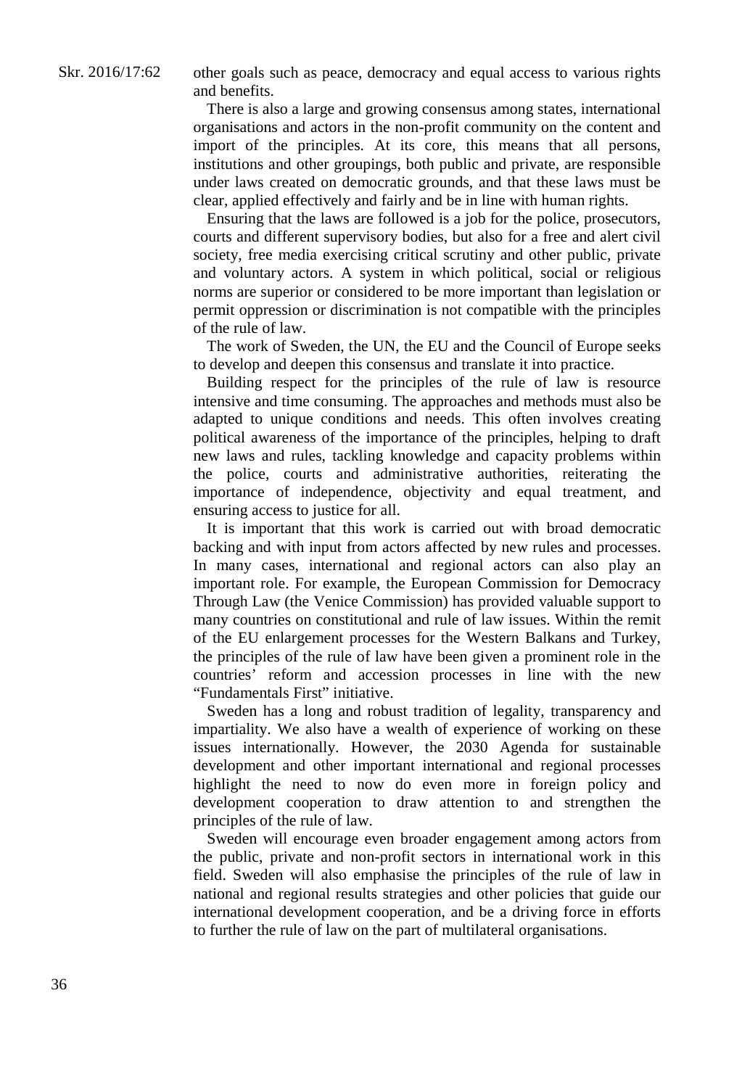other goals such as peace, democracy and equal access to various rights and benefits.

There is also a large and growing consensus among states, international organisations and actors in the non-profit community on the content and import of the principles. At its core, this means that all persons, institutions and other groupings, both public and private, are responsible under laws created on democratic grounds, and that these laws must be clear, applied effectively and fairly and be in line with human rights.

Ensuring that the laws are followed is a job for the police, prosecutors, courts and different supervisory bodies, but also for a free and alert civil society, free media exercising critical scrutiny and other public, private and voluntary actors. A system in which political, social or religious norms are superior or considered to be more important than legislation or permit oppression or discrimination is not compatible with the principles of the rule of law.

The work of Sweden, the UN, the EU and the Council of Europe seeks to develop and deepen this consensus and translate it into practice.

Building respect for the principles of the rule of law is resource intensive and time consuming. The approaches and methods must also be adapted to unique conditions and needs. This often involves creating political awareness of the importance of the principles, helping to draft new laws and rules, tackling knowledge and capacity problems within the police, courts and administrative authorities, reiterating the importance of independence, objectivity and equal treatment, and ensuring access to justice for all.

It is important that this work is carried out with broad democratic backing and with input from actors affected by new rules and processes. In many cases, international and regional actors can also play an important role. For example, the European Commission for Democracy Through Law (the Venice Commission) has provided valuable support to many countries on constitutional and rule of law issues. Within the remit of the EU enlargement processes for the Western Balkans and Turkey, the principles of the rule of law have been given a prominent role in the countries' reform and accession processes in line with the new "Fundamentals First" initiative.

Sweden has a long and robust tradition of legality, transparency and impartiality. We also have a wealth of experience of working on these issues internationally. However, the 2030 Agenda for sustainable development and other important international and regional processes highlight the need to now do even more in foreign policy and development cooperation to draw attention to and strengthen the principles of the rule of law.

Sweden will encourage even broader engagement among actors from the public, private and non-profit sectors in international work in this field. Sweden will also emphasise the principles of the rule of law in national and regional results strategies and other policies that guide our international development cooperation, and be a driving force in efforts to further the rule of law on the part of multilateral organisations.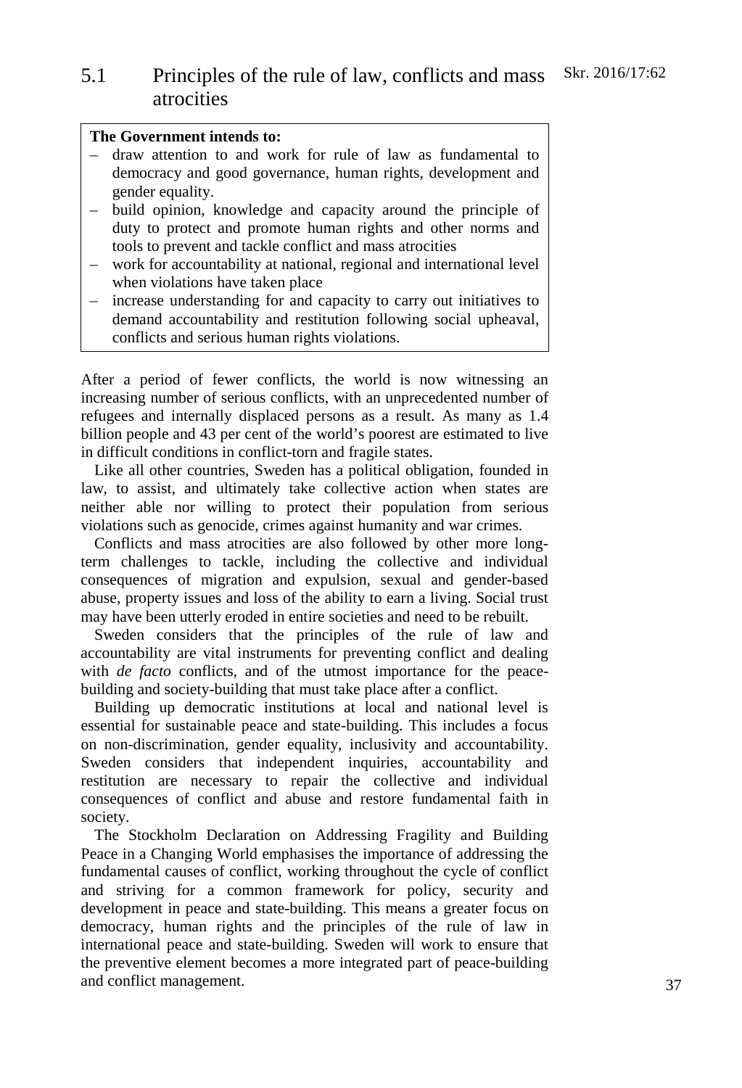# 5.1 Principles of the rule of law, conflicts and mass Skr. 2016/17:62 atrocities

## **The Government intends to:**

- draw attention to and work for rule of law as fundamental to democracy and good governance, human rights, development and gender equality.
- build opinion, knowledge and capacity around the principle of duty to protect and promote human rights and other norms and tools to prevent and tackle conflict and mass atrocities
- work for accountability at national, regional and international level when violations have taken place
- increase understanding for and capacity to carry out initiatives to demand accountability and restitution following social upheaval, conflicts and serious human rights violations.

After a period of fewer conflicts, the world is now witnessing an increasing number of serious conflicts, with an unprecedented number of refugees and internally displaced persons as a result. As many as 1.4 billion people and 43 per cent of the world's poorest are estimated to live in difficult conditions in conflict-torn and fragile states.

Like all other countries, Sweden has a political obligation, founded in law, to assist, and ultimately take collective action when states are neither able nor willing to protect their population from serious violations such as genocide, crimes against humanity and war crimes.

Conflicts and mass atrocities are also followed by other more longterm challenges to tackle, including the collective and individual consequences of migration and expulsion, sexual and gender-based abuse, property issues and loss of the ability to earn a living. Social trust may have been utterly eroded in entire societies and need to be rebuilt.

Sweden considers that the principles of the rule of law and accountability are vital instruments for preventing conflict and dealing with *de facto* conflicts, and of the utmost importance for the peacebuilding and society-building that must take place after a conflict.

Building up democratic institutions at local and national level is essential for sustainable peace and state-building. This includes a focus on non-discrimination, gender equality, inclusivity and accountability. Sweden considers that independent inquiries, accountability and restitution are necessary to repair the collective and individual consequences of conflict and abuse and restore fundamental faith in society.

The Stockholm Declaration on Addressing Fragility and Building Peace in a Changing World emphasises the importance of addressing the fundamental causes of conflict, working throughout the cycle of conflict and striving for a common framework for policy, security and development in peace and state-building. This means a greater focus on democracy, human rights and the principles of the rule of law in international peace and state-building. Sweden will work to ensure that the preventive element becomes a more integrated part of peace-building and conflict management.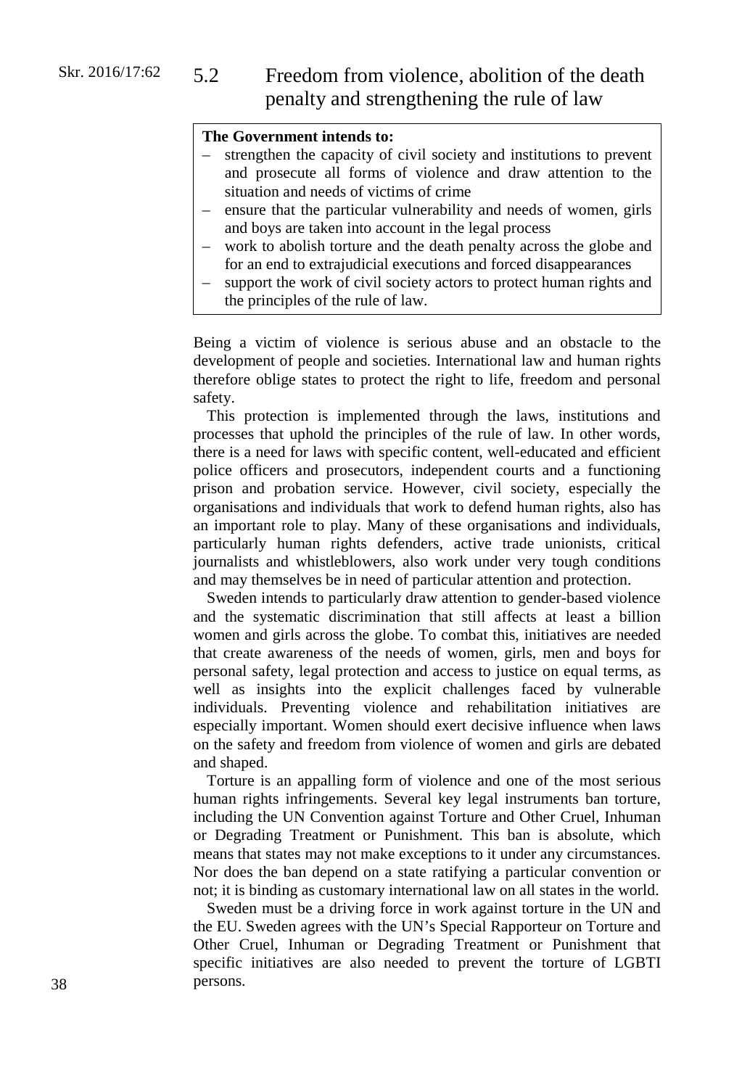# 5.2 Freedom from violence, abolition of the death penalty and strengthening the rule of law

## **The Government intends to:**

- strengthen the capacity of civil society and institutions to prevent and prosecute all forms of violence and draw attention to the situation and needs of victims of crime
- ensure that the particular vulnerability and needs of women, girls and boys are taken into account in the legal process
- work to abolish torture and the death penalty across the globe and for an end to extrajudicial executions and forced disappearances
- support the work of civil society actors to protect human rights and the principles of the rule of law.

Being a victim of violence is serious abuse and an obstacle to the development of people and societies. International law and human rights therefore oblige states to protect the right to life, freedom and personal safety.

This protection is implemented through the laws, institutions and processes that uphold the principles of the rule of law. In other words, there is a need for laws with specific content, well-educated and efficient police officers and prosecutors, independent courts and a functioning prison and probation service. However, civil society, especially the organisations and individuals that work to defend human rights, also has an important role to play. Many of these organisations and individuals, particularly human rights defenders, active trade unionists, critical journalists and whistleblowers, also work under very tough conditions and may themselves be in need of particular attention and protection.

Sweden intends to particularly draw attention to gender-based violence and the systematic discrimination that still affects at least a billion women and girls across the globe. To combat this, initiatives are needed that create awareness of the needs of women, girls, men and boys for personal safety, legal protection and access to justice on equal terms, as well as insights into the explicit challenges faced by vulnerable individuals. Preventing violence and rehabilitation initiatives are especially important. Women should exert decisive influence when laws on the safety and freedom from violence of women and girls are debated and shaped.

Torture is an appalling form of violence and one of the most serious human rights infringements. Several key legal instruments ban torture, including the UN Convention against Torture and Other Cruel, Inhuman or Degrading Treatment or Punishment. This ban is absolute, which means that states may not make exceptions to it under any circumstances. Nor does the ban depend on a state ratifying a particular convention or not; it is binding as customary international law on all states in the world.

Sweden must be a driving force in work against torture in the UN and the EU. Sweden agrees with the UN's Special Rapporteur on Torture and Other Cruel, Inhuman or Degrading Treatment or Punishment that specific initiatives are also needed to prevent the torture of LGBTI persons.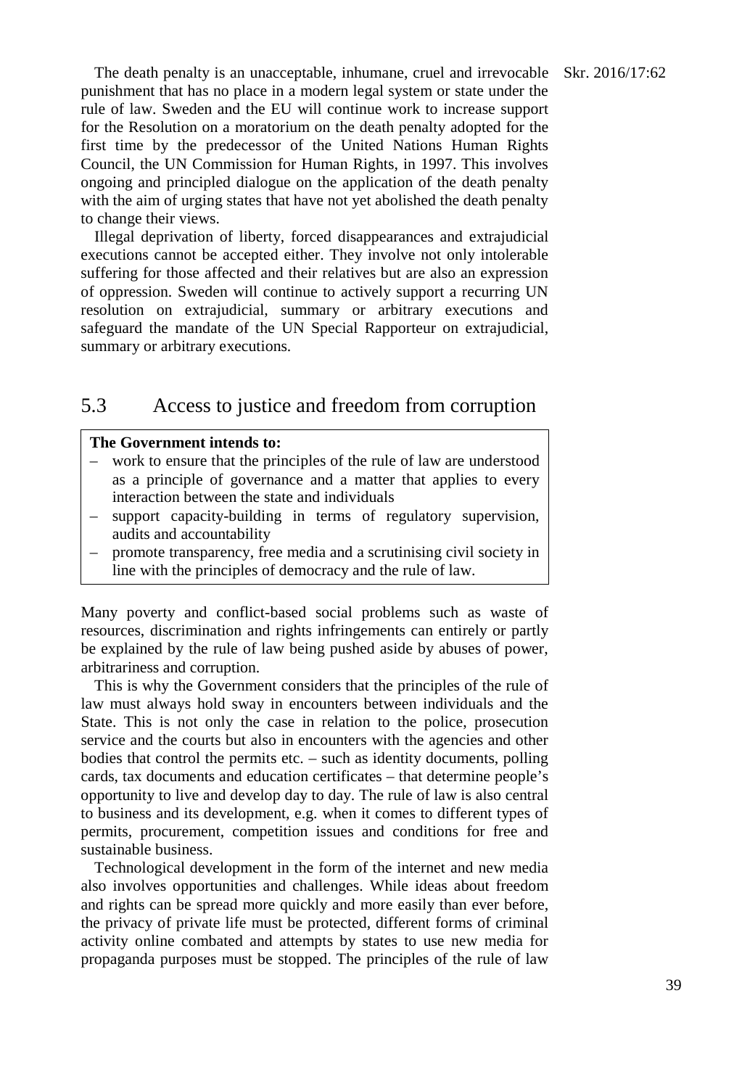The death penalty is an unacceptable, inhumane, cruel and irrevocable Skr. 2016/17:62 punishment that has no place in a modern legal system or state under the rule of law. Sweden and the EU will continue work to increase support for the Resolution on a moratorium on the death penalty adopted for the first time by the predecessor of the United Nations Human Rights Council, the UN Commission for Human Rights, in 1997. This involves ongoing and principled dialogue on the application of the death penalty with the aim of urging states that have not yet abolished the death penalty to change their views.

Illegal deprivation of liberty, forced disappearances and extrajudicial executions cannot be accepted either. They involve not only intolerable suffering for those affected and their relatives but are also an expression of oppression. Sweden will continue to actively support a recurring UN resolution on extrajudicial, summary or arbitrary executions and safeguard the mandate of the UN Special Rapporteur on extrajudicial, summary or arbitrary executions.

# 5.3 Access to justice and freedom from corruption

## **The Government intends to:**

- work to ensure that the principles of the rule of law are understood as a principle of governance and a matter that applies to every interaction between the state and individuals
- support capacity-building in terms of regulatory supervision, audits and accountability
- promote transparency, free media and a scrutinising civil society in line with the principles of democracy and the rule of law.

Many poverty and conflict-based social problems such as waste of resources, discrimination and rights infringements can entirely or partly be explained by the rule of law being pushed aside by abuses of power, arbitrariness and corruption.

This is why the Government considers that the principles of the rule of law must always hold sway in encounters between individuals and the State. This is not only the case in relation to the police, prosecution service and the courts but also in encounters with the agencies and other bodies that control the permits etc. – such as identity documents, polling cards, tax documents and education certificates – that determine people's opportunity to live and develop day to day. The rule of law is also central to business and its development, e.g. when it comes to different types of permits, procurement, competition issues and conditions for free and sustainable business.

Technological development in the form of the internet and new media also involves opportunities and challenges. While ideas about freedom and rights can be spread more quickly and more easily than ever before, the privacy of private life must be protected, different forms of criminal activity online combated and attempts by states to use new media for propaganda purposes must be stopped. The principles of the rule of law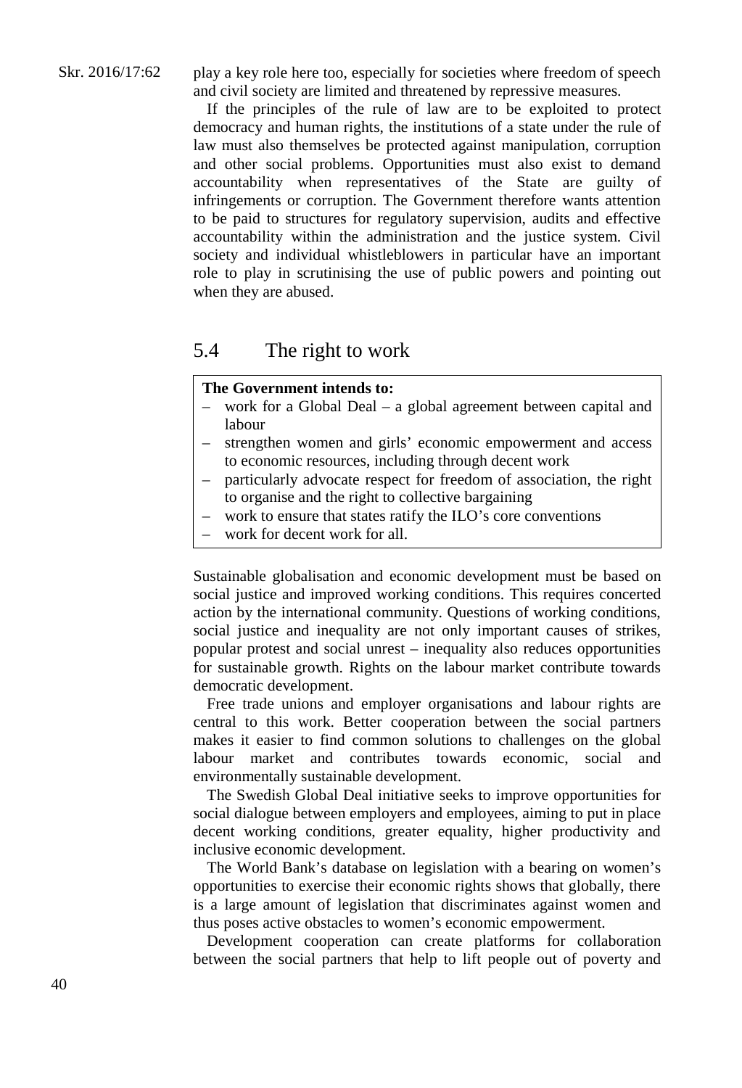play a key role here too, especially for societies where freedom of speech and civil society are limited and threatened by repressive measures.

If the principles of the rule of law are to be exploited to protect democracy and human rights, the institutions of a state under the rule of law must also themselves be protected against manipulation, corruption and other social problems. Opportunities must also exist to demand accountability when representatives of the State are guilty of infringements or corruption. The Government therefore wants attention to be paid to structures for regulatory supervision, audits and effective accountability within the administration and the justice system. Civil society and individual whistleblowers in particular have an important role to play in scrutinising the use of public powers and pointing out when they are abused.

## 5.4 The right to work

## **The Government intends to:**

- work for a Global Deal a global agreement between capital and labour
- strengthen women and girls' economic empowerment and access to economic resources, including through decent work
- particularly advocate respect for freedom of association, the right to organise and the right to collective bargaining
- work to ensure that states ratify the ILO's core conventions
- work for decent work for all.

Sustainable globalisation and economic development must be based on social justice and improved working conditions. This requires concerted action by the international community. Questions of working conditions, social justice and inequality are not only important causes of strikes, popular protest and social unrest – inequality also reduces opportunities for sustainable growth. Rights on the labour market contribute towards democratic development.

Free trade unions and employer organisations and labour rights are central to this work. Better cooperation between the social partners makes it easier to find common solutions to challenges on the global labour market and contributes towards economic, social and environmentally sustainable development.

The Swedish Global Deal initiative seeks to improve opportunities for social dialogue between employers and employees, aiming to put in place decent working conditions, greater equality, higher productivity and inclusive economic development.

The World Bank's database on legislation with a bearing on women's opportunities to exercise their economic rights shows that globally, there is a large amount of legislation that discriminates against women and thus poses active obstacles to women's economic empowerment.

Development cooperation can create platforms for collaboration between the social partners that help to lift people out of poverty and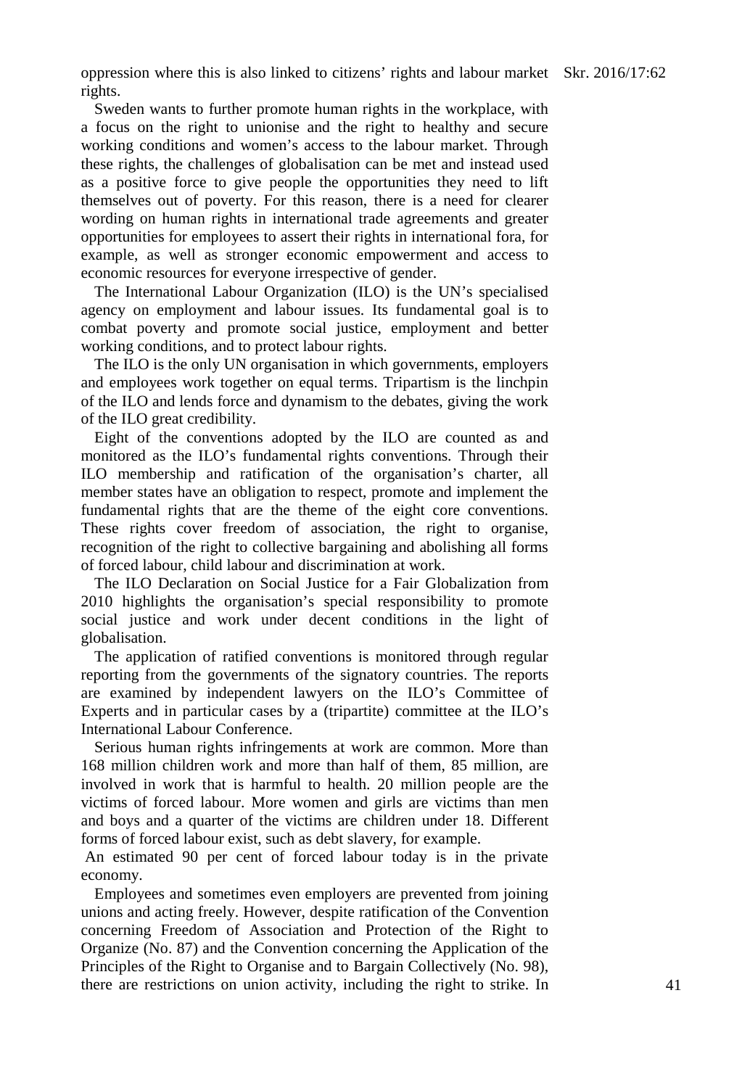oppression where this is also linked to citizens' rights and labour market Skr. 2016/17:62 rights.

Sweden wants to further promote human rights in the workplace, with a focus on the right to unionise and the right to healthy and secure working conditions and women's access to the labour market. Through these rights, the challenges of globalisation can be met and instead used as a positive force to give people the opportunities they need to lift themselves out of poverty. For this reason, there is a need for clearer wording on human rights in international trade agreements and greater opportunities for employees to assert their rights in international fora, for example, as well as stronger economic empowerment and access to economic resources for everyone irrespective of gender.

The International Labour Organization (ILO) is the UN's specialised agency on employment and labour issues. Its fundamental goal is to combat poverty and promote social justice, employment and better working conditions, and to protect labour rights.

The ILO is the only UN organisation in which governments, employers and employees work together on equal terms. Tripartism is the linchpin of the ILO and lends force and dynamism to the debates, giving the work of the ILO great credibility.

Eight of the conventions adopted by the ILO are counted as and monitored as the ILO's fundamental rights conventions. Through their ILO membership and ratification of the organisation's charter, all member states have an obligation to respect, promote and implement the fundamental rights that are the theme of the eight core conventions. These rights cover freedom of association, the right to organise, recognition of the right to collective bargaining and abolishing all forms of forced labour, child labour and discrimination at work.

The ILO Declaration on Social Justice for a Fair Globalization from 2010 highlights the organisation's special responsibility to promote social justice and work under decent conditions in the light of globalisation.

The application of ratified conventions is monitored through regular reporting from the governments of the signatory countries. The reports are examined by independent lawyers on the ILO's Committee of Experts and in particular cases by a (tripartite) committee at the ILO's International Labour Conference.

Serious human rights infringements at work are common. More than 168 million children work and more than half of them, 85 million, are involved in work that is harmful to health. 20 million people are the victims of forced labour. More women and girls are victims than men and boys and a quarter of the victims are children under 18. Different forms of forced labour exist, such as debt slavery, for example.

An estimated 90 per cent of forced labour today is in the private economy.

Employees and sometimes even employers are prevented from joining unions and acting freely. However, despite ratification of the Convention concerning Freedom of Association and Protection of the Right to Organize (No. 87) and the Convention concerning the Application of the Principles of the Right to Organise and to Bargain Collectively (No. 98), there are restrictions on union activity, including the right to strike. In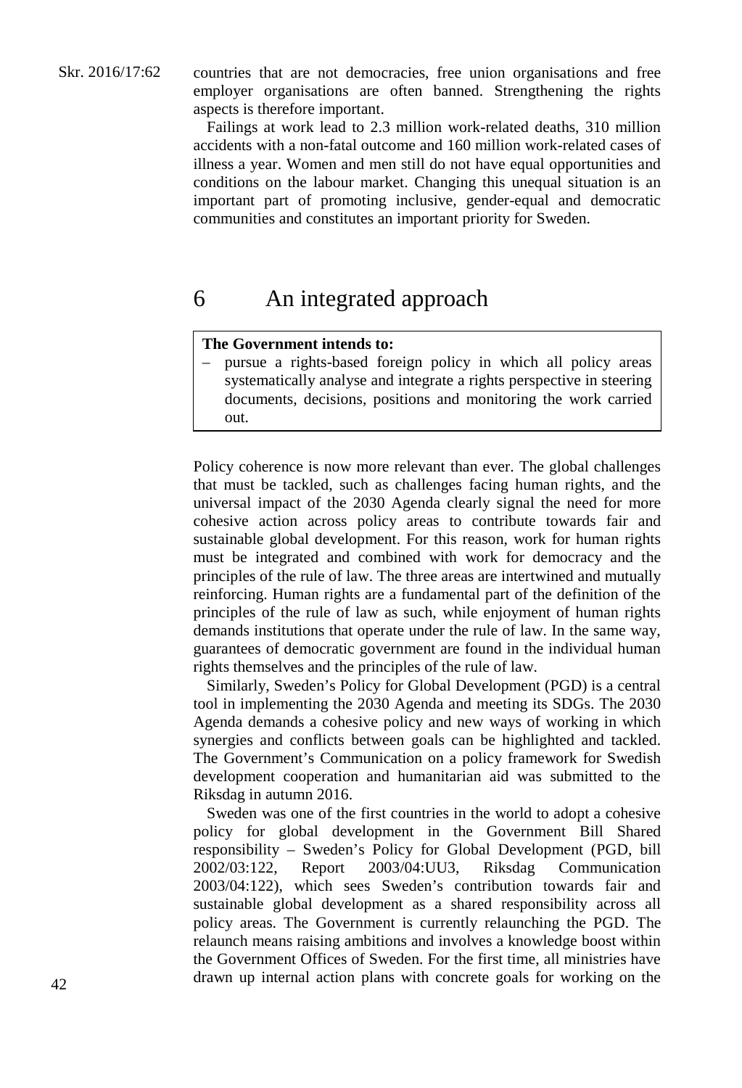countries that are not democracies, free union organisations and free employer organisations are often banned. Strengthening the rights aspects is therefore important.

Failings at work lead to 2.3 million work-related deaths, 310 million accidents with a non-fatal outcome and 160 million work-related cases of illness a year. Women and men still do not have equal opportunities and conditions on the labour market. Changing this unequal situation is an important part of promoting inclusive, gender-equal and democratic communities and constitutes an important priority for Sweden.

# 6 An integrated approach

## **The Government intends to:**

– pursue a rights-based foreign policy in which all policy areas systematically analyse and integrate a rights perspective in steering documents, decisions, positions and monitoring the work carried out.

Policy coherence is now more relevant than ever. The global challenges that must be tackled, such as challenges facing human rights, and the universal impact of the 2030 Agenda clearly signal the need for more cohesive action across policy areas to contribute towards fair and sustainable global development. For this reason, work for human rights must be integrated and combined with work for democracy and the principles of the rule of law. The three areas are intertwined and mutually reinforcing. Human rights are a fundamental part of the definition of the principles of the rule of law as such, while enjoyment of human rights demands institutions that operate under the rule of law. In the same way, guarantees of democratic government are found in the individual human rights themselves and the principles of the rule of law.

Similarly, Sweden's Policy for Global Development (PGD) is a central tool in implementing the 2030 Agenda and meeting its SDGs. The 2030 Agenda demands a cohesive policy and new ways of working in which synergies and conflicts between goals can be highlighted and tackled. The Government's Communication on a policy framework for Swedish development cooperation and humanitarian aid was submitted to the Riksdag in autumn 2016.

Sweden was one of the first countries in the world to adopt a cohesive policy for global development in the Government Bill Shared responsibility – Sweden's Policy for Global Development (PGD, bill 2002/03:122, Report 2003/04:UU3, Riksdag Communication 2003/04:122), which sees Sweden's contribution towards fair and sustainable global development as a shared responsibility across all policy areas. The Government is currently relaunching the PGD. The relaunch means raising ambitions and involves a knowledge boost within the Government Offices of Sweden. For the first time, all ministries have drawn up internal action plans with concrete goals for working on the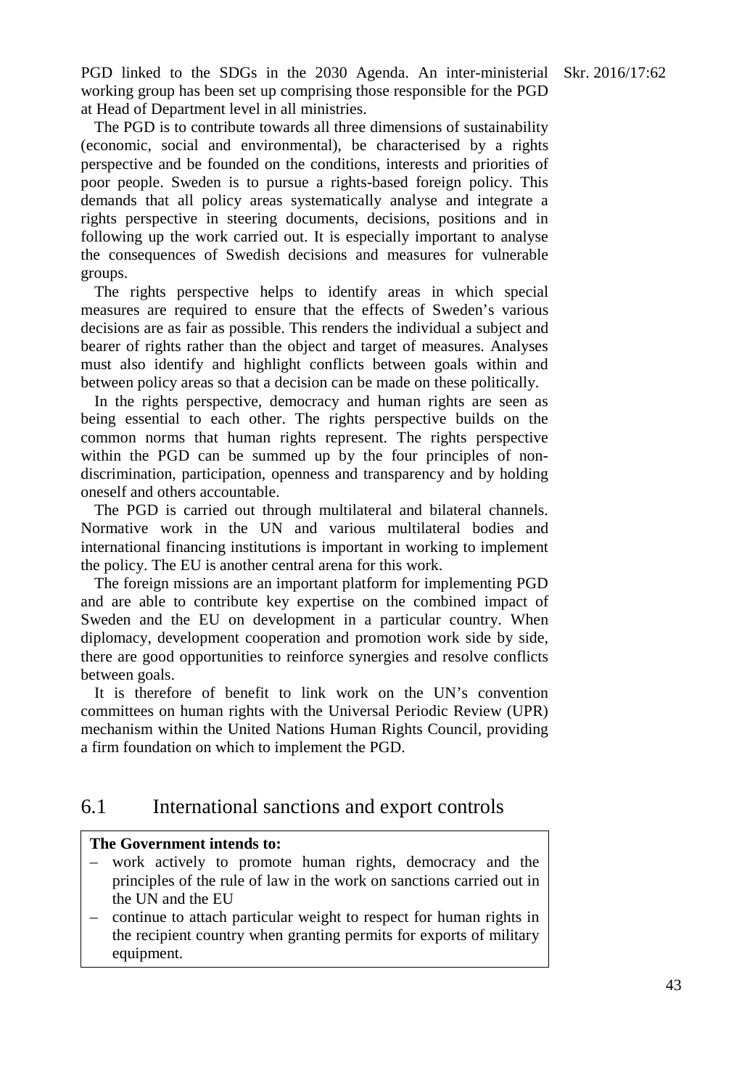PGD linked to the SDGs in the 2030 Agenda. An inter-ministerial Skr. 2016/17:62 working group has been set up comprising those responsible for the PGD at Head of Department level in all ministries.

The PGD is to contribute towards all three dimensions of sustainability (economic, social and environmental), be characterised by a rights perspective and be founded on the conditions, interests and priorities of poor people. Sweden is to pursue a rights-based foreign policy. This demands that all policy areas systematically analyse and integrate a rights perspective in steering documents, decisions, positions and in following up the work carried out. It is especially important to analyse the consequences of Swedish decisions and measures for vulnerable groups.

The rights perspective helps to identify areas in which special measures are required to ensure that the effects of Sweden's various decisions are as fair as possible. This renders the individual a subject and bearer of rights rather than the object and target of measures. Analyses must also identify and highlight conflicts between goals within and between policy areas so that a decision can be made on these politically.

In the rights perspective, democracy and human rights are seen as being essential to each other. The rights perspective builds on the common norms that human rights represent. The rights perspective within the PGD can be summed up by the four principles of nondiscrimination, participation, openness and transparency and by holding oneself and others accountable.

The PGD is carried out through multilateral and bilateral channels. Normative work in the UN and various multilateral bodies and international financing institutions is important in working to implement the policy. The EU is another central arena for this work.

The foreign missions are an important platform for implementing PGD and are able to contribute key expertise on the combined impact of Sweden and the EU on development in a particular country. When diplomacy, development cooperation and promotion work side by side, there are good opportunities to reinforce synergies and resolve conflicts between goals.

It is therefore of benefit to link work on the UN's convention committees on human rights with the Universal Periodic Review (UPR) mechanism within the United Nations Human Rights Council, providing a firm foundation on which to implement the PGD.

# 6.1 International sanctions and export controls

## **The Government intends to:**

- work actively to promote human rights, democracy and the principles of the rule of law in the work on sanctions carried out in the UN and the EU
- continue to attach particular weight to respect for human rights in the recipient country when granting permits for exports of military equipment.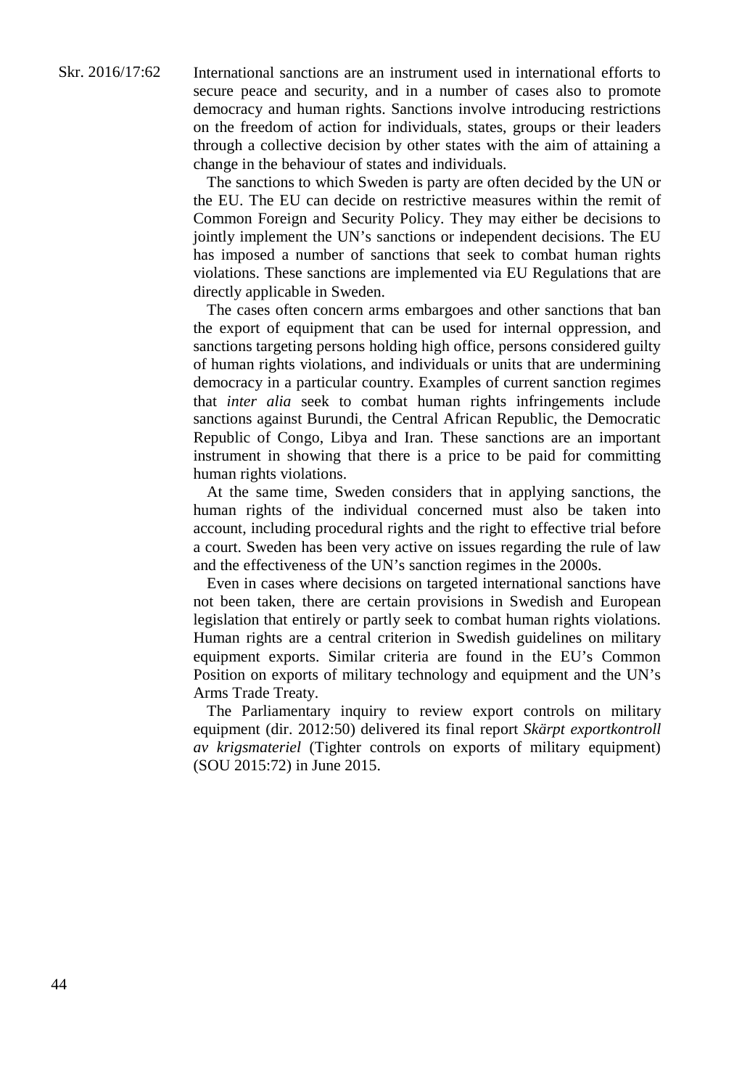International sanctions are an instrument used in international efforts to secure peace and security, and in a number of cases also to promote democracy and human rights. Sanctions involve introducing restrictions on the freedom of action for individuals, states, groups or their leaders through a collective decision by other states with the aim of attaining a change in the behaviour of states and individuals.

The sanctions to which Sweden is party are often decided by the UN or the EU. The EU can decide on restrictive measures within the remit of Common Foreign and Security Policy. They may either be decisions to jointly implement the UN's sanctions or independent decisions. The EU has imposed a number of sanctions that seek to combat human rights violations. These sanctions are implemented via EU Regulations that are directly applicable in Sweden.

The cases often concern arms embargoes and other sanctions that ban the export of equipment that can be used for internal oppression, and sanctions targeting persons holding high office, persons considered guilty of human rights violations, and individuals or units that are undermining democracy in a particular country. Examples of current sanction regimes that *inter alia* seek to combat human rights infringements include sanctions against Burundi, the Central African Republic, the Democratic Republic of Congo, Libya and Iran. These sanctions are an important instrument in showing that there is a price to be paid for committing human rights violations.

At the same time, Sweden considers that in applying sanctions, the human rights of the individual concerned must also be taken into account, including procedural rights and the right to effective trial before a court. Sweden has been very active on issues regarding the rule of law and the effectiveness of the UN's sanction regimes in the 2000s.

Even in cases where decisions on targeted international sanctions have not been taken, there are certain provisions in Swedish and European legislation that entirely or partly seek to combat human rights violations. Human rights are a central criterion in Swedish guidelines on military equipment exports. Similar criteria are found in the EU's Common Position on exports of military technology and equipment and the UN's Arms Trade Treaty.

The Parliamentary inquiry to review export controls on military equipment (dir. 2012:50) delivered its final report *Skärpt exportkontroll av krigsmateriel* (Tighter controls on exports of military equipment) (SOU 2015:72) in June 2015.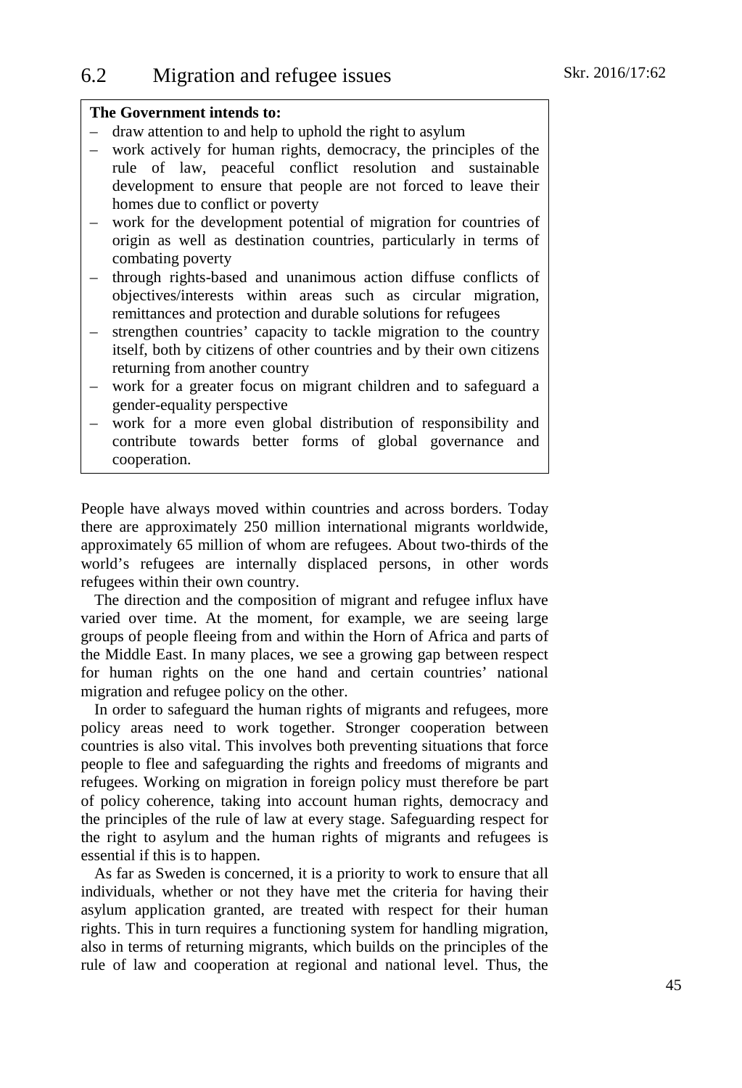## **The Government intends to:**

- draw attention to and help to uphold the right to asylum
- work actively for human rights, democracy, the principles of the rule of law, peaceful conflict resolution and sustainable development to ensure that people are not forced to leave their homes due to conflict or poverty
- work for the development potential of migration for countries of origin as well as destination countries, particularly in terms of combating poverty
- through rights-based and unanimous action diffuse conflicts of objectives/interests within areas such as circular migration, remittances and protection and durable solutions for refugees
- strengthen countries' capacity to tackle migration to the country itself, both by citizens of other countries and by their own citizens returning from another country
- work for a greater focus on migrant children and to safeguard a gender-equality perspective
- work for a more even global distribution of responsibility and contribute towards better forms of global governance and cooperation.

People have always moved within countries and across borders. Today there are approximately 250 million international migrants worldwide, approximately 65 million of whom are refugees. About two-thirds of the world's refugees are internally displaced persons, in other words refugees within their own country.

The direction and the composition of migrant and refugee influx have varied over time. At the moment, for example, we are seeing large groups of people fleeing from and within the Horn of Africa and parts of the Middle East. In many places, we see a growing gap between respect for human rights on the one hand and certain countries' national migration and refugee policy on the other.

In order to safeguard the human rights of migrants and refugees, more policy areas need to work together. Stronger cooperation between countries is also vital. This involves both preventing situations that force people to flee and safeguarding the rights and freedoms of migrants and refugees. Working on migration in foreign policy must therefore be part of policy coherence, taking into account human rights, democracy and the principles of the rule of law at every stage. Safeguarding respect for the right to asylum and the human rights of migrants and refugees is essential if this is to happen.

As far as Sweden is concerned, it is a priority to work to ensure that all individuals, whether or not they have met the criteria for having their asylum application granted, are treated with respect for their human rights. This in turn requires a functioning system for handling migration, also in terms of returning migrants, which builds on the principles of the rule of law and cooperation at regional and national level. Thus, the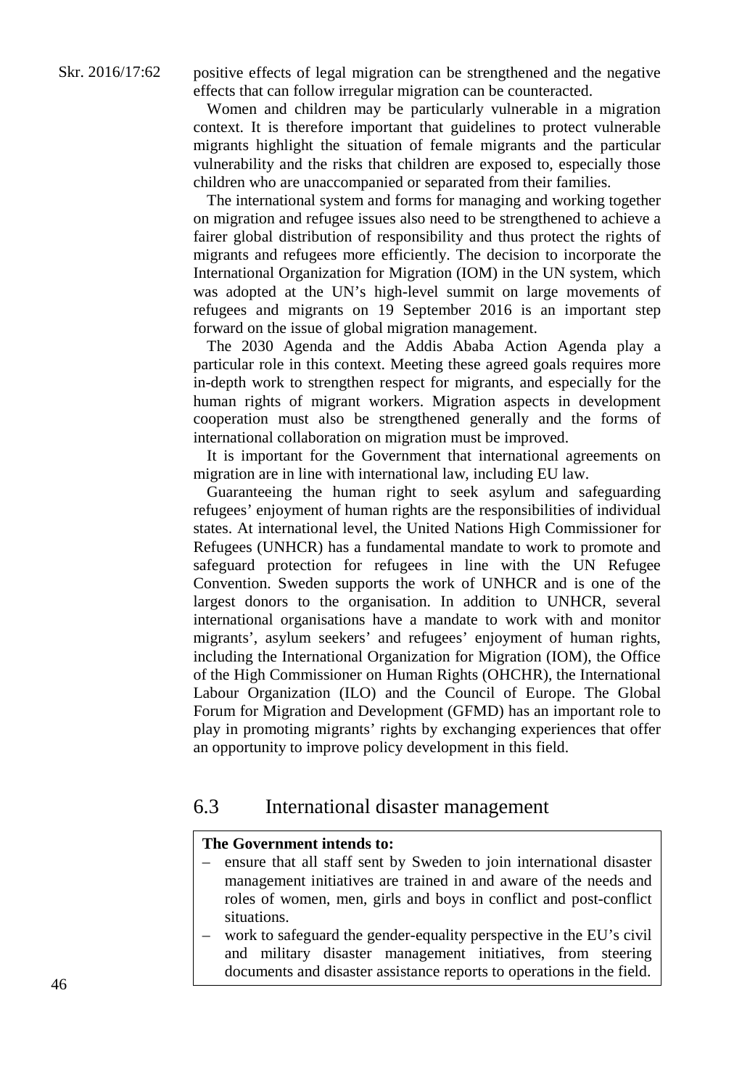positive effects of legal migration can be strengthened and the negative effects that can follow irregular migration can be counteracted.

Women and children may be particularly vulnerable in a migration context. It is therefore important that guidelines to protect vulnerable migrants highlight the situation of female migrants and the particular vulnerability and the risks that children are exposed to, especially those children who are unaccompanied or separated from their families.

The international system and forms for managing and working together on migration and refugee issues also need to be strengthened to achieve a fairer global distribution of responsibility and thus protect the rights of migrants and refugees more efficiently. The decision to incorporate the International Organization for Migration (IOM) in the UN system, which was adopted at the UN's high-level summit on large movements of refugees and migrants on 19 September 2016 is an important step forward on the issue of global migration management.

The 2030 Agenda and the Addis Ababa Action Agenda play a particular role in this context. Meeting these agreed goals requires more in-depth work to strengthen respect for migrants, and especially for the human rights of migrant workers. Migration aspects in development cooperation must also be strengthened generally and the forms of international collaboration on migration must be improved.

It is important for the Government that international agreements on migration are in line with international law, including EU law.

Guaranteeing the human right to seek asylum and safeguarding refugees' enjoyment of human rights are the responsibilities of individual states. At international level, the United Nations High Commissioner for Refugees (UNHCR) has a fundamental mandate to work to promote and safeguard protection for refugees in line with the UN Refugee Convention. Sweden supports the work of UNHCR and is one of the largest donors to the organisation. In addition to UNHCR, several international organisations have a mandate to work with and monitor migrants', asylum seekers' and refugees' enjoyment of human rights, including the International Organization for Migration (IOM), the Office of the High Commissioner on Human Rights (OHCHR), the International Labour Organization (ILO) and the Council of Europe. The Global Forum for Migration and Development (GFMD) has an important role to play in promoting migrants' rights by exchanging experiences that offer an opportunity to improve policy development in this field.

## 6.3 International disaster management

## **The Government intends to:**

- ensure that all staff sent by Sweden to join international disaster management initiatives are trained in and aware of the needs and roles of women, men, girls and boys in conflict and post-conflict situations.
- work to safeguard the gender-equality perspective in the EU's civil and military disaster management initiatives, from steering documents and disaster assistance reports to operations in the field.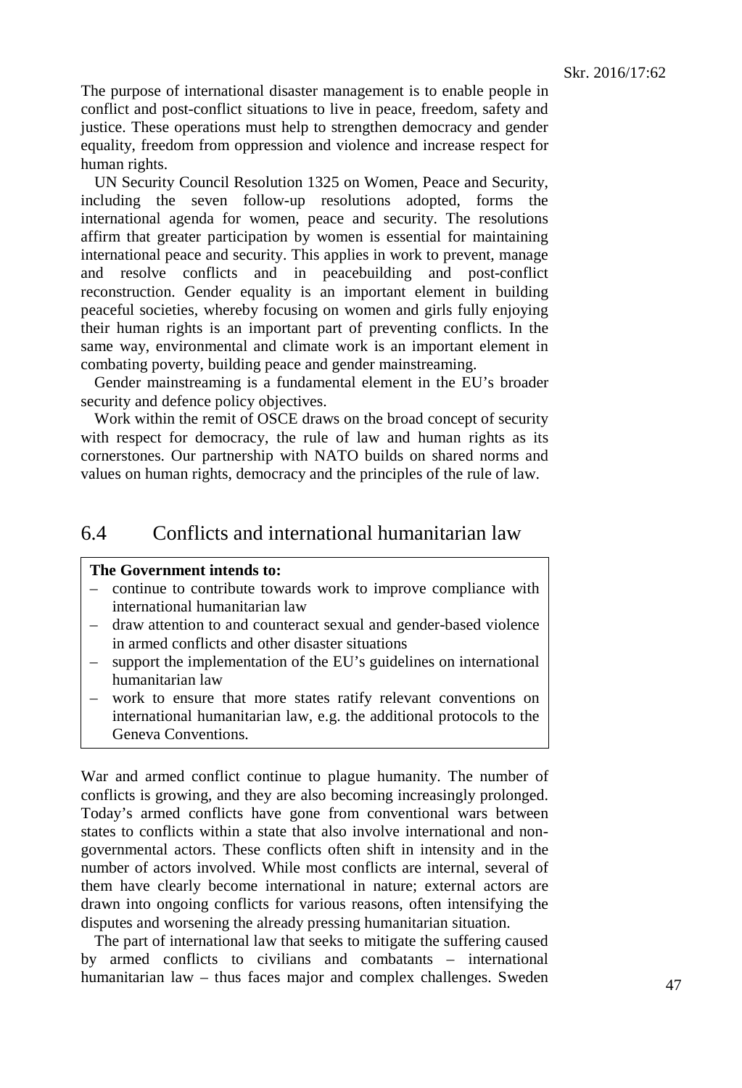The purpose of international disaster management is to enable people in conflict and post-conflict situations to live in peace, freedom, safety and justice. These operations must help to strengthen democracy and gender equality, freedom from oppression and violence and increase respect for human rights.

UN Security Council Resolution 1325 on Women, Peace and Security, including the seven follow-up resolutions adopted, forms the international agenda for women, peace and security. The resolutions affirm that greater participation by women is essential for maintaining international peace and security. This applies in work to prevent, manage and resolve conflicts and in peacebuilding and post-conflict reconstruction. Gender equality is an important element in building peaceful societies, whereby focusing on women and girls fully enjoying their human rights is an important part of preventing conflicts. In the same way, environmental and climate work is an important element in combating poverty, building peace and gender mainstreaming.

Gender mainstreaming is a fundamental element in the EU's broader security and defence policy objectives.

Work within the remit of OSCE draws on the broad concept of security with respect for democracy, the rule of law and human rights as its cornerstones. Our partnership with NATO builds on shared norms and values on human rights, democracy and the principles of the rule of law.

# 6.4 Conflicts and international humanitarian law

## **The Government intends to:**

- continue to contribute towards work to improve compliance with international humanitarian law
- draw attention to and counteract sexual and gender-based violence in armed conflicts and other disaster situations
- support the implementation of the EU's guidelines on international humanitarian law
- work to ensure that more states ratify relevant conventions on international humanitarian law, e.g. the additional protocols to the Geneva Conventions.

War and armed conflict continue to plague humanity. The number of conflicts is growing, and they are also becoming increasingly prolonged. Today's armed conflicts have gone from conventional wars between states to conflicts within a state that also involve international and nongovernmental actors. These conflicts often shift in intensity and in the number of actors involved. While most conflicts are internal, several of them have clearly become international in nature; external actors are drawn into ongoing conflicts for various reasons, often intensifying the disputes and worsening the already pressing humanitarian situation.

The part of international law that seeks to mitigate the suffering caused by armed conflicts to civilians and combatants – international humanitarian law – thus faces major and complex challenges. Sweden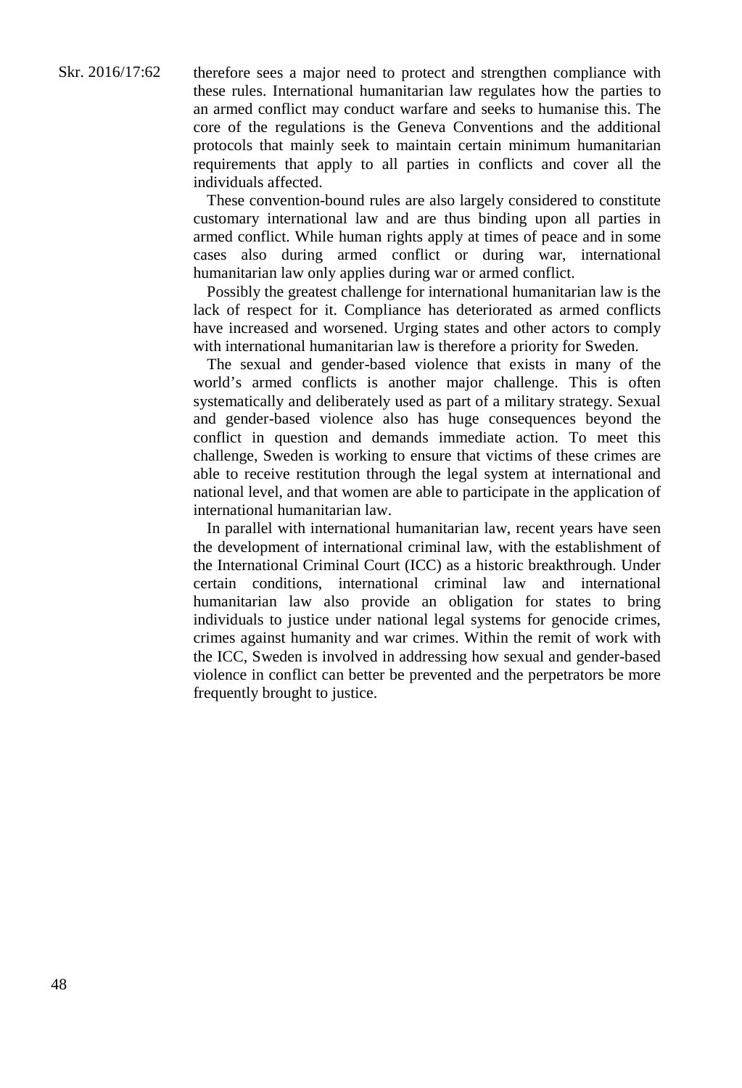These convention-bound rules are also largely considered to constitute customary international law and are thus binding upon all parties in armed conflict. While human rights apply at times of peace and in some cases also during armed conflict or during war, international humanitarian law only applies during war or armed conflict.

Possibly the greatest challenge for international humanitarian law is the lack of respect for it. Compliance has deteriorated as armed conflicts have increased and worsened. Urging states and other actors to comply with international humanitarian law is therefore a priority for Sweden.

The sexual and gender-based violence that exists in many of the world's armed conflicts is another major challenge. This is often systematically and deliberately used as part of a military strategy. Sexual and gender-based violence also has huge consequences beyond the conflict in question and demands immediate action. To meet this challenge, Sweden is working to ensure that victims of these crimes are able to receive restitution through the legal system at international and national level, and that women are able to participate in the application of international humanitarian law.

In parallel with international humanitarian law, recent years have seen the development of international criminal law, with the establishment of the International Criminal Court (ICC) as a historic breakthrough. Under certain conditions, international criminal law and international humanitarian law also provide an obligation for states to bring individuals to justice under national legal systems for genocide crimes, crimes against humanity and war crimes. Within the remit of work with the ICC, Sweden is involved in addressing how sexual and gender-based violence in conflict can better be prevented and the perpetrators be more frequently brought to justice.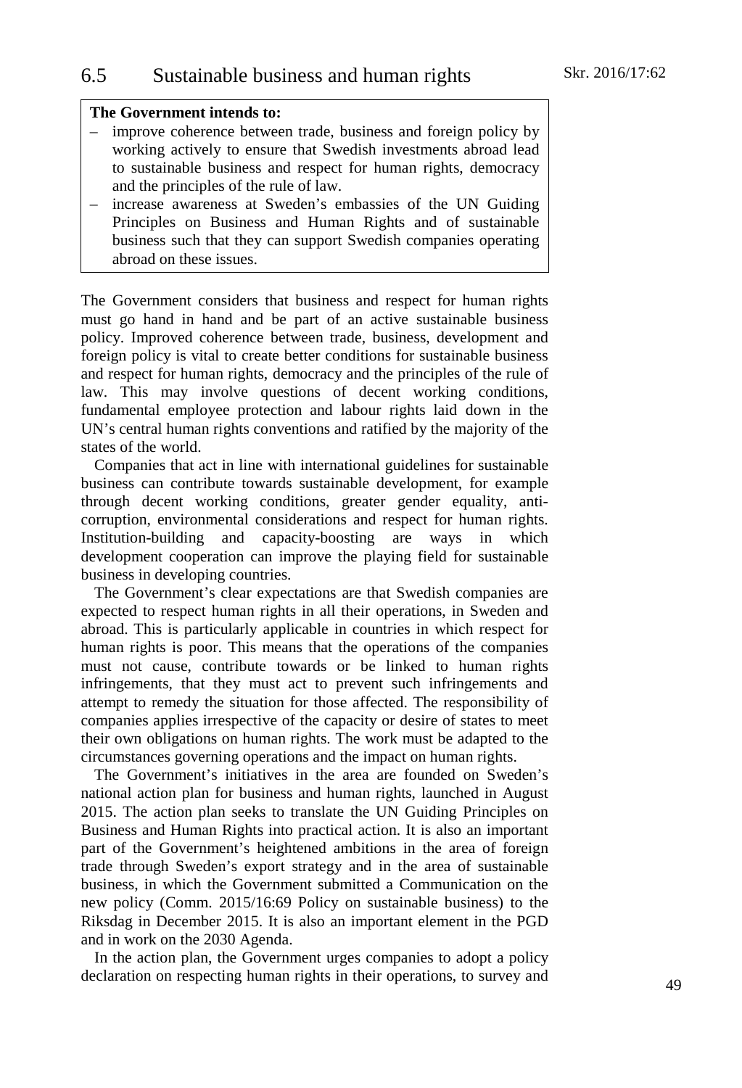## **The Government intends to:**

- improve coherence between trade, business and foreign policy by working actively to ensure that Swedish investments abroad lead to sustainable business and respect for human rights, democracy and the principles of the rule of law.
- increase awareness at Sweden's embassies of the UN Guiding Principles on Business and Human Rights and of sustainable business such that they can support Swedish companies operating abroad on these issues.

The Government considers that business and respect for human rights must go hand in hand and be part of an active sustainable business policy. Improved coherence between trade, business, development and foreign policy is vital to create better conditions for sustainable business and respect for human rights, democracy and the principles of the rule of law. This may involve questions of decent working conditions, fundamental employee protection and labour rights laid down in the UN's central human rights conventions and ratified by the majority of the states of the world.

Companies that act in line with international guidelines for sustainable business can contribute towards sustainable development, for example through decent working conditions, greater gender equality, anticorruption, environmental considerations and respect for human rights. Institution-building and capacity-boosting are ways in which development cooperation can improve the playing field for sustainable business in developing countries.

The Government's clear expectations are that Swedish companies are expected to respect human rights in all their operations, in Sweden and abroad. This is particularly applicable in countries in which respect for human rights is poor. This means that the operations of the companies must not cause, contribute towards or be linked to human rights infringements, that they must act to prevent such infringements and attempt to remedy the situation for those affected. The responsibility of companies applies irrespective of the capacity or desire of states to meet their own obligations on human rights. The work must be adapted to the circumstances governing operations and the impact on human rights.

The Government's initiatives in the area are founded on Sweden's national action plan for business and human rights, launched in August 2015. The action plan seeks to translate the UN Guiding Principles on Business and Human Rights into practical action. It is also an important part of the Government's heightened ambitions in the area of foreign trade through Sweden's export strategy and in the area of sustainable business, in which the Government submitted a Communication on the new policy (Comm. 2015/16:69 Policy on sustainable business) to the Riksdag in December 2015. It is also an important element in the PGD and in work on the 2030 Agenda.

In the action plan, the Government urges companies to adopt a policy declaration on respecting human rights in their operations, to survey and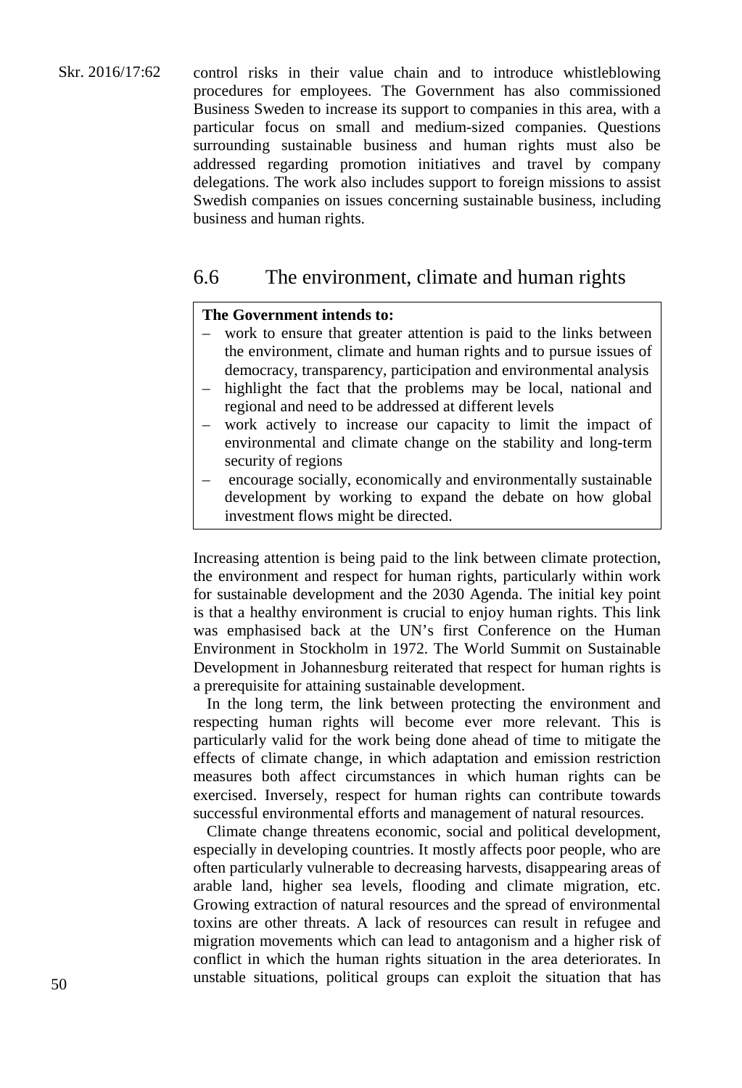Skr. 2016/17:62 control risks in their value chain and to introduce whistleblowing procedures for employees. The Government has also commissioned Business Sweden to increase its support to companies in this area, with a particular focus on small and medium-sized companies. Questions surrounding sustainable business and human rights must also be addressed regarding promotion initiatives and travel by company delegations. The work also includes support to foreign missions to assist Swedish companies on issues concerning sustainable business, including business and human rights.

# 6.6 The environment, climate and human rights

## **The Government intends to:**

- work to ensure that greater attention is paid to the links between the environment, climate and human rights and to pursue issues of democracy, transparency, participation and environmental analysis
- highlight the fact that the problems may be local, national and regional and need to be addressed at different levels
- work actively to increase our capacity to limit the impact of environmental and climate change on the stability and long-term security of regions
- encourage socially, economically and environmentally sustainable development by working to expand the debate on how global investment flows might be directed.

Increasing attention is being paid to the link between climate protection, the environment and respect for human rights, particularly within work for sustainable development and the 2030 Agenda. The initial key point is that a healthy environment is crucial to enjoy human rights. This link was emphasised back at the UN's first Conference on the Human Environment in Stockholm in 1972. The World Summit on Sustainable Development in Johannesburg reiterated that respect for human rights is a prerequisite for attaining sustainable development.

In the long term, the link between protecting the environment and respecting human rights will become ever more relevant. This is particularly valid for the work being done ahead of time to mitigate the effects of climate change, in which adaptation and emission restriction measures both affect circumstances in which human rights can be exercised. Inversely, respect for human rights can contribute towards successful environmental efforts and management of natural resources.

Climate change threatens economic, social and political development, especially in developing countries. It mostly affects poor people, who are often particularly vulnerable to decreasing harvests, disappearing areas of arable land, higher sea levels, flooding and climate migration, etc. Growing extraction of natural resources and the spread of environmental toxins are other threats. A lack of resources can result in refugee and migration movements which can lead to antagonism and a higher risk of conflict in which the human rights situation in the area deteriorates. In unstable situations, political groups can exploit the situation that has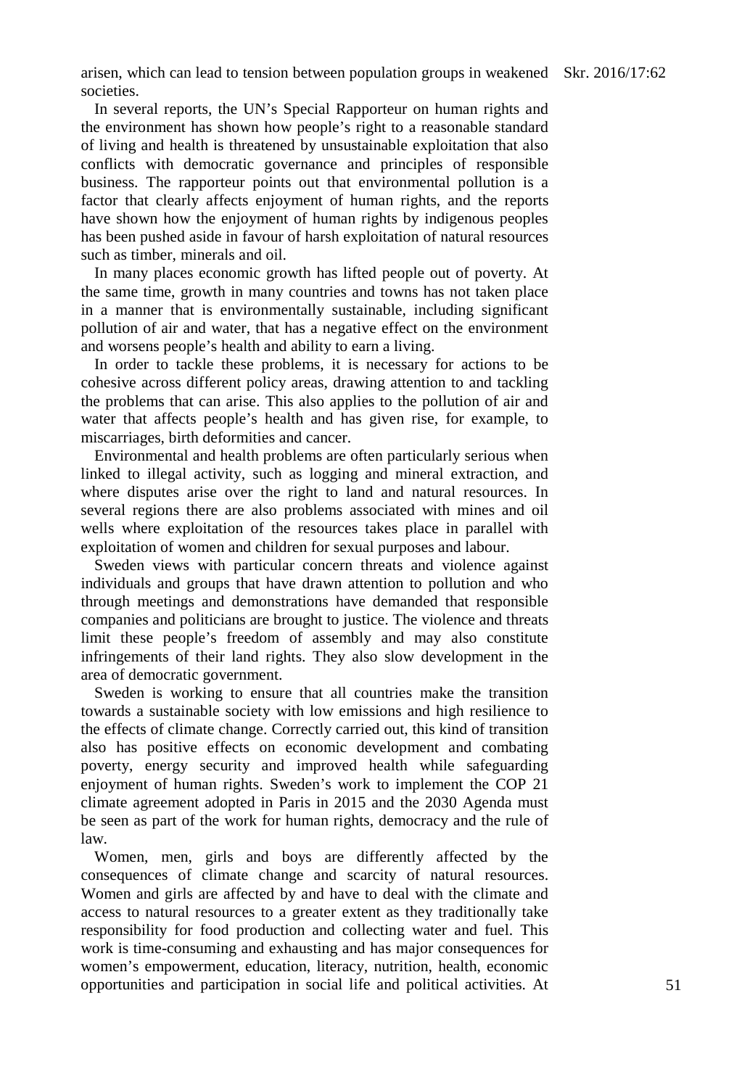arisen, which can lead to tension between population groups in weakened Skr. 2016/17:62 societies.

In several reports, the UN's Special Rapporteur on human rights and the environment has shown how people's right to a reasonable standard of living and health is threatened by unsustainable exploitation that also conflicts with democratic governance and principles of responsible business. The rapporteur points out that environmental pollution is a factor that clearly affects enjoyment of human rights, and the reports have shown how the enjoyment of human rights by indigenous peoples has been pushed aside in favour of harsh exploitation of natural resources such as timber, minerals and oil.

In many places economic growth has lifted people out of poverty. At the same time, growth in many countries and towns has not taken place in a manner that is environmentally sustainable, including significant pollution of air and water, that has a negative effect on the environment and worsens people's health and ability to earn a living.

In order to tackle these problems, it is necessary for actions to be cohesive across different policy areas, drawing attention to and tackling the problems that can arise. This also applies to the pollution of air and water that affects people's health and has given rise, for example, to miscarriages, birth deformities and cancer.

Environmental and health problems are often particularly serious when linked to illegal activity, such as logging and mineral extraction, and where disputes arise over the right to land and natural resources. In several regions there are also problems associated with mines and oil wells where exploitation of the resources takes place in parallel with exploitation of women and children for sexual purposes and labour.

Sweden views with particular concern threats and violence against individuals and groups that have drawn attention to pollution and who through meetings and demonstrations have demanded that responsible companies and politicians are brought to justice. The violence and threats limit these people's freedom of assembly and may also constitute infringements of their land rights. They also slow development in the area of democratic government.

Sweden is working to ensure that all countries make the transition towards a sustainable society with low emissions and high resilience to the effects of climate change. Correctly carried out, this kind of transition also has positive effects on economic development and combating poverty, energy security and improved health while safeguarding enjoyment of human rights. Sweden's work to implement the COP 21 climate agreement adopted in Paris in 2015 and the 2030 Agenda must be seen as part of the work for human rights, democracy and the rule of law.

Women, men, girls and boys are differently affected by the consequences of climate change and scarcity of natural resources. Women and girls are affected by and have to deal with the climate and access to natural resources to a greater extent as they traditionally take responsibility for food production and collecting water and fuel. This work is time-consuming and exhausting and has major consequences for women's empowerment, education, literacy, nutrition, health, economic opportunities and participation in social life and political activities. At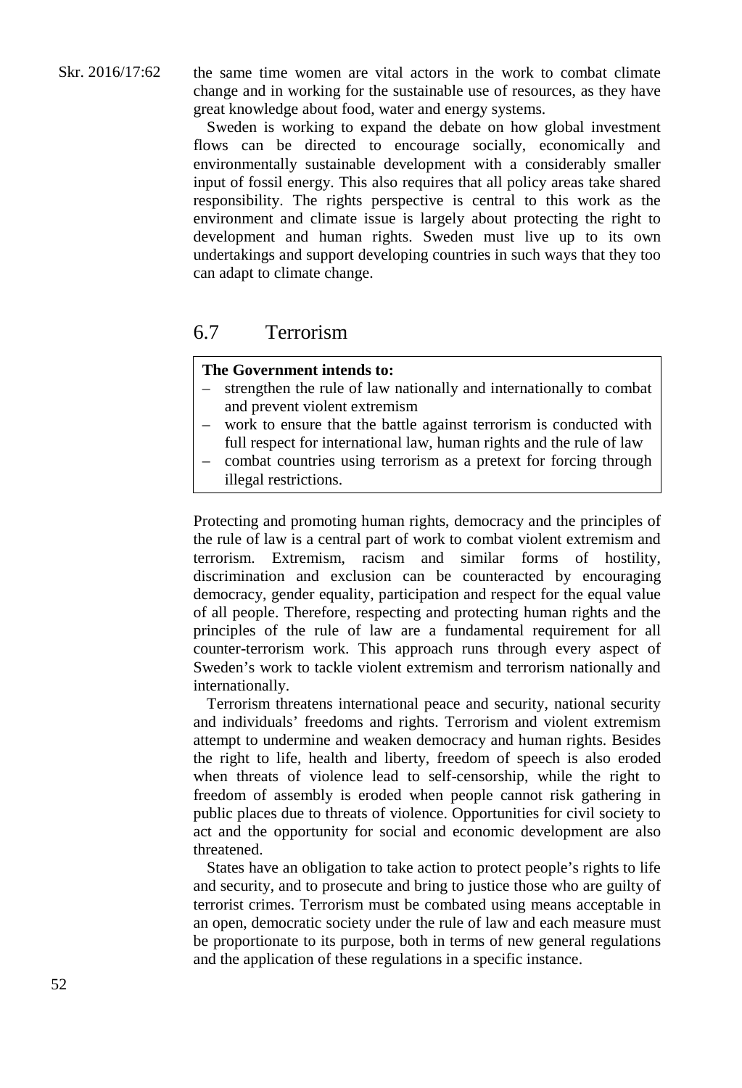the same time women are vital actors in the work to combat climate change and in working for the sustainable use of resources, as they have great knowledge about food, water and energy systems.

Sweden is working to expand the debate on how global investment flows can be directed to encourage socially, economically and environmentally sustainable development with a considerably smaller input of fossil energy. This also requires that all policy areas take shared responsibility. The rights perspective is central to this work as the environment and climate issue is largely about protecting the right to development and human rights. Sweden must live up to its own undertakings and support developing countries in such ways that they too can adapt to climate change.

# 6.7 Terrorism

## **The Government intends to:**

- strengthen the rule of law nationally and internationally to combat and prevent violent extremism
- work to ensure that the battle against terrorism is conducted with full respect for international law, human rights and the rule of law
- combat countries using terrorism as a pretext for forcing through illegal restrictions.

Protecting and promoting human rights, democracy and the principles of the rule of law is a central part of work to combat violent extremism and terrorism. Extremism, racism and similar forms of hostility, discrimination and exclusion can be counteracted by encouraging democracy, gender equality, participation and respect for the equal value of all people. Therefore, respecting and protecting human rights and the principles of the rule of law are a fundamental requirement for all counter-terrorism work. This approach runs through every aspect of Sweden's work to tackle violent extremism and terrorism nationally and internationally.

Terrorism threatens international peace and security, national security and individuals' freedoms and rights. Terrorism and violent extremism attempt to undermine and weaken democracy and human rights. Besides the right to life, health and liberty, freedom of speech is also eroded when threats of violence lead to self-censorship, while the right to freedom of assembly is eroded when people cannot risk gathering in public places due to threats of violence. Opportunities for civil society to act and the opportunity for social and economic development are also threatened.

States have an obligation to take action to protect people's rights to life and security, and to prosecute and bring to justice those who are guilty of terrorist crimes. Terrorism must be combated using means acceptable in an open, democratic society under the rule of law and each measure must be proportionate to its purpose, both in terms of new general regulations and the application of these regulations in a specific instance.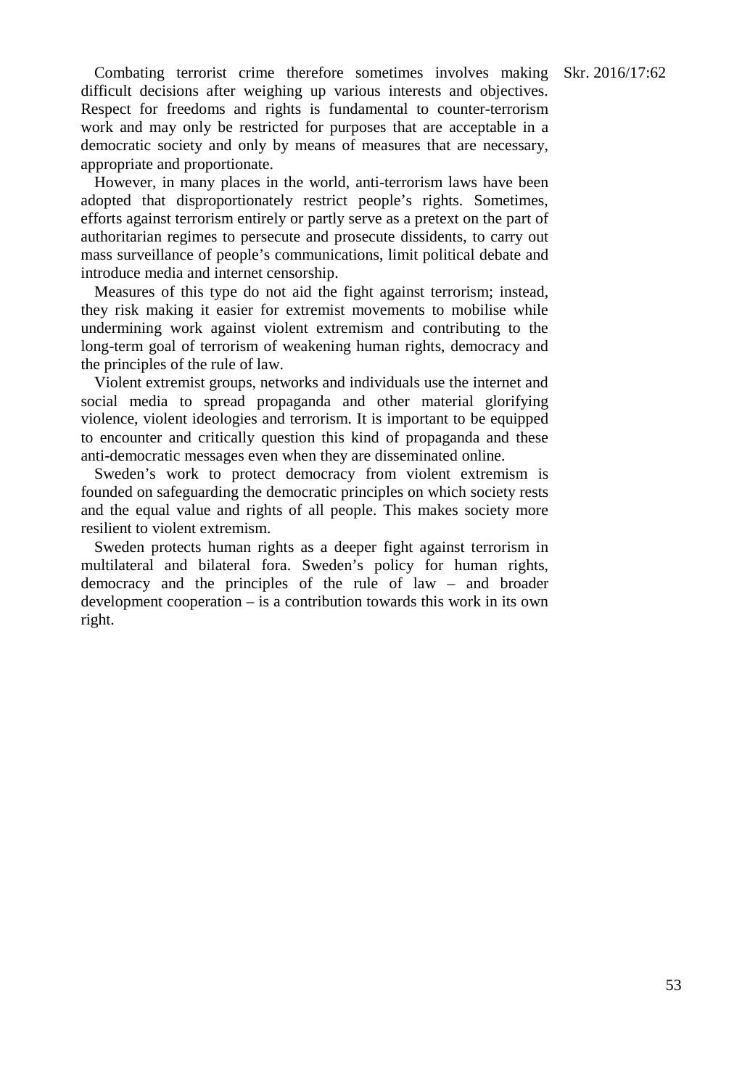Combating terrorist crime therefore sometimes involves making Skr. 2016/17:62 difficult decisions after weighing up various interests and objectives. Respect for freedoms and rights is fundamental to counter-terrorism work and may only be restricted for purposes that are acceptable in a democratic society and only by means of measures that are necessary, appropriate and proportionate.

However, in many places in the world, anti-terrorism laws have been adopted that disproportionately restrict people's rights. Sometimes, efforts against terrorism entirely or partly serve as a pretext on the part of authoritarian regimes to persecute and prosecute dissidents, to carry out mass surveillance of people's communications, limit political debate and introduce media and internet censorship.

Measures of this type do not aid the fight against terrorism; instead, they risk making it easier for extremist movements to mobilise while undermining work against violent extremism and contributing to the long-term goal of terrorism of weakening human rights, democracy and the principles of the rule of law.

Violent extremist groups, networks and individuals use the internet and social media to spread propaganda and other material glorifying violence, violent ideologies and terrorism. It is important to be equipped to encounter and critically question this kind of propaganda and these anti-democratic messages even when they are disseminated online.

Sweden's work to protect democracy from violent extremism is founded on safeguarding the democratic principles on which society rests and the equal value and rights of all people. This makes society more resilient to violent extremism.

Sweden protects human rights as a deeper fight against terrorism in multilateral and bilateral fora. Sweden's policy for human rights, democracy and the principles of the rule of law – and broader development cooperation – is a contribution towards this work in its own right.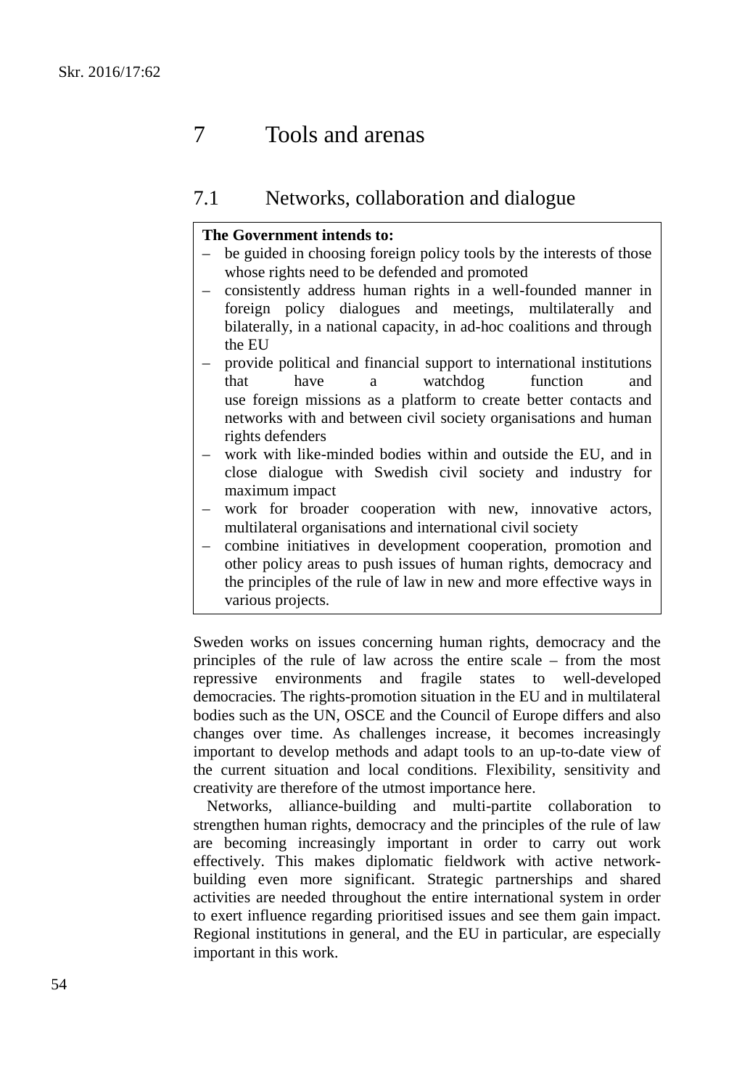# 7 Tools and arenas

# 7.1 Networks, collaboration and dialogue

## **The Government intends to:**

- be guided in choosing foreign policy tools by the interests of those whose rights need to be defended and promoted
- consistently address human rights in a well-founded manner in foreign policy dialogues and meetings, multilaterally and bilaterally, in a national capacity, in ad-hoc coalitions and through the EU
- provide political and financial support to international institutions that have a watchdog function and use foreign missions as a platform to create better contacts and networks with and between civil society organisations and human rights defenders
- work with like-minded bodies within and outside the EU, and in close dialogue with Swedish civil society and industry for maximum impact
- work for broader cooperation with new, innovative actors, multilateral organisations and international civil society
- combine initiatives in development cooperation, promotion and other policy areas to push issues of human rights, democracy and the principles of the rule of law in new and more effective ways in various projects.

Sweden works on issues concerning human rights, democracy and the principles of the rule of law across the entire scale – from the most repressive environments and fragile states to well-developed democracies. The rights-promotion situation in the EU and in multilateral bodies such as the UN, OSCE and the Council of Europe differs and also changes over time. As challenges increase, it becomes increasingly important to develop methods and adapt tools to an up-to-date view of the current situation and local conditions. Flexibility, sensitivity and creativity are therefore of the utmost importance here.

Networks, alliance-building and multi-partite collaboration to strengthen human rights, democracy and the principles of the rule of law are becoming increasingly important in order to carry out work effectively. This makes diplomatic fieldwork with active networkbuilding even more significant. Strategic partnerships and shared activities are needed throughout the entire international system in order to exert influence regarding prioritised issues and see them gain impact. Regional institutions in general, and the EU in particular, are especially important in this work.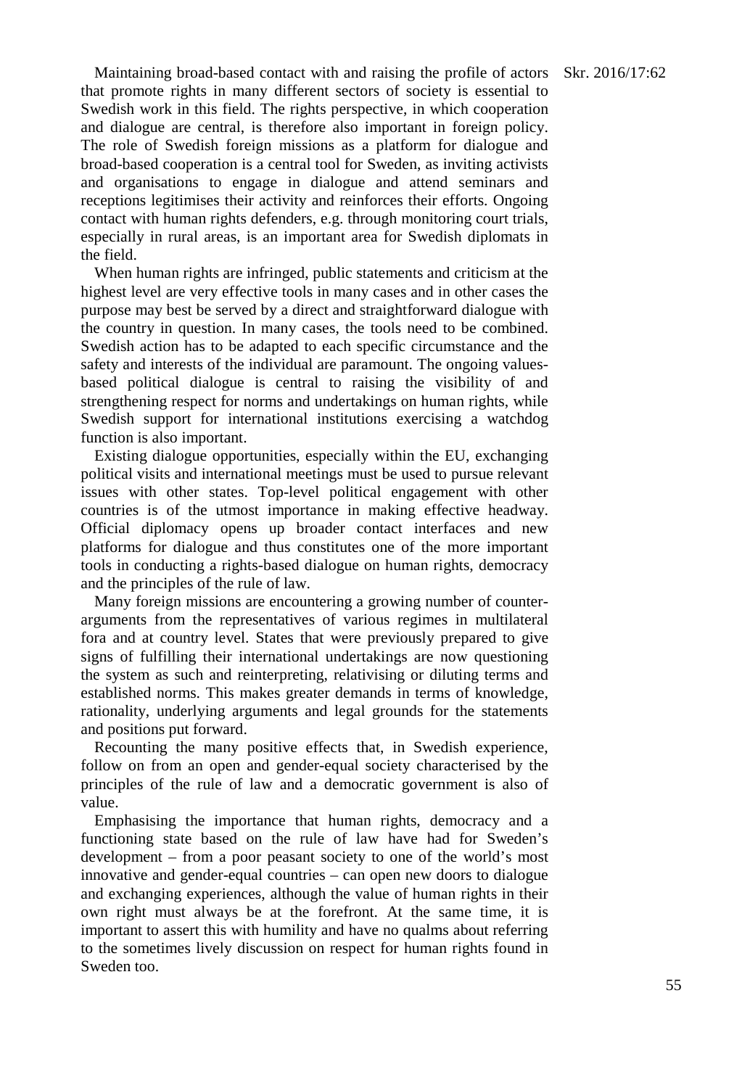Maintaining broad-based contact with and raising the profile of actors Skr. 2016/17:62 that promote rights in many different sectors of society is essential to Swedish work in this field. The rights perspective, in which cooperation and dialogue are central, is therefore also important in foreign policy. The role of Swedish foreign missions as a platform for dialogue and broad-based cooperation is a central tool for Sweden, as inviting activists and organisations to engage in dialogue and attend seminars and receptions legitimises their activity and reinforces their efforts. Ongoing contact with human rights defenders, e.g. through monitoring court trials, especially in rural areas, is an important area for Swedish diplomats in the field.

When human rights are infringed, public statements and criticism at the highest level are very effective tools in many cases and in other cases the purpose may best be served by a direct and straightforward dialogue with the country in question. In many cases, the tools need to be combined. Swedish action has to be adapted to each specific circumstance and the safety and interests of the individual are paramount. The ongoing valuesbased political dialogue is central to raising the visibility of and strengthening respect for norms and undertakings on human rights, while Swedish support for international institutions exercising a watchdog function is also important.

Existing dialogue opportunities, especially within the EU, exchanging political visits and international meetings must be used to pursue relevant issues with other states. Top-level political engagement with other countries is of the utmost importance in making effective headway. Official diplomacy opens up broader contact interfaces and new platforms for dialogue and thus constitutes one of the more important tools in conducting a rights-based dialogue on human rights, democracy and the principles of the rule of law.

Many foreign missions are encountering a growing number of counterarguments from the representatives of various regimes in multilateral fora and at country level. States that were previously prepared to give signs of fulfilling their international undertakings are now questioning the system as such and reinterpreting, relativising or diluting terms and established norms. This makes greater demands in terms of knowledge, rationality, underlying arguments and legal grounds for the statements and positions put forward.

Recounting the many positive effects that, in Swedish experience, follow on from an open and gender-equal society characterised by the principles of the rule of law and a democratic government is also of value.

Emphasising the importance that human rights, democracy and a functioning state based on the rule of law have had for Sweden's development – from a poor peasant society to one of the world's most innovative and gender-equal countries – can open new doors to dialogue and exchanging experiences, although the value of human rights in their own right must always be at the forefront. At the same time, it is important to assert this with humility and have no qualms about referring to the sometimes lively discussion on respect for human rights found in Sweden too.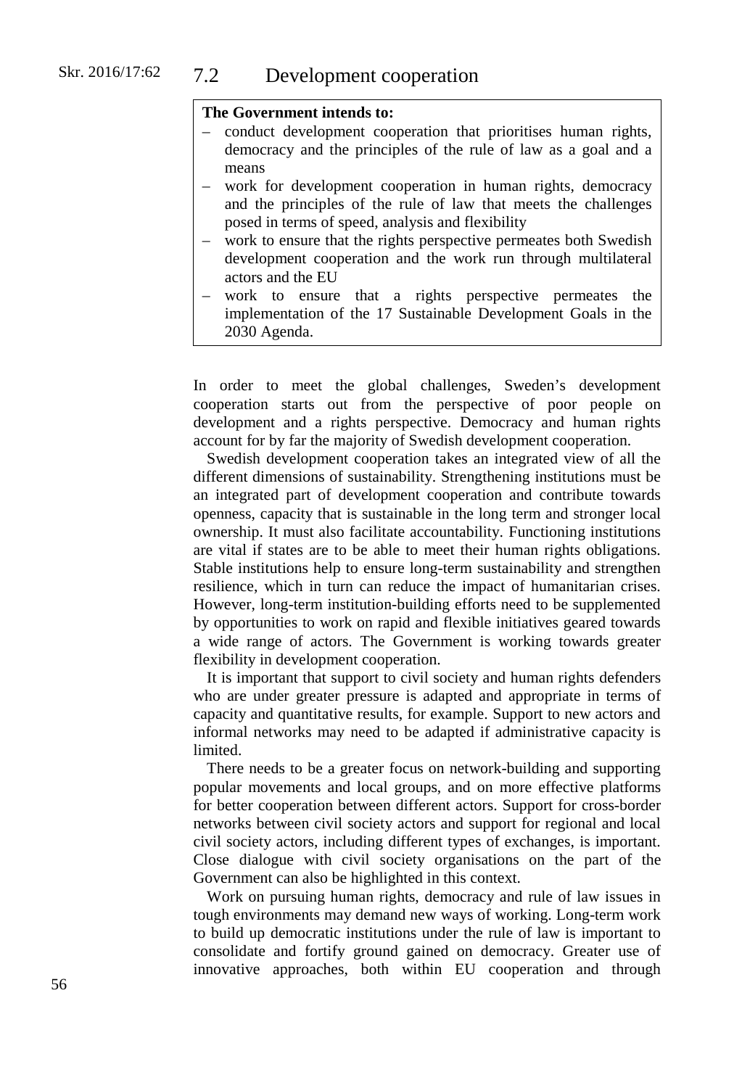## **The Government intends to:**

- conduct development cooperation that prioritises human rights, democracy and the principles of the rule of law as a goal and a means
- work for development cooperation in human rights, democracy and the principles of the rule of law that meets the challenges posed in terms of speed, analysis and flexibility
- work to ensure that the rights perspective permeates both Swedish development cooperation and the work run through multilateral actors and the EU
- work to ensure that a rights perspective permeates the implementation of the 17 Sustainable Development Goals in the 2030 Agenda.

In order to meet the global challenges, Sweden's development cooperation starts out from the perspective of poor people on development and a rights perspective. Democracy and human rights account for by far the majority of Swedish development cooperation.

Swedish development cooperation takes an integrated view of all the different dimensions of sustainability. Strengthening institutions must be an integrated part of development cooperation and contribute towards openness, capacity that is sustainable in the long term and stronger local ownership. It must also facilitate accountability. Functioning institutions are vital if states are to be able to meet their human rights obligations. Stable institutions help to ensure long-term sustainability and strengthen resilience, which in turn can reduce the impact of humanitarian crises. However, long-term institution-building efforts need to be supplemented by opportunities to work on rapid and flexible initiatives geared towards a wide range of actors. The Government is working towards greater flexibility in development cooperation.

It is important that support to civil society and human rights defenders who are under greater pressure is adapted and appropriate in terms of capacity and quantitative results, for example. Support to new actors and informal networks may need to be adapted if administrative capacity is limited.

There needs to be a greater focus on network-building and supporting popular movements and local groups, and on more effective platforms for better cooperation between different actors. Support for cross-border networks between civil society actors and support for regional and local civil society actors, including different types of exchanges, is important. Close dialogue with civil society organisations on the part of the Government can also be highlighted in this context.

Work on pursuing human rights, democracy and rule of law issues in tough environments may demand new ways of working. Long-term work to build up democratic institutions under the rule of law is important to consolidate and fortify ground gained on democracy. Greater use of innovative approaches, both within EU cooperation and through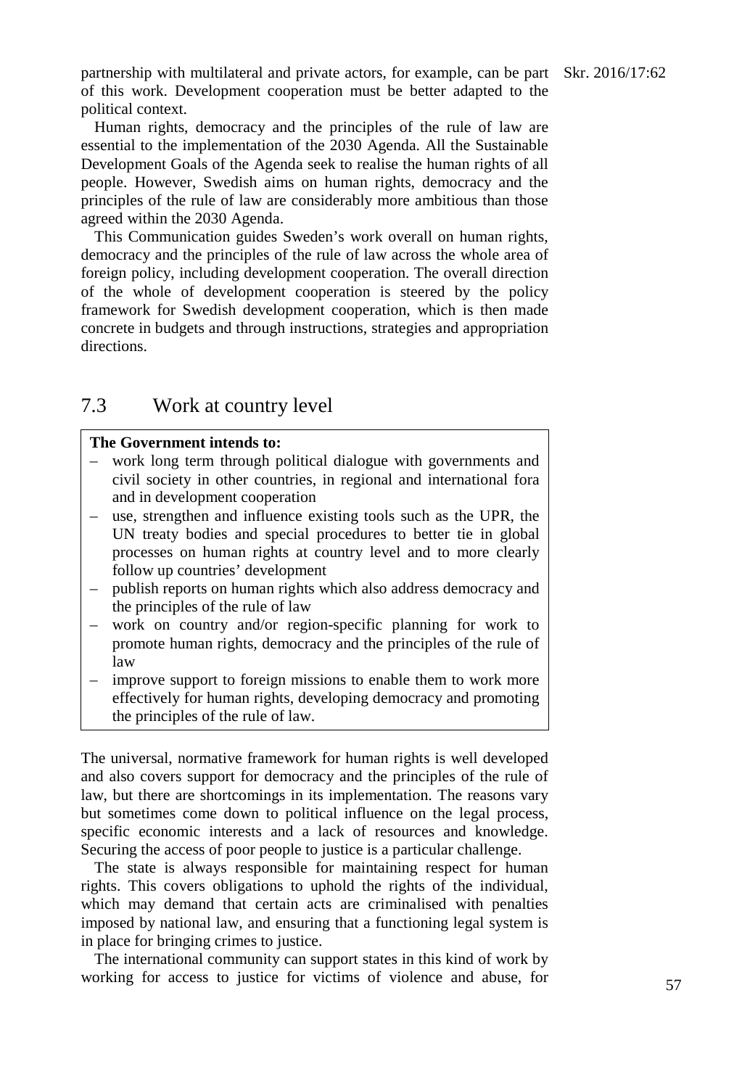partnership with multilateral and private actors, for example, can be part Skr. 2016/17:62 of this work. Development cooperation must be better adapted to the political context.

Human rights, democracy and the principles of the rule of law are essential to the implementation of the 2030 Agenda. All the Sustainable Development Goals of the Agenda seek to realise the human rights of all people. However, Swedish aims on human rights, democracy and the principles of the rule of law are considerably more ambitious than those agreed within the 2030 Agenda.

This Communication guides Sweden's work overall on human rights, democracy and the principles of the rule of law across the whole area of foreign policy, including development cooperation. The overall direction of the whole of development cooperation is steered by the policy framework for Swedish development cooperation, which is then made concrete in budgets and through instructions, strategies and appropriation directions.

# 7.3 Work at country level

## **The Government intends to:**

- work long term through political dialogue with governments and civil society in other countries, in regional and international fora and in development cooperation
- use, strengthen and influence existing tools such as the UPR, the UN treaty bodies and special procedures to better tie in global processes on human rights at country level and to more clearly follow up countries' development
- publish reports on human rights which also address democracy and the principles of the rule of law
- work on country and/or region-specific planning for work to promote human rights, democracy and the principles of the rule of law
- improve support to foreign missions to enable them to work more effectively for human rights, developing democracy and promoting the principles of the rule of law.

The universal, normative framework for human rights is well developed and also covers support for democracy and the principles of the rule of law, but there are shortcomings in its implementation. The reasons vary but sometimes come down to political influence on the legal process, specific economic interests and a lack of resources and knowledge. Securing the access of poor people to justice is a particular challenge.

The state is always responsible for maintaining respect for human rights. This covers obligations to uphold the rights of the individual, which may demand that certain acts are criminalised with penalties imposed by national law, and ensuring that a functioning legal system is in place for bringing crimes to justice.

The international community can support states in this kind of work by working for access to justice for victims of violence and abuse, for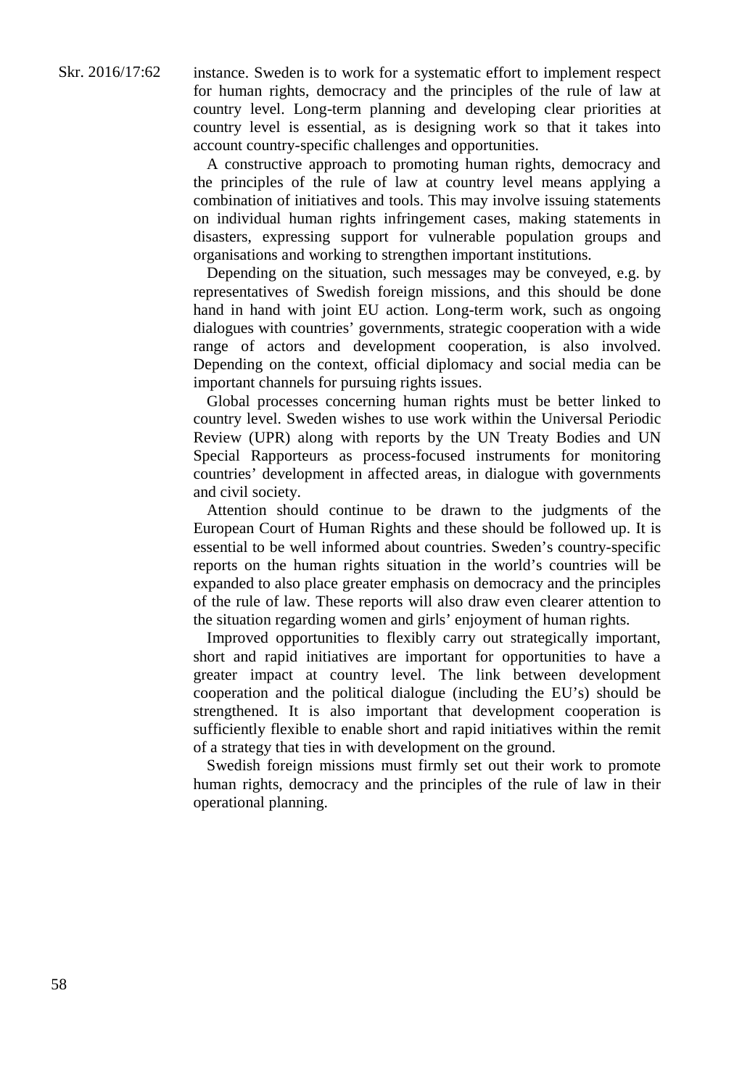instance. Sweden is to work for a systematic effort to implement respect for human rights, democracy and the principles of the rule of law at country level. Long-term planning and developing clear priorities at country level is essential, as is designing work so that it takes into account country-specific challenges and opportunities.

A constructive approach to promoting human rights, democracy and the principles of the rule of law at country level means applying a combination of initiatives and tools. This may involve issuing statements on individual human rights infringement cases, making statements in disasters, expressing support for vulnerable population groups and organisations and working to strengthen important institutions.

Depending on the situation, such messages may be conveyed, e.g. by representatives of Swedish foreign missions, and this should be done hand in hand with joint EU action. Long-term work, such as ongoing dialogues with countries' governments, strategic cooperation with a wide range of actors and development cooperation, is also involved. Depending on the context, official diplomacy and social media can be important channels for pursuing rights issues.

Global processes concerning human rights must be better linked to country level. Sweden wishes to use work within the Universal Periodic Review (UPR) along with reports by the UN Treaty Bodies and UN Special Rapporteurs as process-focused instruments for monitoring countries' development in affected areas, in dialogue with governments and civil society.

Attention should continue to be drawn to the judgments of the European Court of Human Rights and these should be followed up. It is essential to be well informed about countries. Sweden's country-specific reports on the human rights situation in the world's countries will be expanded to also place greater emphasis on democracy and the principles of the rule of law. These reports will also draw even clearer attention to the situation regarding women and girls' enjoyment of human rights.

Improved opportunities to flexibly carry out strategically important, short and rapid initiatives are important for opportunities to have a greater impact at country level. The link between development cooperation and the political dialogue (including the EU's) should be strengthened. It is also important that development cooperation is sufficiently flexible to enable short and rapid initiatives within the remit of a strategy that ties in with development on the ground.

Swedish foreign missions must firmly set out their work to promote human rights, democracy and the principles of the rule of law in their operational planning.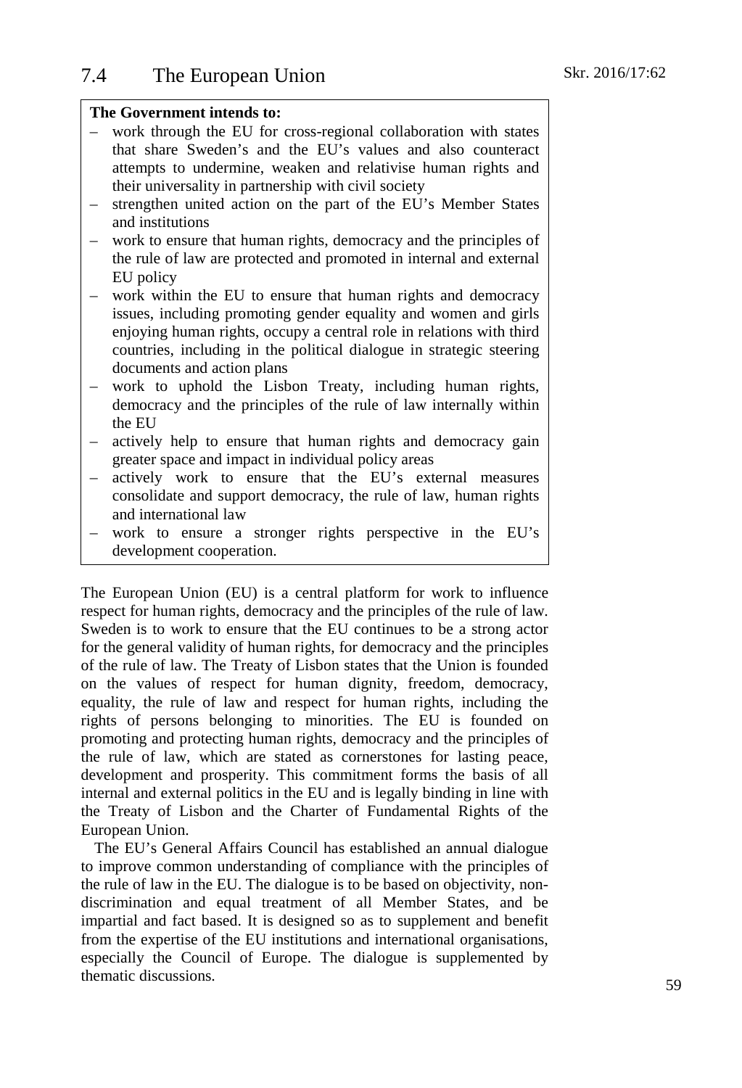## **The Government intends to:**

- work through the EU for cross-regional collaboration with states that share Sweden's and the EU's values and also counteract attempts to undermine, weaken and relativise human rights and their universality in partnership with civil society
- strengthen united action on the part of the EU's Member States and institutions
- work to ensure that human rights, democracy and the principles of the rule of law are protected and promoted in internal and external EU policy
- work within the EU to ensure that human rights and democracy issues, including promoting gender equality and women and girls enjoying human rights, occupy a central role in relations with third countries, including in the political dialogue in strategic steering documents and action plans
- work to uphold the Lisbon Treaty, including human rights, democracy and the principles of the rule of law internally within the EU
- actively help to ensure that human rights and democracy gain greater space and impact in individual policy areas
- actively work to ensure that the EU's external measures consolidate and support democracy, the rule of law, human rights and international law
- work to ensure a stronger rights perspective in the EU's development cooperation.

The European Union (EU) is a central platform for work to influence respect for human rights, democracy and the principles of the rule of law. Sweden is to work to ensure that the EU continues to be a strong actor for the general validity of human rights, for democracy and the principles of the rule of law. The Treaty of Lisbon states that the Union is founded on the values of respect for human dignity, freedom, democracy, equality, the rule of law and respect for human rights, including the rights of persons belonging to minorities. The EU is founded on promoting and protecting human rights, democracy and the principles of the rule of law, which are stated as cornerstones for lasting peace, development and prosperity. This commitment forms the basis of all internal and external politics in the EU and is legally binding in line with the Treaty of Lisbon and the Charter of Fundamental Rights of the European Union.

The EU's General Affairs Council has established an annual dialogue to improve common understanding of compliance with the principles of the rule of law in the EU. The dialogue is to be based on objectivity, nondiscrimination and equal treatment of all Member States, and be impartial and fact based. It is designed so as to supplement and benefit from the expertise of the EU institutions and international organisations, especially the Council of Europe. The dialogue is supplemented by thematic discussions.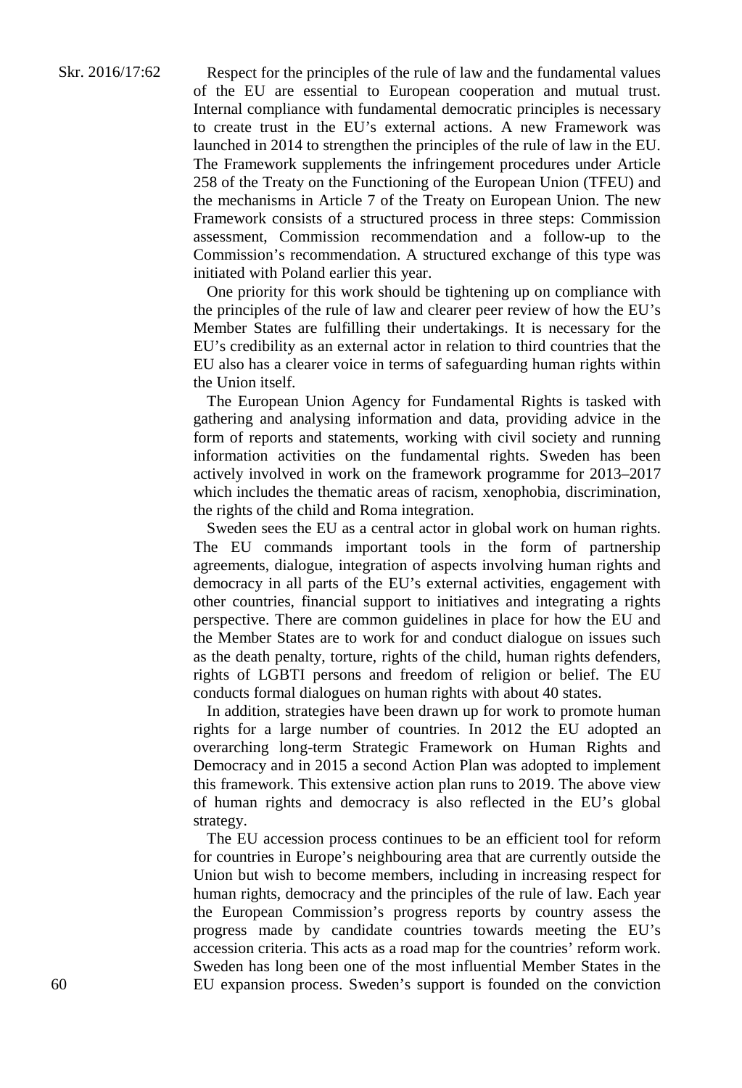Respect for the principles of the rule of law and the fundamental values of the EU are essential to European cooperation and mutual trust. Internal compliance with fundamental democratic principles is necessary to create trust in the EU's external actions. A new Framework was launched in 2014 to strengthen the principles of the rule of law in the EU. The Framework supplements the infringement procedures under Article 258 of the Treaty on the Functioning of the European Union (TFEU) and the mechanisms in Article 7 of the Treaty on European Union. The new Framework consists of a structured process in three steps: Commission assessment, Commission recommendation and a follow-up to the Commission's recommendation. A structured exchange of this type was initiated with Poland earlier this year.

One priority for this work should be tightening up on compliance with the principles of the rule of law and clearer peer review of how the EU's Member States are fulfilling their undertakings. It is necessary for the EU's credibility as an external actor in relation to third countries that the EU also has a clearer voice in terms of safeguarding human rights within the Union itself.

The European Union Agency for Fundamental Rights is tasked with gathering and analysing information and data, providing advice in the form of reports and statements, working with civil society and running information activities on the fundamental rights. Sweden has been actively involved in work on the framework programme for 2013–2017 which includes the thematic areas of racism, xenophobia, discrimination, the rights of the child and Roma integration.

Sweden sees the EU as a central actor in global work on human rights. The EU commands important tools in the form of partnership agreements, dialogue, integration of aspects involving human rights and democracy in all parts of the EU's external activities, engagement with other countries, financial support to initiatives and integrating a rights perspective. There are common guidelines in place for how the EU and the Member States are to work for and conduct dialogue on issues such as the death penalty, torture, rights of the child, human rights defenders, rights of LGBTI persons and freedom of religion or belief. The EU conducts formal dialogues on human rights with about 40 states.

In addition, strategies have been drawn up for work to promote human rights for a large number of countries. In 2012 the EU adopted an overarching long-term Strategic Framework on Human Rights and Democracy and in 2015 a second Action Plan was adopted to implement this framework. This extensive action plan runs to 2019. The above view of human rights and democracy is also reflected in the EU's global strategy.

The EU accession process continues to be an efficient tool for reform for countries in Europe's neighbouring area that are currently outside the Union but wish to become members, including in increasing respect for human rights, democracy and the principles of the rule of law. Each year the European Commission's progress reports by country assess the progress made by candidate countries towards meeting the EU's accession criteria. This acts as a road map for the countries' reform work. Sweden has long been one of the most influential Member States in the EU expansion process. Sweden's support is founded on the conviction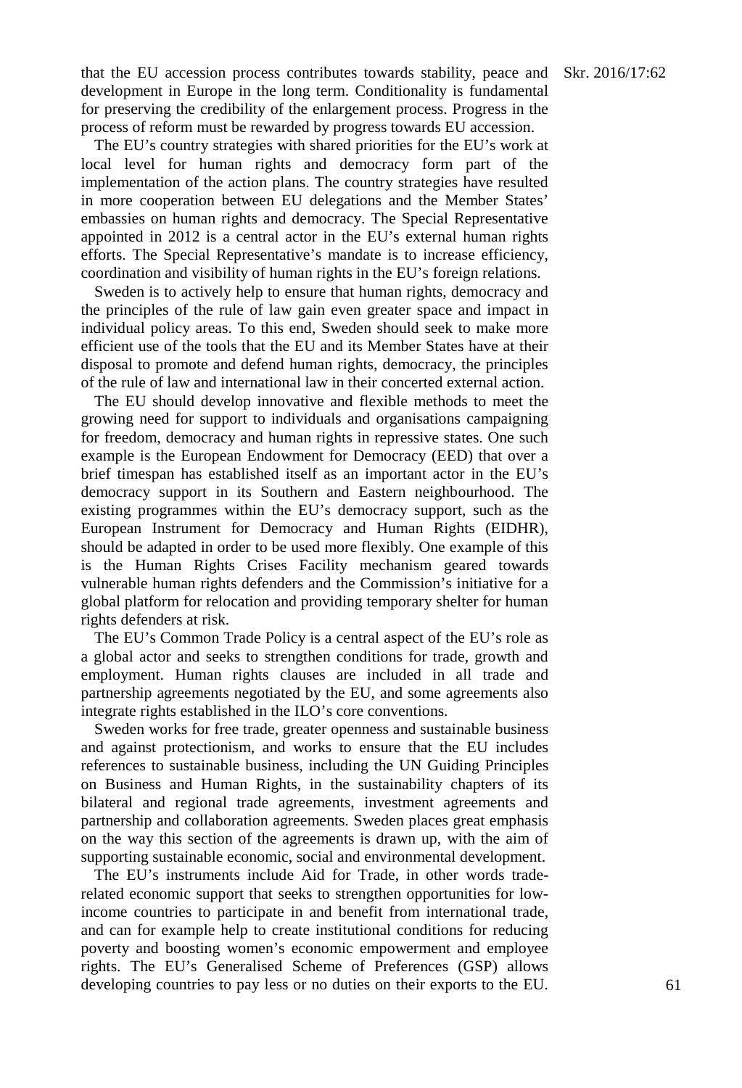that the EU accession process contributes towards stability, peace and Skr. 2016/17:62 development in Europe in the long term. Conditionality is fundamental for preserving the credibility of the enlargement process. Progress in the process of reform must be rewarded by progress towards EU accession.

The EU's country strategies with shared priorities for the EU's work at local level for human rights and democracy form part of the implementation of the action plans. The country strategies have resulted in more cooperation between EU delegations and the Member States' embassies on human rights and democracy. The Special Representative appointed in 2012 is a central actor in the EU's external human rights efforts. The Special Representative's mandate is to increase efficiency, coordination and visibility of human rights in the EU's foreign relations.

Sweden is to actively help to ensure that human rights, democracy and the principles of the rule of law gain even greater space and impact in individual policy areas. To this end, Sweden should seek to make more efficient use of the tools that the EU and its Member States have at their disposal to promote and defend human rights, democracy, the principles of the rule of law and international law in their concerted external action.

The EU should develop innovative and flexible methods to meet the growing need for support to individuals and organisations campaigning for freedom, democracy and human rights in repressive states. One such example is the European Endowment for Democracy (EED) that over a brief timespan has established itself as an important actor in the EU's democracy support in its Southern and Eastern neighbourhood. The existing programmes within the EU's democracy support, such as the European Instrument for Democracy and Human Rights (EIDHR), should be adapted in order to be used more flexibly. One example of this is the Human Rights Crises Facility mechanism geared towards vulnerable human rights defenders and the Commission's initiative for a global platform for relocation and providing temporary shelter for human rights defenders at risk.

The EU's Common Trade Policy is a central aspect of the EU's role as a global actor and seeks to strengthen conditions for trade, growth and employment. Human rights clauses are included in all trade and partnership agreements negotiated by the EU, and some agreements also integrate rights established in the ILO's core conventions.

Sweden works for free trade, greater openness and sustainable business and against protectionism, and works to ensure that the EU includes references to sustainable business, including the UN Guiding Principles on Business and Human Rights, in the sustainability chapters of its bilateral and regional trade agreements, investment agreements and partnership and collaboration agreements. Sweden places great emphasis on the way this section of the agreements is drawn up, with the aim of supporting sustainable economic, social and environmental development.

The EU's instruments include Aid for Trade, in other words traderelated economic support that seeks to strengthen opportunities for lowincome countries to participate in and benefit from international trade, and can for example help to create institutional conditions for reducing poverty and boosting women's economic empowerment and employee rights. The EU's Generalised Scheme of Preferences (GSP) allows developing countries to pay less or no duties on their exports to the EU.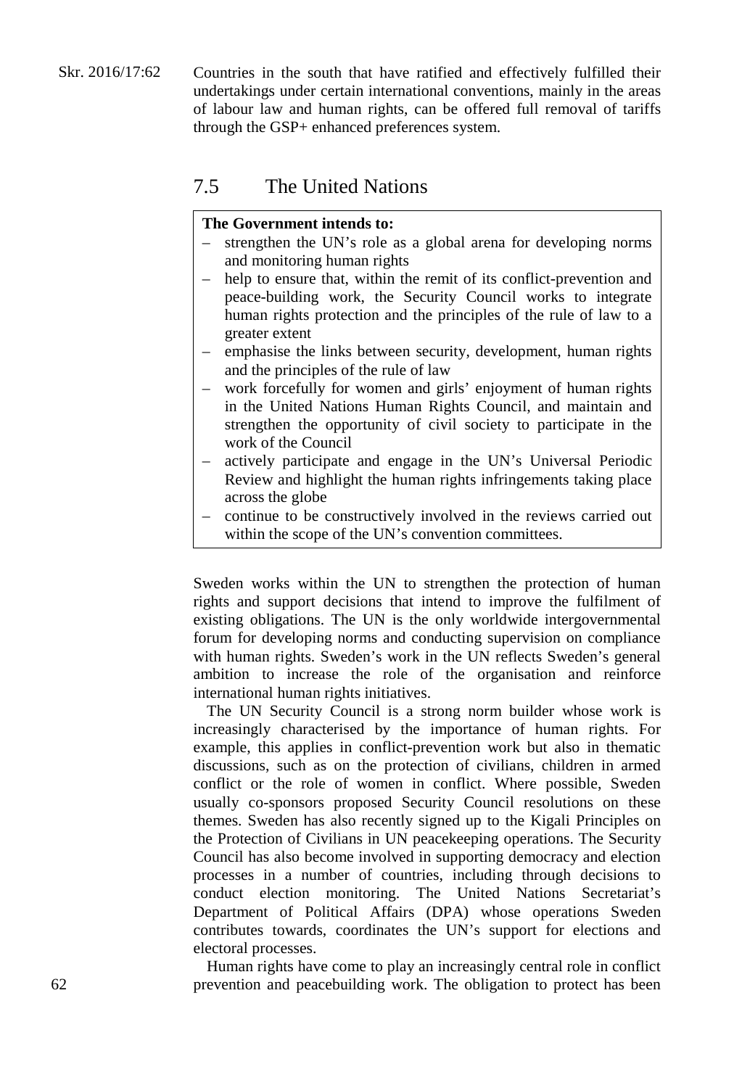Skr. 2016/17:62 Countries in the south that have ratified and effectively fulfilled their undertakings under certain international conventions, mainly in the areas of labour law and human rights, can be offered full removal of tariffs through the GSP+ enhanced preferences system.

# 7.5 The United Nations

## **The Government intends to:**

- strengthen the UN's role as a global arena for developing norms and monitoring human rights
- help to ensure that, within the remit of its conflict-prevention and peace-building work, the Security Council works to integrate human rights protection and the principles of the rule of law to a greater extent
- emphasise the links between security, development, human rights and the principles of the rule of law
- work forcefully for women and girls' enjoyment of human rights in the United Nations Human Rights Council, and maintain and strengthen the opportunity of civil society to participate in the work of the Council
- actively participate and engage in the UN's Universal Periodic Review and highlight the human rights infringements taking place across the globe
- continue to be constructively involved in the reviews carried out within the scope of the UN's convention committees.

Sweden works within the UN to strengthen the protection of human rights and support decisions that intend to improve the fulfilment of existing obligations. The UN is the only worldwide intergovernmental forum for developing norms and conducting supervision on compliance with human rights. Sweden's work in the UN reflects Sweden's general ambition to increase the role of the organisation and reinforce international human rights initiatives.

The UN Security Council is a strong norm builder whose work is increasingly characterised by the importance of human rights. For example, this applies in conflict-prevention work but also in thematic discussions, such as on the protection of civilians, children in armed conflict or the role of women in conflict. Where possible, Sweden usually co-sponsors proposed Security Council resolutions on these themes. Sweden has also recently signed up to the Kigali Principles on the Protection of Civilians in UN peacekeeping operations. The Security Council has also become involved in supporting democracy and election processes in a number of countries, including through decisions to conduct election monitoring. The United Nations Secretariat's Department of Political Affairs (DPA) whose operations Sweden contributes towards, coordinates the UN's support for elections and electoral processes.

Human rights have come to play an increasingly central role in conflict prevention and peacebuilding work. The obligation to protect has been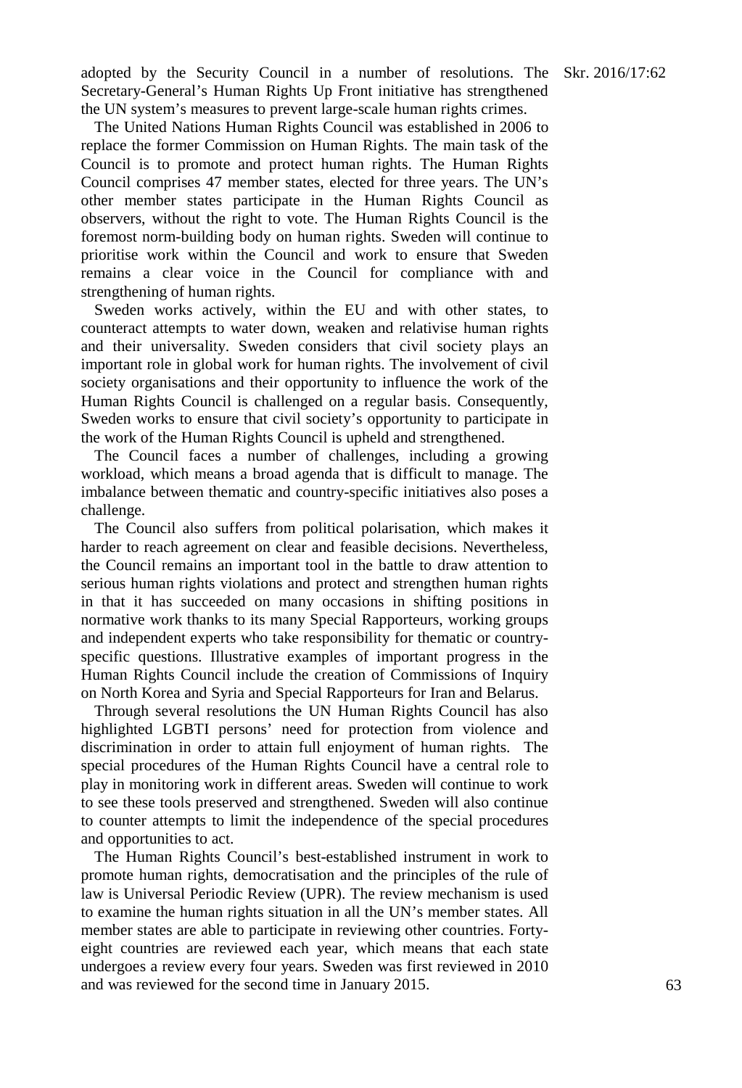adopted by the Security Council in a number of resolutions. The Skr. 2016/17:62 Secretary-General's Human Rights Up Front initiative has strengthened the UN system's measures to prevent large-scale human rights crimes.

The United Nations Human Rights Council was established in 2006 to replace the former Commission on Human Rights. The main task of the Council is to promote and protect human rights. The Human Rights Council comprises 47 member states, elected for three years. The UN's other member states participate in the Human Rights Council as observers, without the right to vote. The Human Rights Council is the foremost norm-building body on human rights. Sweden will continue to prioritise work within the Council and work to ensure that Sweden remains a clear voice in the Council for compliance with and strengthening of human rights.

Sweden works actively, within the EU and with other states, to counteract attempts to water down, weaken and relativise human rights and their universality. Sweden considers that civil society plays an important role in global work for human rights. The involvement of civil society organisations and their opportunity to influence the work of the Human Rights Council is challenged on a regular basis. Consequently, Sweden works to ensure that civil society's opportunity to participate in the work of the Human Rights Council is upheld and strengthened.

The Council faces a number of challenges, including a growing workload, which means a broad agenda that is difficult to manage. The imbalance between thematic and country-specific initiatives also poses a challenge.

The Council also suffers from political polarisation, which makes it harder to reach agreement on clear and feasible decisions. Nevertheless, the Council remains an important tool in the battle to draw attention to serious human rights violations and protect and strengthen human rights in that it has succeeded on many occasions in shifting positions in normative work thanks to its many Special Rapporteurs, working groups and independent experts who take responsibility for thematic or countryspecific questions. Illustrative examples of important progress in the Human Rights Council include the creation of Commissions of Inquiry on North Korea and Syria and Special Rapporteurs for Iran and Belarus.

Through several resolutions the UN Human Rights Council has also highlighted LGBTI persons' need for protection from violence and discrimination in order to attain full enjoyment of human rights. The special procedures of the Human Rights Council have a central role to play in monitoring work in different areas. Sweden will continue to work to see these tools preserved and strengthened. Sweden will also continue to counter attempts to limit the independence of the special procedures and opportunities to act.

The Human Rights Council's best-established instrument in work to promote human rights, democratisation and the principles of the rule of law is Universal Periodic Review (UPR). The review mechanism is used to examine the human rights situation in all the UN's member states. All member states are able to participate in reviewing other countries. Fortyeight countries are reviewed each year, which means that each state undergoes a review every four years. Sweden was first reviewed in 2010 and was reviewed for the second time in January 2015.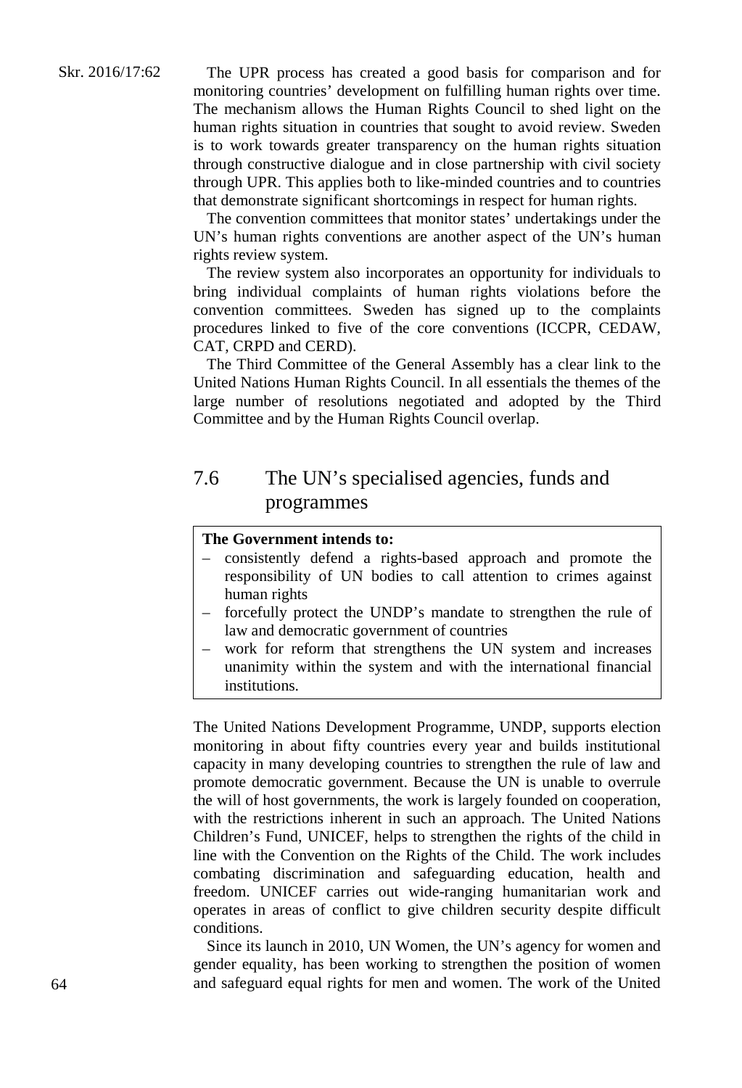The UPR process has created a good basis for comparison and for monitoring countries' development on fulfilling human rights over time. The mechanism allows the Human Rights Council to shed light on the human rights situation in countries that sought to avoid review. Sweden is to work towards greater transparency on the human rights situation through constructive dialogue and in close partnership with civil society through UPR. This applies both to like-minded countries and to countries that demonstrate significant shortcomings in respect for human rights.

The convention committees that monitor states' undertakings under the UN's human rights conventions are another aspect of the UN's human rights review system.

The review system also incorporates an opportunity for individuals to bring individual complaints of human rights violations before the convention committees. Sweden has signed up to the complaints procedures linked to five of the core conventions (ICCPR, CEDAW, CAT, CRPD and CERD).

The Third Committee of the General Assembly has a clear link to the United Nations Human Rights Council. In all essentials the themes of the large number of resolutions negotiated and adopted by the Third Committee and by the Human Rights Council overlap.

# 7.6 The UN's specialised agencies, funds and programmes

## **The Government intends to:**

- consistently defend a rights-based approach and promote the responsibility of UN bodies to call attention to crimes against human rights
- forcefully protect the UNDP's mandate to strengthen the rule of law and democratic government of countries
- work for reform that strengthens the UN system and increases unanimity within the system and with the international financial institutions.

The United Nations Development Programme, UNDP, supports election monitoring in about fifty countries every year and builds institutional capacity in many developing countries to strengthen the rule of law and promote democratic government. Because the UN is unable to overrule the will of host governments, the work is largely founded on cooperation, with the restrictions inherent in such an approach. The United Nations Children's Fund, UNICEF, helps to strengthen the rights of the child in line with the Convention on the Rights of the Child. The work includes combating discrimination and safeguarding education, health and freedom. UNICEF carries out wide-ranging humanitarian work and operates in areas of conflict to give children security despite difficult conditions.

Since its launch in 2010, UN Women, the UN's agency for women and gender equality, has been working to strengthen the position of women and safeguard equal rights for men and women. The work of the United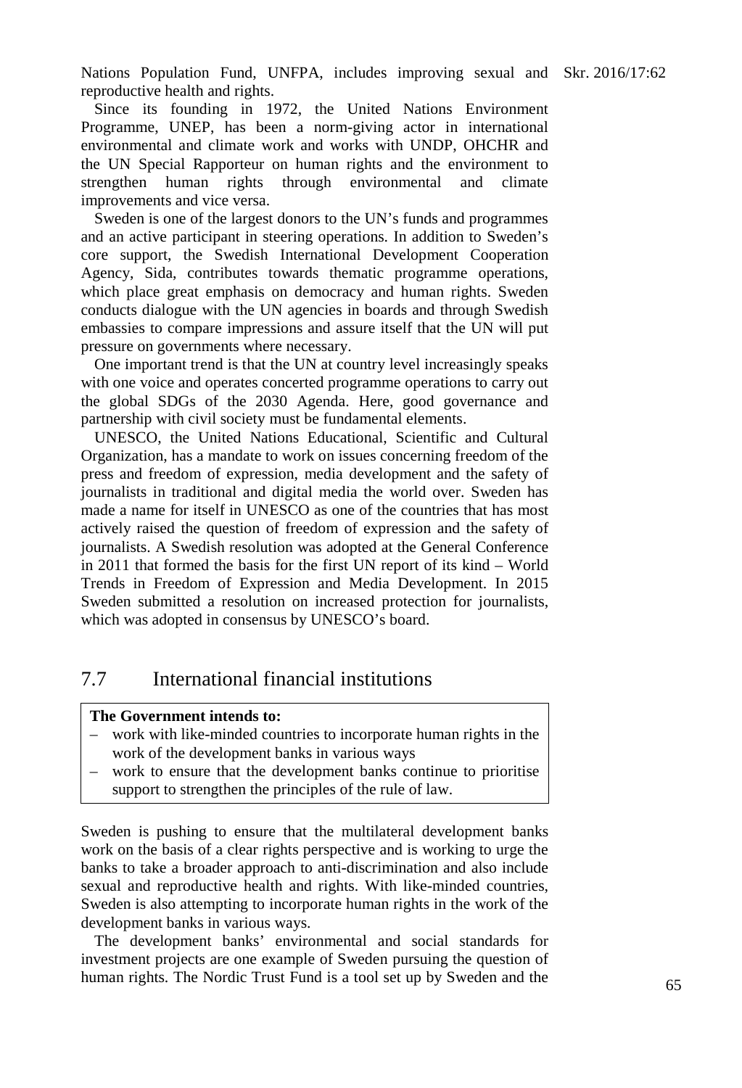Nations Population Fund, UNFPA, includes improving sexual and Skr. 2016/17:62 reproductive health and rights.

Since its founding in 1972, the United Nations Environment Programme, UNEP, has been a norm-giving actor in international environmental and climate work and works with UNDP, OHCHR and the UN Special Rapporteur on human rights and the environment to strengthen human rights through environmental and climate improvements and vice versa.

Sweden is one of the largest donors to the UN's funds and programmes and an active participant in steering operations. In addition to Sweden's core support, the Swedish International Development Cooperation Agency, Sida, contributes towards thematic programme operations, which place great emphasis on democracy and human rights. Sweden conducts dialogue with the UN agencies in boards and through Swedish embassies to compare impressions and assure itself that the UN will put pressure on governments where necessary.

One important trend is that the UN at country level increasingly speaks with one voice and operates concerted programme operations to carry out the global SDGs of the 2030 Agenda. Here, good governance and partnership with civil society must be fundamental elements.

UNESCO, the United Nations Educational, Scientific and Cultural Organization, has a mandate to work on issues concerning freedom of the press and freedom of expression, media development and the safety of journalists in traditional and digital media the world over. Sweden has made a name for itself in UNESCO as one of the countries that has most actively raised the question of freedom of expression and the safety of journalists. A Swedish resolution was adopted at the General Conference in 2011 that formed the basis for the first UN report of its kind – World Trends in Freedom of Expression and Media Development. In 2015 Sweden submitted a resolution on increased protection for journalists, which was adopted in consensus by UNESCO's board.

# 7.7 International financial institutions

## **The Government intends to:**

- work with like-minded countries to incorporate human rights in the work of the development banks in various ways
- work to ensure that the development banks continue to prioritise support to strengthen the principles of the rule of law.

Sweden is pushing to ensure that the multilateral development banks work on the basis of a clear rights perspective and is working to urge the banks to take a broader approach to anti-discrimination and also include sexual and reproductive health and rights. With like-minded countries, Sweden is also attempting to incorporate human rights in the work of the development banks in various ways.

The development banks' environmental and social standards for investment projects are one example of Sweden pursuing the question of human rights. The Nordic Trust Fund is a tool set up by Sweden and the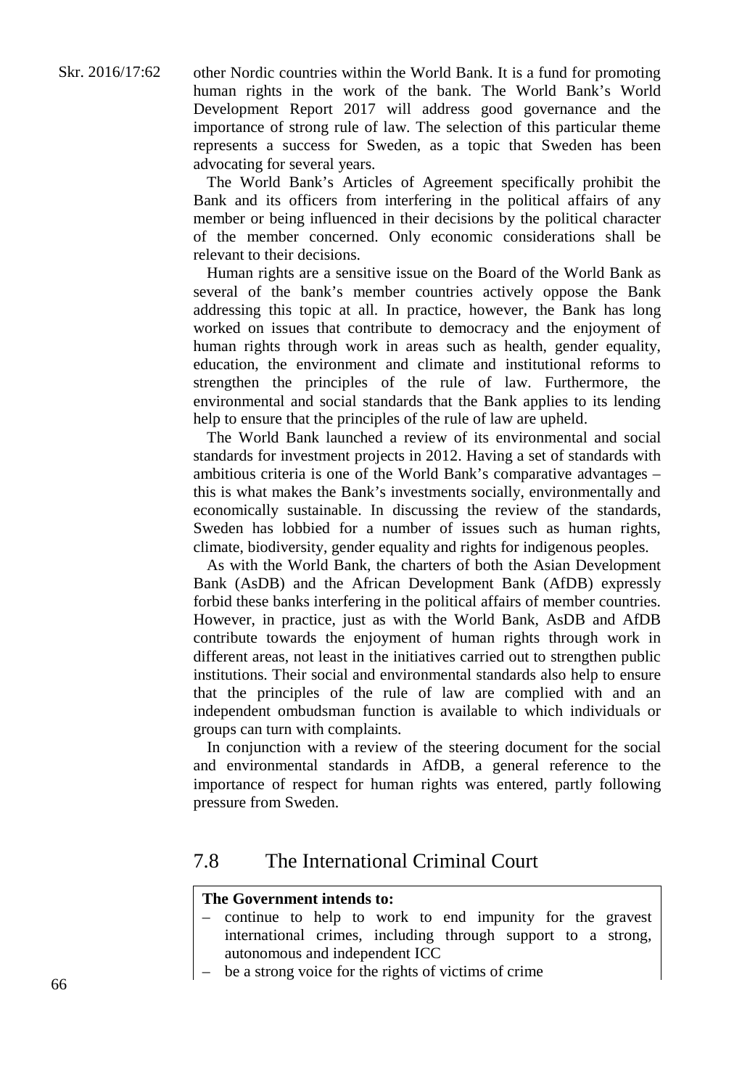The World Bank's Articles of Agreement specifically prohibit the Bank and its officers from interfering in the political affairs of any member or being influenced in their decisions by the political character of the member concerned. Only economic considerations shall be relevant to their decisions.

Human rights are a sensitive issue on the Board of the World Bank as several of the bank's member countries actively oppose the Bank addressing this topic at all. In practice, however, the Bank has long worked on issues that contribute to democracy and the enjoyment of human rights through work in areas such as health, gender equality, education, the environment and climate and institutional reforms to strengthen the principles of the rule of law. Furthermore, the environmental and social standards that the Bank applies to its lending help to ensure that the principles of the rule of law are upheld.

The World Bank launched a review of its environmental and social standards for investment projects in 2012. Having a set of standards with ambitious criteria is one of the World Bank's comparative advantages – this is what makes the Bank's investments socially, environmentally and economically sustainable. In discussing the review of the standards, Sweden has lobbied for a number of issues such as human rights, climate, biodiversity, gender equality and rights for indigenous peoples.

As with the World Bank, the charters of both the Asian Development Bank (AsDB) and the African Development Bank (AfDB) expressly forbid these banks interfering in the political affairs of member countries. However, in practice, just as with the World Bank, AsDB and AfDB contribute towards the enjoyment of human rights through work in different areas, not least in the initiatives carried out to strengthen public institutions. Their social and environmental standards also help to ensure that the principles of the rule of law are complied with and an independent ombudsman function is available to which individuals or groups can turn with complaints.

In conjunction with a review of the steering document for the social and environmental standards in AfDB, a general reference to the importance of respect for human rights was entered, partly following pressure from Sweden.

# 7.8 The International Criminal Court

## **The Government intends to:**

- continue to help to work to end impunity for the gravest international crimes, including through support to a strong, autonomous and independent ICC
- be a strong voice for the rights of victims of crime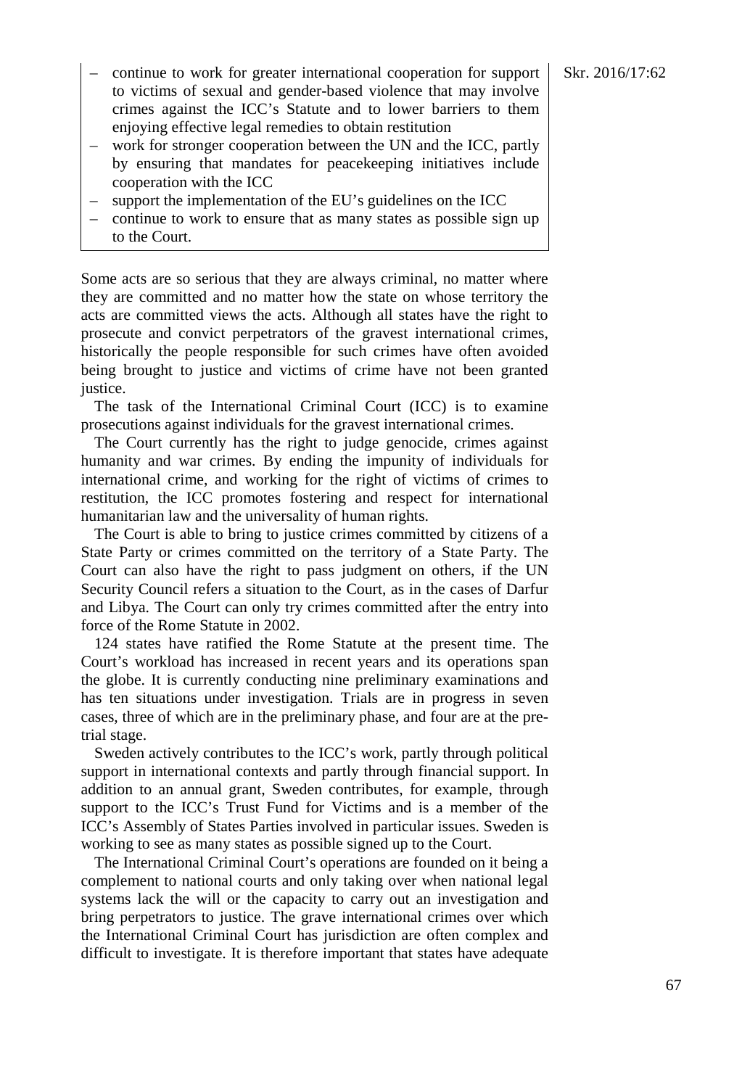- continue to work for greater international cooperation for support  $\Big|$  Skr. 2016/17:62 to victims of sexual and gender-based violence that may involve crimes against the ICC's Statute and to lower barriers to them enjoying effective legal remedies to obtain restitution
- work for stronger cooperation between the UN and the ICC, partly by ensuring that mandates for peacekeeping initiatives include cooperation with the ICC
- support the implementation of the EU's guidelines on the ICC
- continue to work to ensure that as many states as possible sign up to the Court.

Some acts are so serious that they are always criminal, no matter where they are committed and no matter how the state on whose territory the acts are committed views the acts. Although all states have the right to prosecute and convict perpetrators of the gravest international crimes, historically the people responsible for such crimes have often avoided being brought to justice and victims of crime have not been granted justice.

The task of the International Criminal Court (ICC) is to examine prosecutions against individuals for the gravest international crimes.

The Court currently has the right to judge genocide, crimes against humanity and war crimes. By ending the impunity of individuals for international crime, and working for the right of victims of crimes to restitution, the ICC promotes fostering and respect for international humanitarian law and the universality of human rights.

The Court is able to bring to justice crimes committed by citizens of a State Party or crimes committed on the territory of a State Party. The Court can also have the right to pass judgment on others, if the UN Security Council refers a situation to the Court, as in the cases of Darfur and Libya. The Court can only try crimes committed after the entry into force of the Rome Statute in 2002.

124 states have ratified the Rome Statute at the present time. The Court's workload has increased in recent years and its operations span the globe. It is currently conducting nine preliminary examinations and has ten situations under investigation. Trials are in progress in seven cases, three of which are in the preliminary phase, and four are at the pretrial stage.

Sweden actively contributes to the ICC's work, partly through political support in international contexts and partly through financial support. In addition to an annual grant, Sweden contributes, for example, through support to the ICC's Trust Fund for Victims and is a member of the ICC's Assembly of States Parties involved in particular issues. Sweden is working to see as many states as possible signed up to the Court.

The International Criminal Court's operations are founded on it being a complement to national courts and only taking over when national legal systems lack the will or the capacity to carry out an investigation and bring perpetrators to justice. The grave international crimes over which the International Criminal Court has jurisdiction are often complex and difficult to investigate. It is therefore important that states have adequate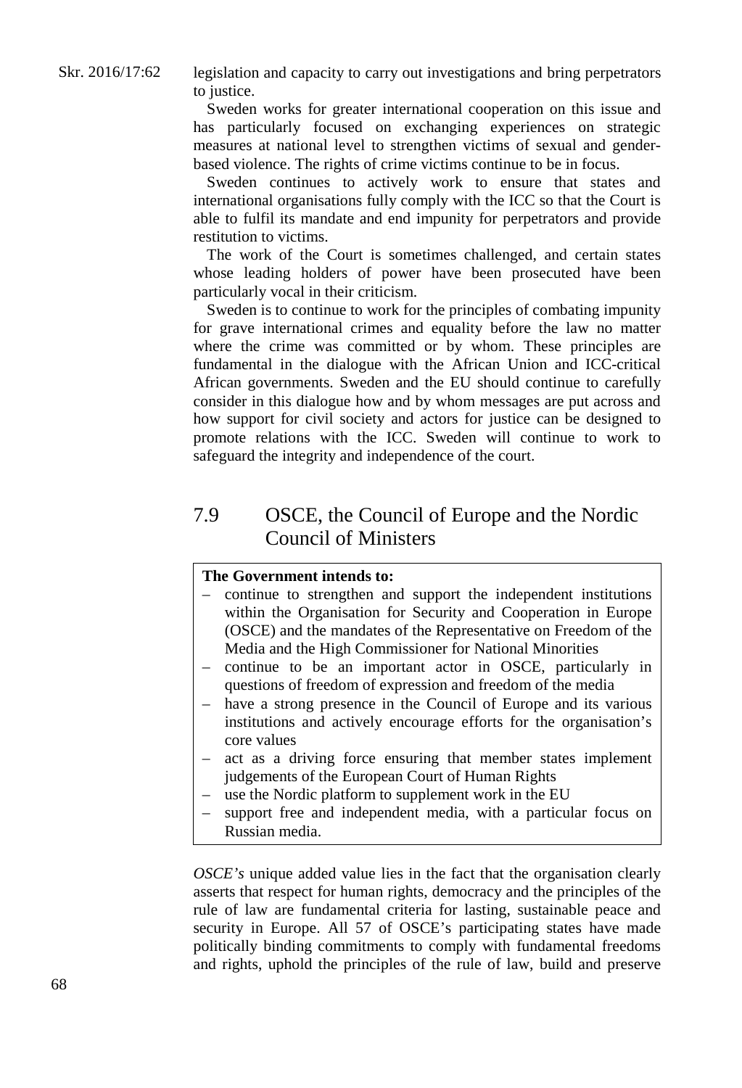legislation and capacity to carry out investigations and bring perpetrators to justice.

Sweden works for greater international cooperation on this issue and has particularly focused on exchanging experiences on strategic measures at national level to strengthen victims of sexual and genderbased violence. The rights of crime victims continue to be in focus.

Sweden continues to actively work to ensure that states and international organisations fully comply with the ICC so that the Court is able to fulfil its mandate and end impunity for perpetrators and provide restitution to victims.

The work of the Court is sometimes challenged, and certain states whose leading holders of power have been prosecuted have been particularly vocal in their criticism.

Sweden is to continue to work for the principles of combating impunity for grave international crimes and equality before the law no matter where the crime was committed or by whom. These principles are fundamental in the dialogue with the African Union and ICC-critical African governments. Sweden and the EU should continue to carefully consider in this dialogue how and by whom messages are put across and how support for civil society and actors for justice can be designed to promote relations with the ICC. Sweden will continue to work to safeguard the integrity and independence of the court.

# 7.9 OSCE, the Council of Europe and the Nordic Council of Ministers

## **The Government intends to:**

- continue to strengthen and support the independent institutions within the Organisation for Security and Cooperation in Europe (OSCE) and the mandates of the Representative on Freedom of the Media and the High Commissioner for National Minorities
- continue to be an important actor in OSCE, particularly in questions of freedom of expression and freedom of the media
- have a strong presence in the Council of Europe and its various institutions and actively encourage efforts for the organisation's core values
- act as a driving force ensuring that member states implement judgements of the European Court of Human Rights
- use the Nordic platform to supplement work in the EU
- support free and independent media, with a particular focus on Russian media.

*OSCE's* unique added value lies in the fact that the organisation clearly asserts that respect for human rights, democracy and the principles of the rule of law are fundamental criteria for lasting, sustainable peace and security in Europe. All 57 of OSCE's participating states have made politically binding commitments to comply with fundamental freedoms and rights, uphold the principles of the rule of law, build and preserve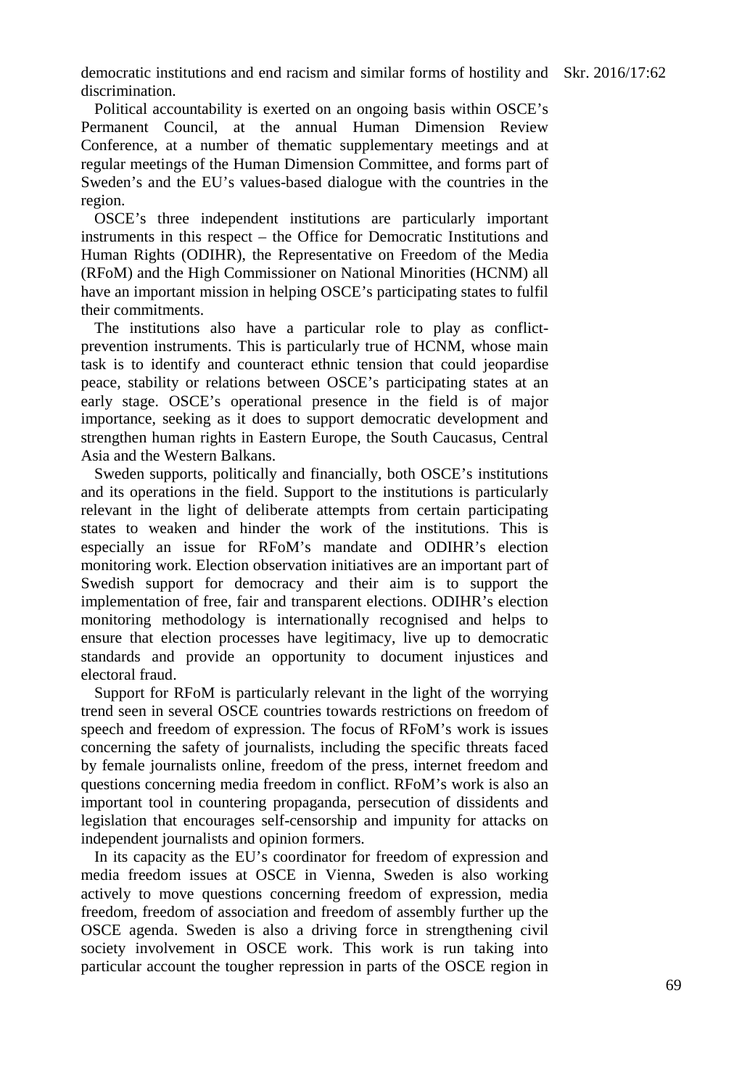democratic institutions and end racism and similar forms of hostility and Skr. 2016/17:62 discrimination.

Political accountability is exerted on an ongoing basis within OSCE's Permanent Council, at the annual Human Dimension Review Conference, at a number of thematic supplementary meetings and at regular meetings of the Human Dimension Committee, and forms part of Sweden's and the EU's values-based dialogue with the countries in the region.

OSCE's three independent institutions are particularly important instruments in this respect – the Office for Democratic Institutions and Human Rights (ODIHR), the Representative on Freedom of the Media (RFoM) and the High Commissioner on National Minorities (HCNM) all have an important mission in helping OSCE's participating states to fulfil their commitments.

The institutions also have a particular role to play as conflictprevention instruments. This is particularly true of HCNM, whose main task is to identify and counteract ethnic tension that could jeopardise peace, stability or relations between OSCE's participating states at an early stage. OSCE's operational presence in the field is of major importance, seeking as it does to support democratic development and strengthen human rights in Eastern Europe, the South Caucasus, Central Asia and the Western Balkans.

Sweden supports, politically and financially, both OSCE's institutions and its operations in the field. Support to the institutions is particularly relevant in the light of deliberate attempts from certain participating states to weaken and hinder the work of the institutions. This is especially an issue for RFoM's mandate and ODIHR's election monitoring work. Election observation initiatives are an important part of Swedish support for democracy and their aim is to support the implementation of free, fair and transparent elections. ODIHR's election monitoring methodology is internationally recognised and helps to ensure that election processes have legitimacy, live up to democratic standards and provide an opportunity to document injustices and electoral fraud.

Support for RFoM is particularly relevant in the light of the worrying trend seen in several OSCE countries towards restrictions on freedom of speech and freedom of expression. The focus of RFoM's work is issues concerning the safety of journalists, including the specific threats faced by female journalists online, freedom of the press, internet freedom and questions concerning media freedom in conflict. RFoM's work is also an important tool in countering propaganda, persecution of dissidents and legislation that encourages self-censorship and impunity for attacks on independent journalists and opinion formers.

In its capacity as the EU's coordinator for freedom of expression and media freedom issues at OSCE in Vienna, Sweden is also working actively to move questions concerning freedom of expression, media freedom, freedom of association and freedom of assembly further up the OSCE agenda. Sweden is also a driving force in strengthening civil society involvement in OSCE work. This work is run taking into particular account the tougher repression in parts of the OSCE region in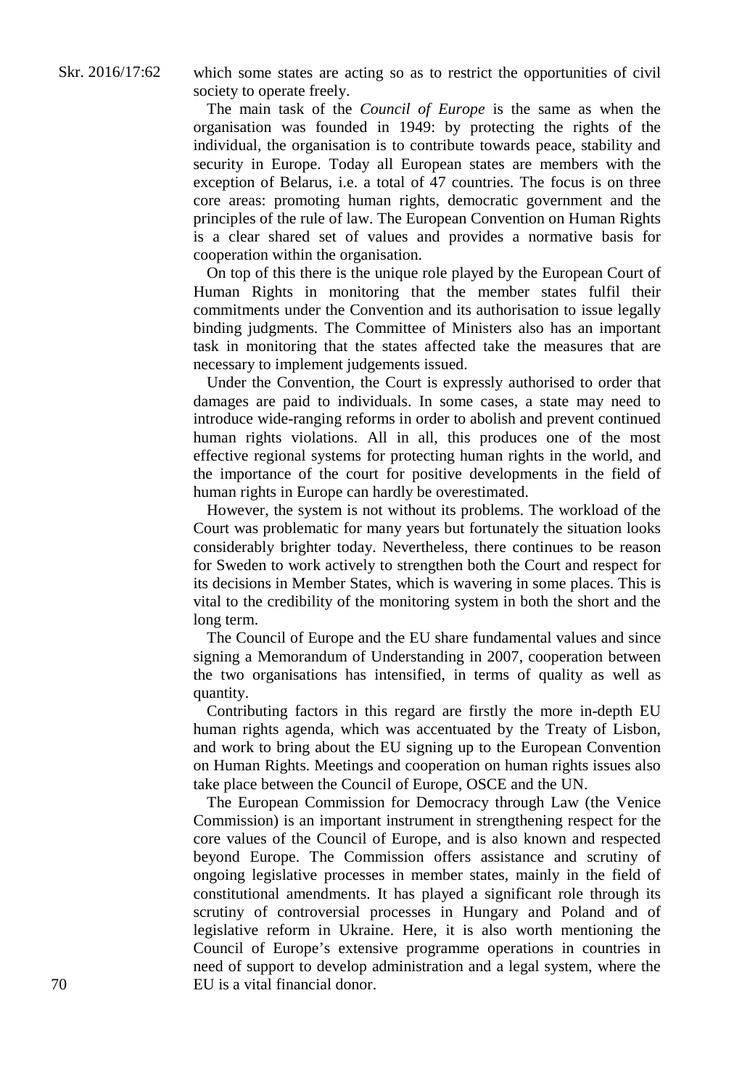which some states are acting so as to restrict the opportunities of civil society to operate freely.

The main task of the *Council of Europe* is the same as when the organisation was founded in 1949: by protecting the rights of the individual, the organisation is to contribute towards peace, stability and security in Europe. Today all European states are members with the exception of Belarus, i.e. a total of 47 countries. The focus is on three core areas: promoting human rights, democratic government and the principles of the rule of law. The European Convention on Human Rights is a clear shared set of values and provides a normative basis for cooperation within the organisation.

On top of this there is the unique role played by the European Court of Human Rights in monitoring that the member states fulfil their commitments under the Convention and its authorisation to issue legally binding judgments. The Committee of Ministers also has an important task in monitoring that the states affected take the measures that are necessary to implement judgements issued.

Under the Convention, the Court is expressly authorised to order that damages are paid to individuals. In some cases, a state may need to introduce wide-ranging reforms in order to abolish and prevent continued human rights violations. All in all, this produces one of the most effective regional systems for protecting human rights in the world, and the importance of the court for positive developments in the field of human rights in Europe can hardly be overestimated.

However, the system is not without its problems. The workload of the Court was problematic for many years but fortunately the situation looks considerably brighter today. Nevertheless, there continues to be reason for Sweden to work actively to strengthen both the Court and respect for its decisions in Member States, which is wavering in some places. This is vital to the credibility of the monitoring system in both the short and the long term.

The Council of Europe and the EU share fundamental values and since signing a Memorandum of Understanding in 2007, cooperation between the two organisations has intensified, in terms of quality as well as quantity.

Contributing factors in this regard are firstly the more in-depth EU human rights agenda, which was accentuated by the Treaty of Lisbon, and work to bring about the EU signing up to the European Convention on Human Rights. Meetings and cooperation on human rights issues also take place between the Council of Europe, OSCE and the UN.

The European Commission for Democracy through Law (the Venice Commission) is an important instrument in strengthening respect for the core values of the Council of Europe, and is also known and respected beyond Europe. The Commission offers assistance and scrutiny of ongoing legislative processes in member states, mainly in the field of constitutional amendments. It has played a significant role through its scrutiny of controversial processes in Hungary and Poland and of legislative reform in Ukraine. Here, it is also worth mentioning the Council of Europe's extensive programme operations in countries in need of support to develop administration and a legal system, where the EU is a vital financial donor.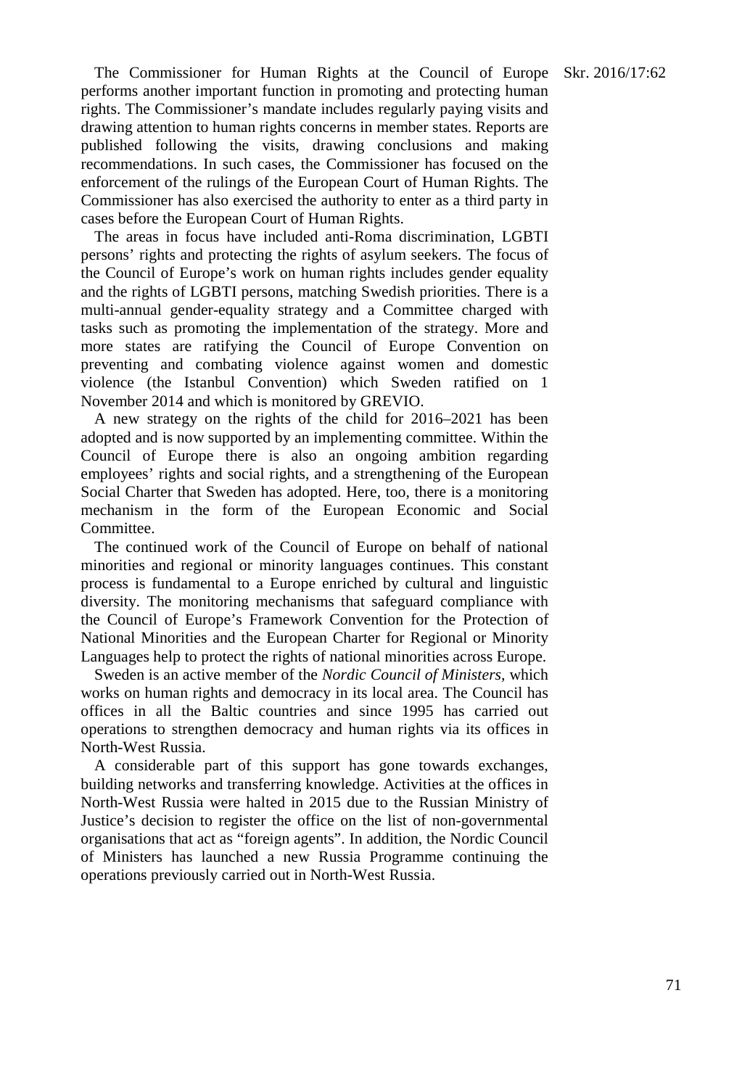The Commissioner for Human Rights at the Council of Europe Skr. 2016/17:62 performs another important function in promoting and protecting human rights. The Commissioner's mandate includes regularly paying visits and drawing attention to human rights concerns in member states. Reports are published following the visits, drawing conclusions and making recommendations. In such cases, the Commissioner has focused on the enforcement of the rulings of the European Court of Human Rights. The Commissioner has also exercised the authority to enter as a third party in cases before the European Court of Human Rights.

The areas in focus have included anti-Roma discrimination, LGBTI persons' rights and protecting the rights of asylum seekers. The focus of the Council of Europe's work on human rights includes gender equality and the rights of LGBTI persons, matching Swedish priorities. There is a multi-annual gender-equality strategy and a Committee charged with tasks such as promoting the implementation of the strategy. More and more states are ratifying the Council of Europe Convention on preventing and combating violence against women and domestic violence (the Istanbul Convention) which Sweden ratified on 1 November 2014 and which is monitored by GREVIO.

A new strategy on the rights of the child for 2016–2021 has been adopted and is now supported by an implementing committee. Within the Council of Europe there is also an ongoing ambition regarding employees' rights and social rights, and a strengthening of the European Social Charter that Sweden has adopted. Here, too, there is a monitoring mechanism in the form of the European Economic and Social Committee.

The continued work of the Council of Europe on behalf of national minorities and regional or minority languages continues. This constant process is fundamental to a Europe enriched by cultural and linguistic diversity. The monitoring mechanisms that safeguard compliance with the Council of Europe's Framework Convention for the Protection of National Minorities and the European Charter for Regional or Minority Languages help to protect the rights of national minorities across Europe.

Sweden is an active member of the *Nordic Council of Ministers,* which works on human rights and democracy in its local area. The Council has offices in all the Baltic countries and since 1995 has carried out operations to strengthen democracy and human rights via its offices in North-West Russia.

A considerable part of this support has gone towards exchanges, building networks and transferring knowledge. Activities at the offices in North-West Russia were halted in 2015 due to the Russian Ministry of Justice's decision to register the office on the list of non-governmental organisations that act as "foreign agents". In addition, the Nordic Council of Ministers has launched a new Russia Programme continuing the operations previously carried out in North-West Russia.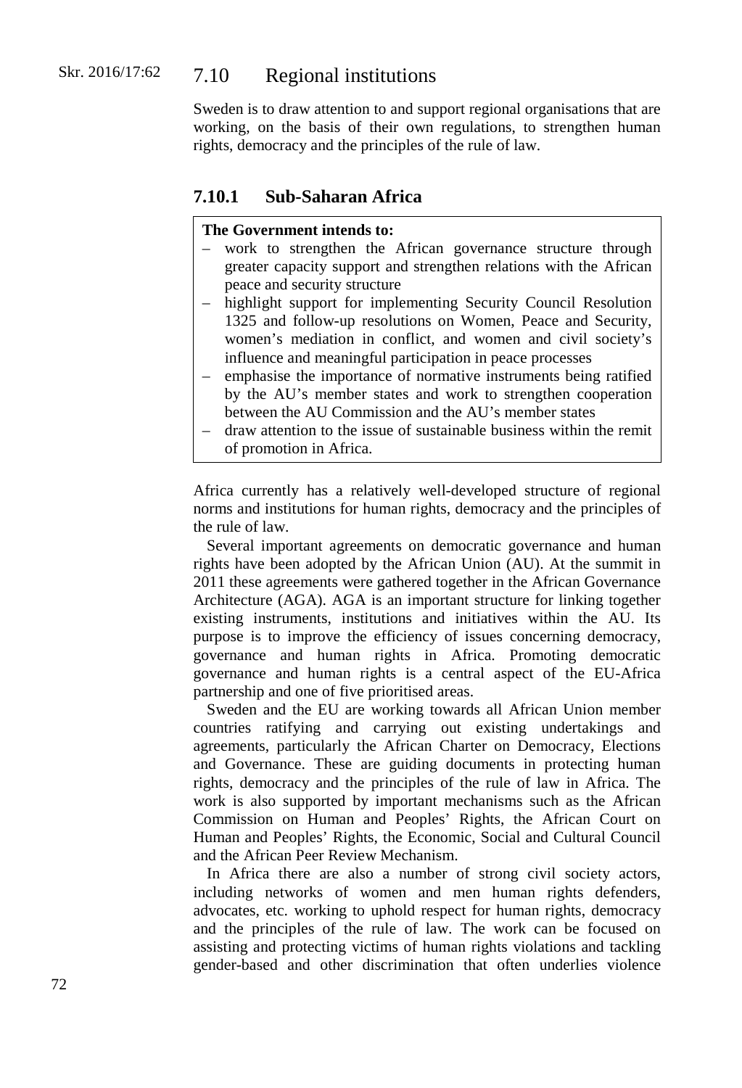#### Skr. 2016/17:62 7.10 Regional institutions

Sweden is to draw attention to and support regional organisations that are working, on the basis of their own regulations, to strengthen human rights, democracy and the principles of the rule of law.

## **7.10.1 Sub-Saharan Africa**

#### **The Government intends to:**

- work to strengthen the African governance structure through greater capacity support and strengthen relations with the African peace and security structure
- highlight support for implementing Security Council Resolution 1325 and follow-up resolutions on Women, Peace and Security, women's mediation in conflict, and women and civil society's influence and meaningful participation in peace processes
- emphasise the importance of normative instruments being ratified by the AU's member states and work to strengthen cooperation between the AU Commission and the AU's member states
- draw attention to the issue of sustainable business within the remit of promotion in Africa.

Africa currently has a relatively well-developed structure of regional norms and institutions for human rights, democracy and the principles of the rule of law.

Several important agreements on democratic governance and human rights have been adopted by the African Union (AU). At the summit in 2011 these agreements were gathered together in the African Governance Architecture (AGA). AGA is an important structure for linking together existing instruments, institutions and initiatives within the AU. Its purpose is to improve the efficiency of issues concerning democracy, governance and human rights in Africa. Promoting democratic governance and human rights is a central aspect of the EU-Africa partnership and one of five prioritised areas.

Sweden and the EU are working towards all African Union member countries ratifying and carrying out existing undertakings and agreements, particularly the African Charter on Democracy, Elections and Governance. These are guiding documents in protecting human rights, democracy and the principles of the rule of law in Africa. The work is also supported by important mechanisms such as the African Commission on Human and Peoples' Rights, the African Court on Human and Peoples' Rights, the Economic, Social and Cultural Council and the African Peer Review Mechanism.

In Africa there are also a number of strong civil society actors, including networks of women and men human rights defenders, advocates, etc. working to uphold respect for human rights, democracy and the principles of the rule of law. The work can be focused on assisting and protecting victims of human rights violations and tackling gender-based and other discrimination that often underlies violence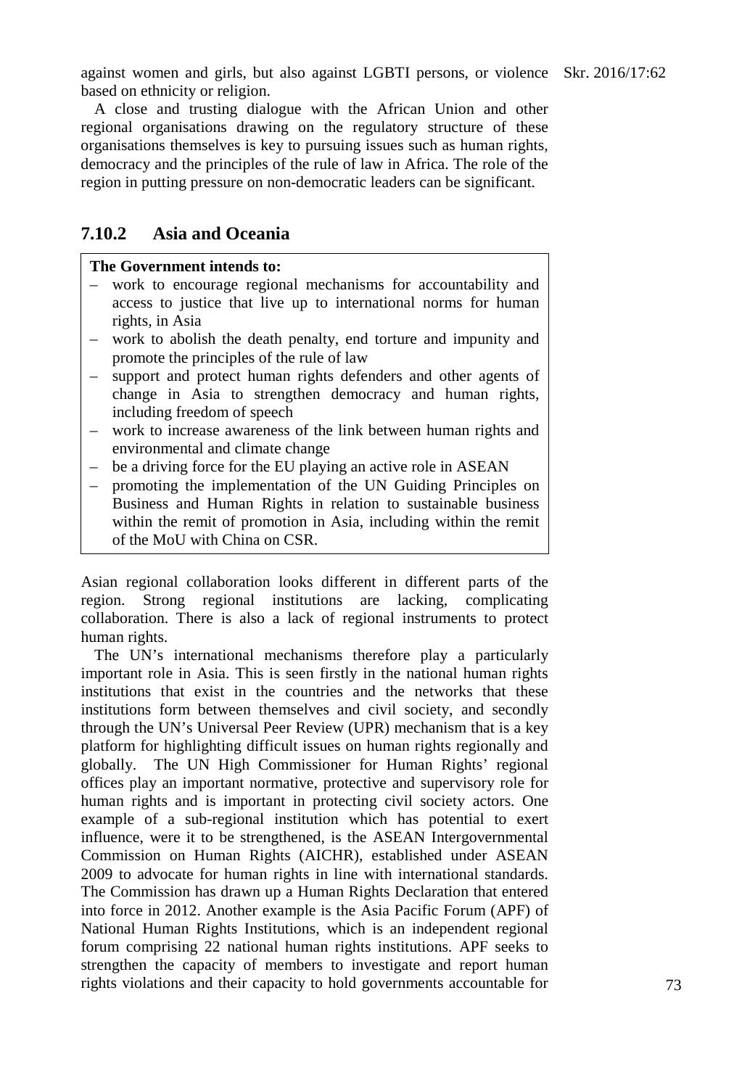against women and girls, but also against LGBTI persons, or violence Skr. 2016/17:62 based on ethnicity or religion.

A close and trusting dialogue with the African Union and other regional organisations drawing on the regulatory structure of these organisations themselves is key to pursuing issues such as human rights, democracy and the principles of the rule of law in Africa. The role of the region in putting pressure on non-democratic leaders can be significant.

### **7.10.2 Asia and Oceania**

#### **The Government intends to:**

- work to encourage regional mechanisms for accountability and access to justice that live up to international norms for human rights, in Asia
- work to abolish the death penalty, end torture and impunity and promote the principles of the rule of law
- support and protect human rights defenders and other agents of change in Asia to strengthen democracy and human rights, including freedom of speech
- work to increase awareness of the link between human rights and environmental and climate change
- be a driving force for the EU playing an active role in ASEAN
- promoting the implementation of the UN Guiding Principles on Business and Human Rights in relation to sustainable business within the remit of promotion in Asia, including within the remit of the MoU with China on CSR.

Asian regional collaboration looks different in different parts of the region. Strong regional institutions are lacking, complicating collaboration. There is also a lack of regional instruments to protect human rights.

The UN's international mechanisms therefore play a particularly important role in Asia. This is seen firstly in the national human rights institutions that exist in the countries and the networks that these institutions form between themselves and civil society, and secondly through the UN's Universal Peer Review (UPR) mechanism that is a key platform for highlighting difficult issues on human rights regionally and globally. The UN High Commissioner for Human Rights' regional offices play an important normative, protective and supervisory role for human rights and is important in protecting civil society actors. One example of a sub-regional institution which has potential to exert influence, were it to be strengthened, is the ASEAN Intergovernmental Commission on Human Rights (AICHR), established under ASEAN 2009 to advocate for human rights in line with international standards. The Commission has drawn up a Human Rights Declaration that entered into force in 2012. Another example is the Asia Pacific Forum (APF) of National Human Rights Institutions, which is an independent regional forum comprising 22 national human rights institutions. APF seeks to strengthen the capacity of members to investigate and report human rights violations and their capacity to hold governments accountable for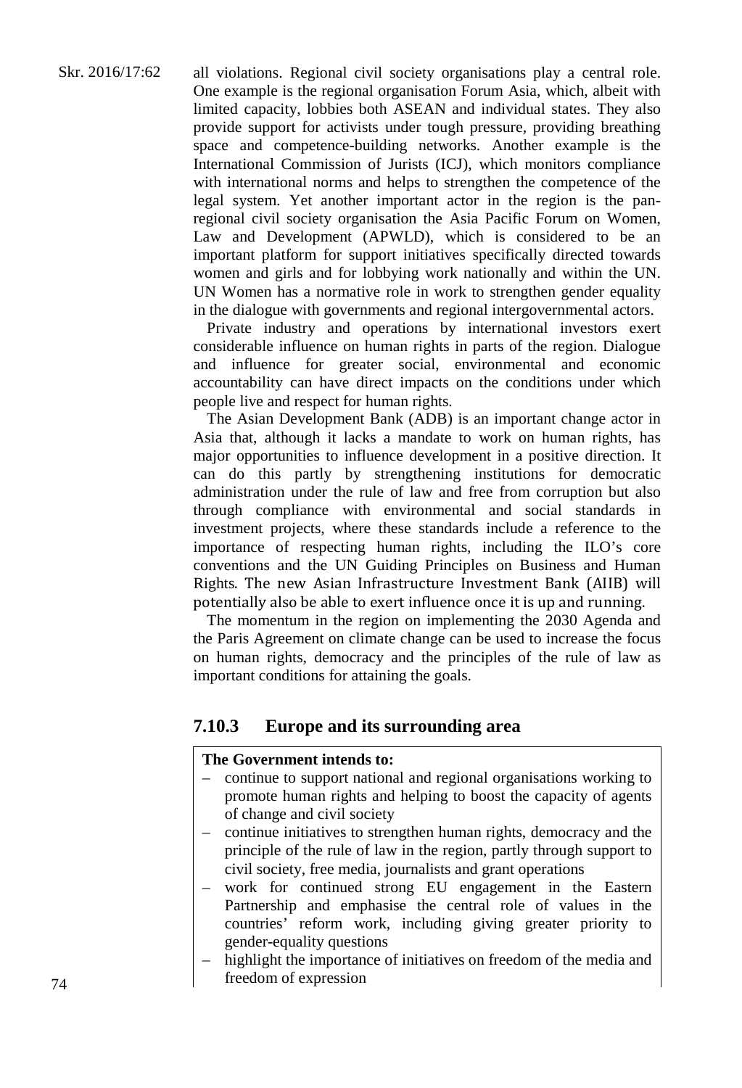Skr. 2016/17:62 all violations. Regional civil society organisations play a central role. One example is the regional organisation Forum Asia, which, albeit with limited capacity, lobbies both ASEAN and individual states. They also provide support for activists under tough pressure, providing breathing space and competence-building networks. Another example is the International Commission of Jurists (ICJ), which monitors compliance with international norms and helps to strengthen the competence of the legal system. Yet another important actor in the region is the panregional civil society organisation the Asia Pacific Forum on Women, Law and Development (APWLD), which is considered to be an important platform for support initiatives specifically directed towards women and girls and for lobbying work nationally and within the UN. UN Women has a normative role in work to strengthen gender equality

> Private industry and operations by international investors exert considerable influence on human rights in parts of the region. Dialogue and influence for greater social, environmental and economic accountability can have direct impacts on the conditions under which people live and respect for human rights.

in the dialogue with governments and regional intergovernmental actors.

The Asian Development Bank (ADB) is an important change actor in Asia that, although it lacks a mandate to work on human rights, has major opportunities to influence development in a positive direction. It can do this partly by strengthening institutions for democratic administration under the rule of law and free from corruption but also through compliance with environmental and social standards in investment projects, where these standards include a reference to the importance of respecting human rights, including the ILO's core conventions and the UN Guiding Principles on Business and Human Rights. The new Asian Infrastructure Investment Bank (AIIB) will potentially also be able to exert influence once it is up and running.

The momentum in the region on implementing the 2030 Agenda and the Paris Agreement on climate change can be used to increase the focus on human rights, democracy and the principles of the rule of law as important conditions for attaining the goals.

### **7.10.3 Europe and its surrounding area**

#### **The Government intends to:**

- continue to support national and regional organisations working to promote human rights and helping to boost the capacity of agents of change and civil society
- continue initiatives to strengthen human rights, democracy and the principle of the rule of law in the region, partly through support to civil society, free media, journalists and grant operations
- work for continued strong EU engagement in the Eastern Partnership and emphasise the central role of values in the countries' reform work, including giving greater priority to gender-equality questions
- highlight the importance of initiatives on freedom of the media and freedom of expression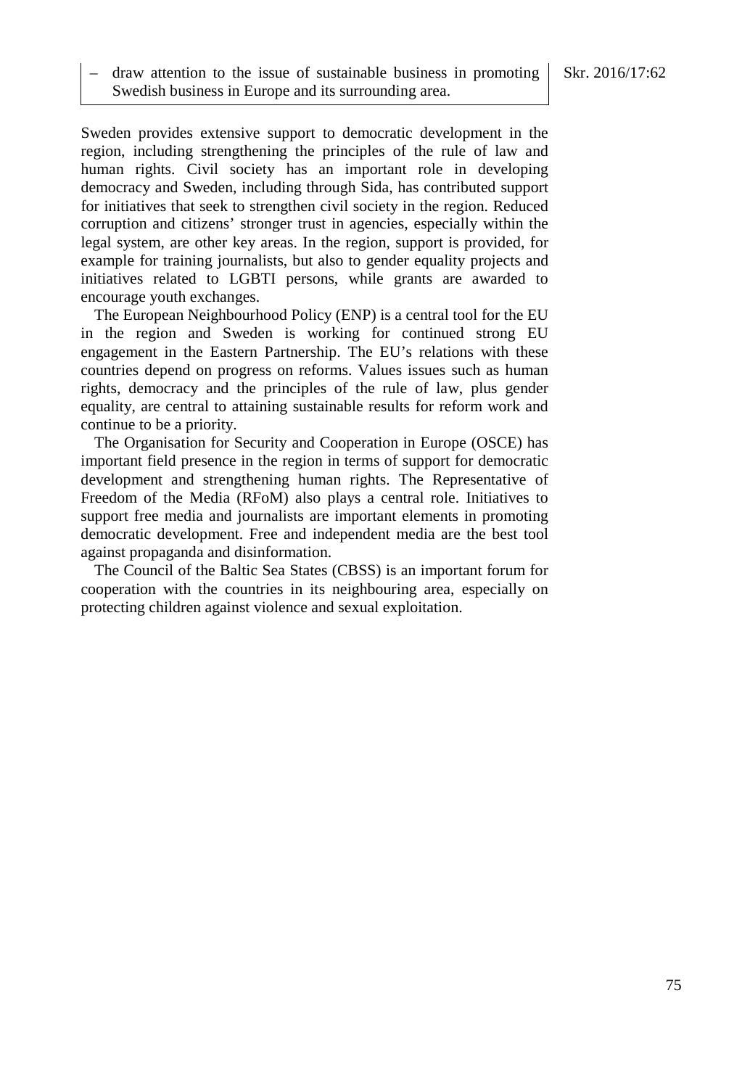draw attention to the issue of sustainable business in promoting Skr. 2016/17:62 Swedish business in Europe and its surrounding area.

Sweden provides extensive support to democratic development in the region, including strengthening the principles of the rule of law and human rights. Civil society has an important role in developing democracy and Sweden, including through Sida, has contributed support for initiatives that seek to strengthen civil society in the region. Reduced corruption and citizens' stronger trust in agencies, especially within the legal system, are other key areas. In the region, support is provided, for example for training journalists, but also to gender equality projects and initiatives related to LGBTI persons, while grants are awarded to encourage youth exchanges.

The European Neighbourhood Policy (ENP) is a central tool for the EU in the region and Sweden is working for continued strong EU engagement in the Eastern Partnership. The EU's relations with these countries depend on progress on reforms. Values issues such as human rights, democracy and the principles of the rule of law, plus gender equality, are central to attaining sustainable results for reform work and continue to be a priority.

The Organisation for Security and Cooperation in Europe (OSCE) has important field presence in the region in terms of support for democratic development and strengthening human rights. The Representative of Freedom of the Media (RFoM) also plays a central role. Initiatives to support free media and journalists are important elements in promoting democratic development. Free and independent media are the best tool against propaganda and disinformation.

The Council of the Baltic Sea States (CBSS) is an important forum for cooperation with the countries in its neighbouring area, especially on protecting children against violence and sexual exploitation.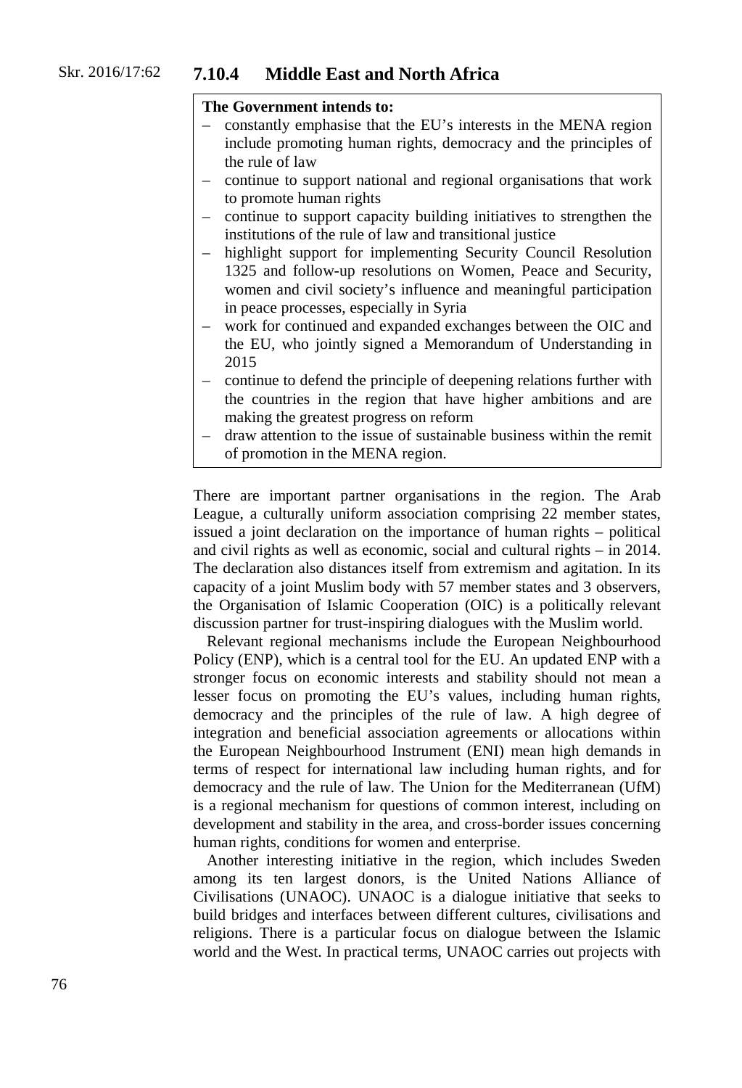#### Skr. 2016/17:62 **7.10.4 Middle East and North Africa**

#### **The Government intends to:**

- constantly emphasise that the EU's interests in the MENA region include promoting human rights, democracy and the principles of the rule of law
- continue to support national and regional organisations that work to promote human rights
- continue to support capacity building initiatives to strengthen the institutions of the rule of law and transitional justice
- highlight support for implementing Security Council Resolution 1325 and follow-up resolutions on Women, Peace and Security, women and civil society's influence and meaningful participation in peace processes, especially in Syria
- work for continued and expanded exchanges between the OIC and the EU, who jointly signed a Memorandum of Understanding in 2015
- continue to defend the principle of deepening relations further with the countries in the region that have higher ambitions and are making the greatest progress on reform
- draw attention to the issue of sustainable business within the remit of promotion in the MENA region.

There are important partner organisations in the region. The Arab League, a culturally uniform association comprising 22 member states, issued a joint declaration on the importance of human rights – political and civil rights as well as economic, social and cultural rights – in 2014. The declaration also distances itself from extremism and agitation. In its capacity of a joint Muslim body with 57 member states and 3 observers, the Organisation of Islamic Cooperation (OIC) is a politically relevant discussion partner for trust-inspiring dialogues with the Muslim world.

Relevant regional mechanisms include the European Neighbourhood Policy (ENP), which is a central tool for the EU. An updated ENP with a stronger focus on economic interests and stability should not mean a lesser focus on promoting the EU's values, including human rights, democracy and the principles of the rule of law. A high degree of integration and beneficial association agreements or allocations within the European Neighbourhood Instrument (ENI) mean high demands in terms of respect for international law including human rights, and for democracy and the rule of law. The Union for the Mediterranean (UfM) is a regional mechanism for questions of common interest, including on development and stability in the area, and cross-border issues concerning human rights, conditions for women and enterprise.

Another interesting initiative in the region, which includes Sweden among its ten largest donors, is the United Nations Alliance of Civilisations (UNAOC). UNAOC is a dialogue initiative that seeks to build bridges and interfaces between different cultures, civilisations and religions. There is a particular focus on dialogue between the Islamic world and the West. In practical terms, UNAOC carries out projects with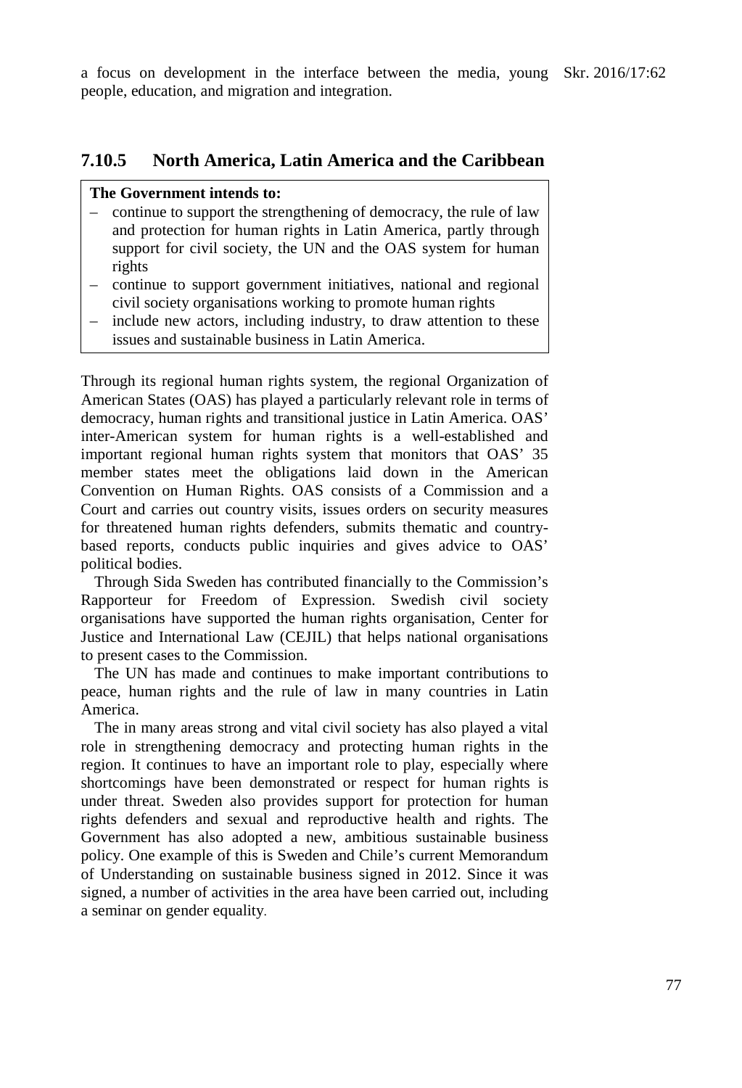a focus on development in the interface between the media, young Skr. 2016/17:62 people, education, and migration and integration.

### **7.10.5 North America, Latin America and the Caribbean**

### **The Government intends to:**

- continue to support the strengthening of democracy, the rule of law and protection for human rights in Latin America, partly through support for civil society, the UN and the OAS system for human rights
- continue to support government initiatives, national and regional civil society organisations working to promote human rights
- include new actors, including industry, to draw attention to these issues and sustainable business in Latin America.

Through its regional human rights system, the regional Organization of American States (OAS) has played a particularly relevant role in terms of democracy, human rights and transitional justice in Latin America. OAS' inter-American system for human rights is a well-established and important regional human rights system that monitors that OAS' 35 member states meet the obligations laid down in the American Convention on Human Rights. OAS consists of a Commission and a Court and carries out country visits, issues orders on security measures for threatened human rights defenders, submits thematic and countrybased reports, conducts public inquiries and gives advice to OAS' political bodies.

Through Sida Sweden has contributed financially to the Commission's Rapporteur for Freedom of Expression. Swedish civil society organisations have supported the human rights organisation, Center for Justice and International Law (CEJIL) that helps national organisations to present cases to the Commission.

The UN has made and continues to make important contributions to peace, human rights and the rule of law in many countries in Latin America.

The in many areas strong and vital civil society has also played a vital role in strengthening democracy and protecting human rights in the region. It continues to have an important role to play, especially where shortcomings have been demonstrated or respect for human rights is under threat. Sweden also provides support for protection for human rights defenders and sexual and reproductive health and rights. The Government has also adopted a new, ambitious sustainable business policy. One example of this is Sweden and Chile's current Memorandum of Understanding on sustainable business signed in 2012. Since it was signed, a number of activities in the area have been carried out, including a seminar on gender equality.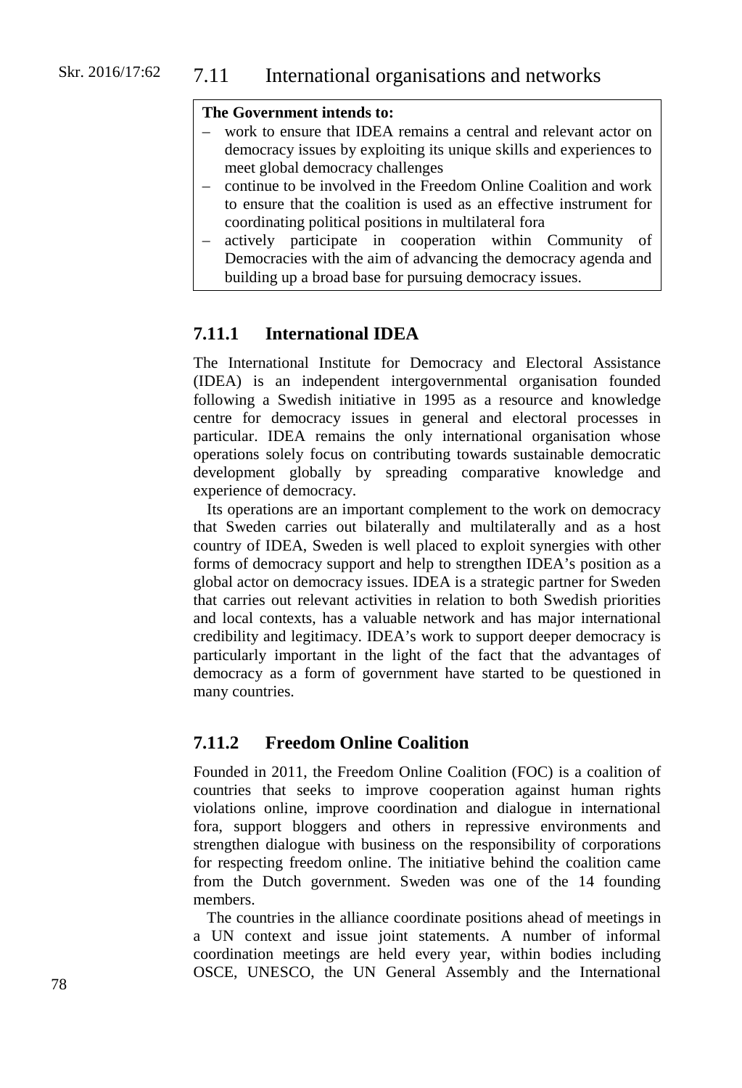### **The Government intends to:**

- work to ensure that IDEA remains a central and relevant actor on democracy issues by exploiting its unique skills and experiences to meet global democracy challenges
- continue to be involved in the Freedom Online Coalition and work to ensure that the coalition is used as an effective instrument for coordinating political positions in multilateral fora
- actively participate in cooperation within Community of Democracies with the aim of advancing the democracy agenda and building up a broad base for pursuing democracy issues.

### **7.11.1 International IDEA**

The International Institute for Democracy and Electoral Assistance (IDEA) is an independent intergovernmental organisation founded following a Swedish initiative in 1995 as a resource and knowledge centre for democracy issues in general and electoral processes in particular. IDEA remains the only international organisation whose operations solely focus on contributing towards sustainable democratic development globally by spreading comparative knowledge and experience of democracy.

Its operations are an important complement to the work on democracy that Sweden carries out bilaterally and multilaterally and as a host country of IDEA, Sweden is well placed to exploit synergies with other forms of democracy support and help to strengthen IDEA's position as a global actor on democracy issues. IDEA is a strategic partner for Sweden that carries out relevant activities in relation to both Swedish priorities and local contexts, has a valuable network and has major international credibility and legitimacy. IDEA's work to support deeper democracy is particularly important in the light of the fact that the advantages of democracy as a form of government have started to be questioned in many countries.

### **7.11.2 Freedom Online Coalition**

Founded in 2011, the Freedom Online Coalition (FOC) is a coalition of countries that seeks to improve cooperation against human rights violations online, improve coordination and dialogue in international fora, support bloggers and others in repressive environments and strengthen dialogue with business on the responsibility of corporations for respecting freedom online. The initiative behind the coalition came from the Dutch government. Sweden was one of the 14 founding members.

The countries in the alliance coordinate positions ahead of meetings in a UN context and issue joint statements. A number of informal coordination meetings are held every year, within bodies including OSCE, UNESCO, the UN General Assembly and the International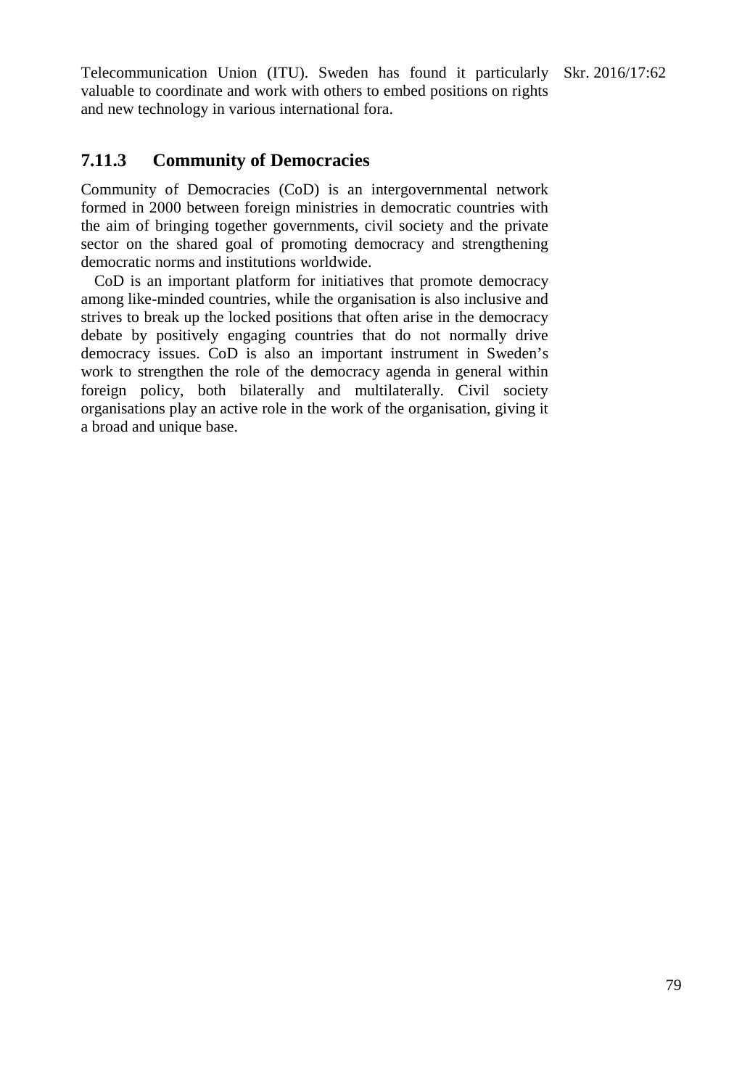Telecommunication Union (ITU). Sweden has found it particularly Skr. 2016/17:62 valuable to coordinate and work with others to embed positions on rights and new technology in various international fora.

## **7.11.3 Community of Democracies**

Community of Democracies (CoD) is an intergovernmental network formed in 2000 between foreign ministries in democratic countries with the aim of bringing together governments, civil society and the private sector on the shared goal of promoting democracy and strengthening democratic norms and institutions worldwide.

CoD is an important platform for initiatives that promote democracy among like-minded countries, while the organisation is also inclusive and strives to break up the locked positions that often arise in the democracy debate by positively engaging countries that do not normally drive democracy issues. CoD is also an important instrument in Sweden's work to strengthen the role of the democracy agenda in general within foreign policy, both bilaterally and multilaterally. Civil society organisations play an active role in the work of the organisation, giving it a broad and unique base.